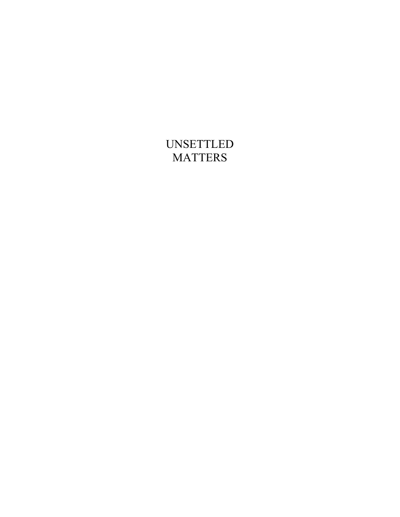UNSETTLED **MATTERS**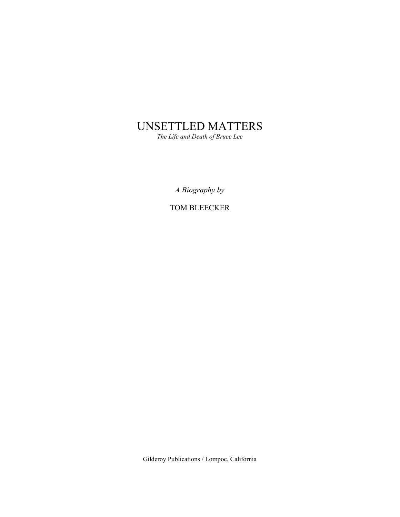# UNSETTLED MATTERS

*The Life and Death of Bruce Lee*

*A Biography by* 

TOM BLEECKER

Gilderoy Publications / Lompoc, California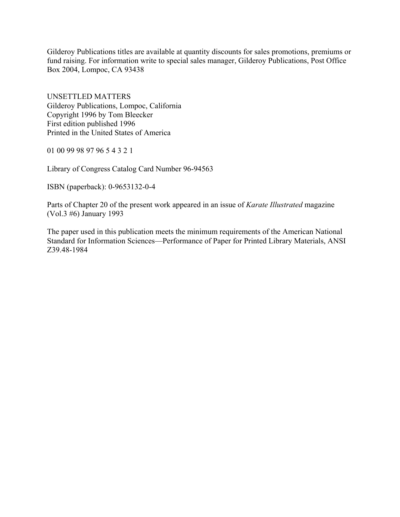Gilderoy Publications titles are available at quantity discounts for sales promotions, premiums or fund raising. For information write to special sales manager, Gilderoy Publications, Post Office Box 2004, Lompoc, CA 93438

UNSETTLED MATTERS Gilderoy Publications, Lompoc, California Copyright 1996 by Tom Bleecker First edition published 1996 Printed in the United States of America

01 00 99 98 97 96 5 4 3 2 1

Library of Congress Catalog Card Number 96-94563

ISBN (paperback): 0-9653132-0-4

Parts of Chapter 20 of the present work appeared in an issue of *Karate Illustrated* magazine (Vol.3 #6) January 1993

The paper used in this publication meets the minimum requirements of the American National Standard for Information Sciences—Performance of Paper for Printed Library Materials, ANSI Z39.48-1984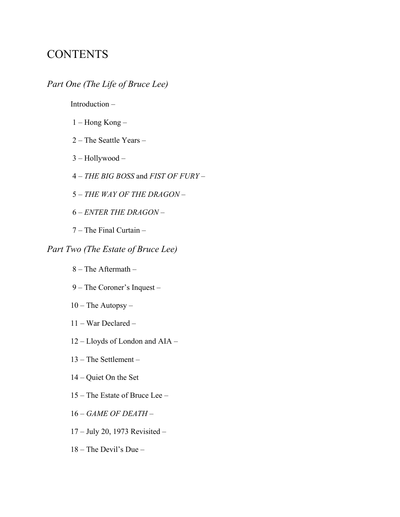# **CONTENTS**

## *Part One (The Life of Bruce Lee)*

Introduction –

- 1 Hong Kong –
- 2 The Seattle Years –
- 3 Hollywood –
- 4 *THE BIG BOSS* and *FIST OF FURY* –
- 5 *THE WAY OF THE DRAGON* –
- 6 *ENTER THE DRAGON* –
- 7 The Final Curtain –

## *Part Two (The Estate of Bruce Lee)*

- $8 -$  The Aftermath  $-$
- 9 The Coroner's Inquest –
- $10$  The Autopsy –
- 11 War Declared –
- 12 Lloyds of London and AIA –
- 13 The Settlement –
- 14 Quiet On the Set
- 15 The Estate of Bruce Lee –
- 16 *GAME OF DEATH* –
- 17 July 20, 1973 Revisited –
- 18 The Devil's Due –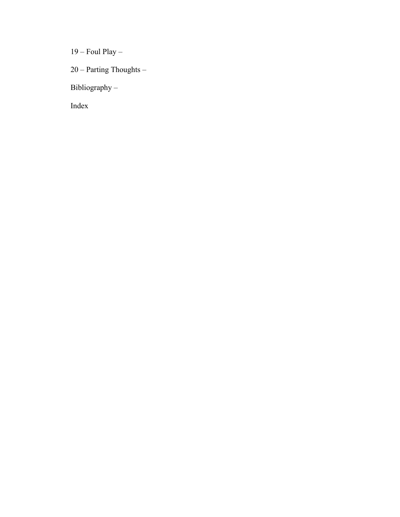19 – Foul Play –

20 – Parting Thoughts –

Bibliography –

Index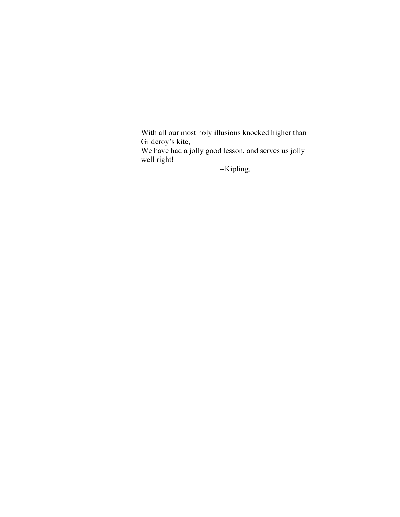With all our most holy illusions knocked higher than Gilderoy's kite, We have had a jolly good lesson, and serves us jolly well right!

--Kipling.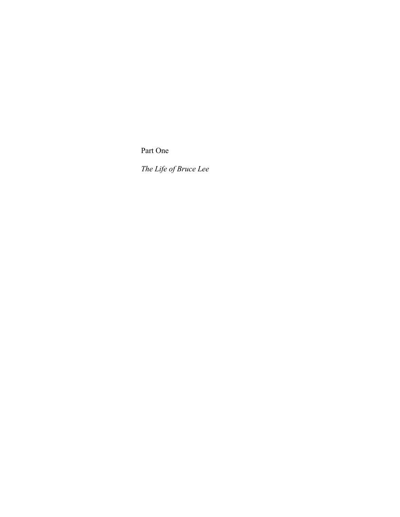Part One

*The Life of Bruce Lee*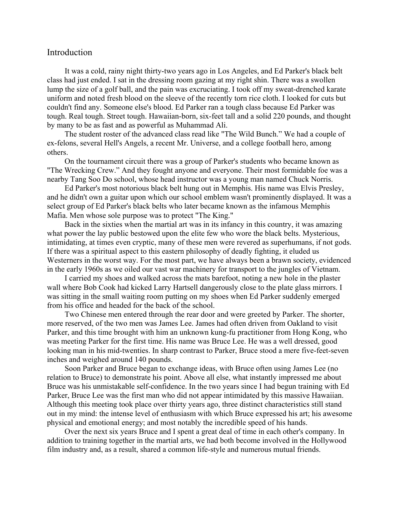#### Introduction

 It was a cold, rainy night thirty-two years ago in Los Angeles, and Ed Parker's black belt class had just ended. I sat in the dressing room gazing at my right shin. There was a swollen lump the size of a golf ball, and the pain was excruciating. I took off my sweat-drenched karate uniform and noted fresh blood on the sleeve of the recently torn rice cloth. I looked for cuts but couldn't find any. Someone else's blood. Ed Parker ran a tough class because Ed Parker was tough. Real tough. Street tough. Hawaiian-born, six-feet tall and a solid 220 pounds, and thought by many to be as fast and as powerful as Muhammad Ali.

 The student roster of the advanced class read like "The Wild Bunch." We had a couple of ex-felons, several Hell's Angels, a recent Mr. Universe, and a college football hero, among others.

 On the tournament circuit there was a group of Parker's students who became known as "The Wrecking Crew." And they fought anyone and everyone. Their most formidable foe was a nearby Tang Soo Do school, whose head instructor was a young man named Chuck Norris.

 Ed Parker's most notorious black belt hung out in Memphis. His name was Elvis Presley, and he didn't own a guitar upon which our school emblem wasn't prominently displayed. It was a select group of Ed Parker's black belts who later became known as the infamous Memphis Mafia. Men whose sole purpose was to protect "The King."

 Back in the sixties when the martial art was in its infancy in this country, it was amazing what power the lay public bestowed upon the elite few who wore the black belts. Mysterious, intimidating, at times even cryptic, many of these men were revered as superhumans, if not gods. If there was a spiritual aspect to this eastern philosophy of deadly fighting, it eluded us Westerners in the worst way. For the most part, we have always been a brawn society, evidenced in the early 1960s as we oiled our vast war machinery for transport to the jungles of Vietnam.

 I carried my shoes and walked across the mats barefoot, noting a new hole in the plaster wall where Bob Cook had kicked Larry Hartsell dangerously close to the plate glass mirrors. I was sitting in the small waiting room putting on my shoes when Ed Parker suddenly emerged from his office and headed for the back of the school.

 Two Chinese men entered through the rear door and were greeted by Parker. The shorter, more reserved, of the two men was James Lee. James had often driven from Oakland to visit Parker, and this time brought with him an unknown kung-fu practitioner from Hong Kong, who was meeting Parker for the first time. His name was Bruce Lee. He was a well dressed, good looking man in his mid-twenties. In sharp contrast to Parker, Bruce stood a mere five-feet-seven inches and weighed around 140 pounds.

 Soon Parker and Bruce began to exchange ideas, with Bruce often using James Lee (no relation to Bruce) to demonstrate his point. Above all else, what instantly impressed me about Bruce was his unmistakable self-confidence. In the two years since I had begun training with Ed Parker, Bruce Lee was the first man who did not appear intimidated by this massive Hawaiian. Although this meeting took place over thirty years ago, three distinct characteristics still stand out in my mind: the intense level of enthusiasm with which Bruce expressed his art; his awesome physical and emotional energy; and most notably the incredible speed of his hands.

 Over the next six years Bruce and I spent a great deal of time in each other's company. In addition to training together in the martial arts, we had both become involved in the Hollywood film industry and, as a result, shared a common life-style and numerous mutual friends.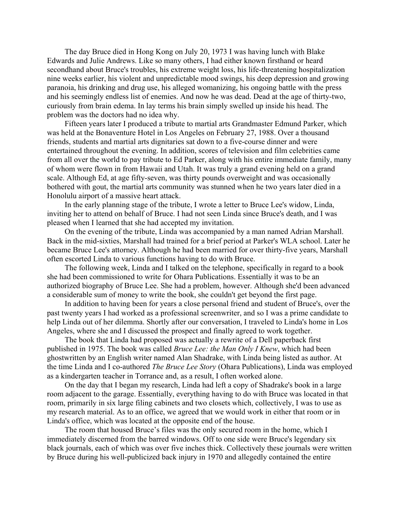The day Bruce died in Hong Kong on July 20, 1973 I was having lunch with Blake Edwards and Julie Andrews. Like so many others, I had either known firsthand or heard secondhand about Bruce's troubles, his extreme weight loss, his life-threatening hospitalization nine weeks earlier, his violent and unpredictable mood swings, his deep depression and growing paranoia, his drinking and drug use, his alleged womanizing, his ongoing battle with the press and his seemingly endless list of enemies. And now he was dead. Dead at the age of thirty-two, curiously from brain edema. In lay terms his brain simply swelled up inside his head. The problem was the doctors had no idea why.

 Fifteen years later I produced a tribute to martial arts Grandmaster Edmund Parker, which was held at the Bonaventure Hotel in Los Angeles on February 27, 1988. Over a thousand friends, students and martial arts dignitaries sat down to a five-course dinner and were entertained throughout the evening. In addition, scores of television and film celebrities came from all over the world to pay tribute to Ed Parker, along with his entire immediate family, many of whom were flown in from Hawaii and Utah. It was truly a grand evening held on a grand scale. Although Ed, at age fifty-seven, was thirty pounds overweight and was occasionally bothered with gout, the martial arts community was stunned when he two years later died in a Honolulu airport of a massive heart attack.

 In the early planning stage of the tribute, I wrote a letter to Bruce Lee's widow, Linda, inviting her to attend on behalf of Bruce. I had not seen Linda since Bruce's death, and I was pleased when I learned that she had accepted my invitation.

 On the evening of the tribute, Linda was accompanied by a man named Adrian Marshall. Back in the mid-sixties, Marshall had trained for a brief period at Parker's WLA school. Later he became Bruce Lee's attorney. Although he had been married for over thirty-five years, Marshall often escorted Linda to various functions having to do with Bruce.

 The following week, Linda and I talked on the telephone, specifically in regard to a book she had been commissioned to write for Ohara Publications. Essentially it was to be an authorized biography of Bruce Lee. She had a problem, however. Although she'd been advanced a considerable sum of money to write the book, she couldn't get beyond the first page.

 In addition to having been for years a close personal friend and student of Bruce's, over the past twenty years I had worked as a professional screenwriter, and so I was a prime candidate to help Linda out of her dilemma. Shortly after our conversation, I traveled to Linda's home in Los Angeles, where she and I discussed the prospect and finally agreed to work together.

 The book that Linda had proposed was actually a rewrite of a Dell paperback first published in 1975. The book was called *Bruce Lee: the Man Only I Knew*, which had been ghostwritten by an English writer named Alan Shadrake, with Linda being listed as author. At the time Linda and I co-authored *The Bruce Lee Story* (Ohara Publications), Linda was employed as a kindergarten teacher in Torrance and, as a result, I often worked alone.

 On the day that I began my research, Linda had left a copy of Shadrake's book in a large room adjacent to the garage. Essentially, everything having to do with Bruce was located in that room, primarily in six large filing cabinets and two closets which, collectively, I was to use as my research material. As to an office, we agreed that we would work in either that room or in Linda's office, which was located at the opposite end of the house.

 The room that housed Bruce's files was the only secured room in the home, which I immediately discerned from the barred windows. Off to one side were Bruce's legendary six black journals, each of which was over five inches thick. Collectively these journals were written by Bruce during his well-publicized back injury in 1970 and allegedly contained the entire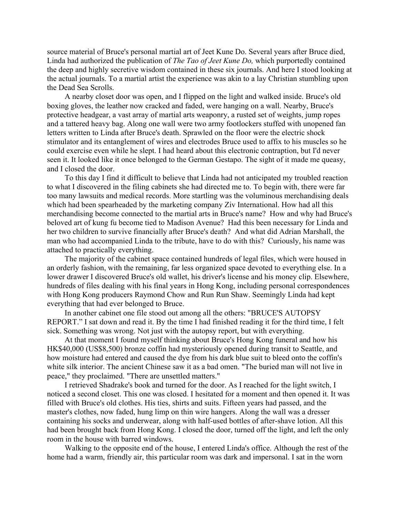source material of Bruce's personal martial art of Jeet Kune Do. Several years after Bruce died, Linda had authorized the publication of *The Tao of Jeet Kune Do,* which purportedly contained the deep and highly secretive wisdom contained in these six journals. And here I stood looking at the actual journals. To a martial artist the experience was akin to a lay Christian stumbling upon the Dead Sea Scrolls.

 A nearby closet door was open, and I flipped on the light and walked inside. Bruce's old boxing gloves, the leather now cracked and faded, were hanging on a wall. Nearby, Bruce's protective headgear, a vast array of martial arts weaponry, a rusted set of weights, jump ropes and a tattered heavy bag. Along one wall were two army footlockers stuffed with unopened fan letters written to Linda after Bruce's death. Sprawled on the floor were the electric shock stimulator and its entanglement of wires and electrodes Bruce used to affix to his muscles so he could exercise even while he slept. I had heard about this electronic contraption, but I'd never seen it. It looked like it once belonged to the German Gestapo. The sight of it made me queasy, and I closed the door.

 To this day I find it difficult to believe that Linda had not anticipated my troubled reaction to what I discovered in the filing cabinets she had directed me to. To begin with, there were far too many lawsuits and medical records. More startling was the voluminous merchandising deals which had been spearheaded by the marketing company Ziv International. How had all this merchandising become connected to the martial arts in Bruce's name? How and why had Bruce's beloved art of kung fu become tied to Madison Avenue? Had this been necessary for Linda and her two children to survive financially after Bruce's death? And what did Adrian Marshall, the man who had accompanied Linda to the tribute, have to do with this? Curiously, his name was attached to practically everything.

 The majority of the cabinet space contained hundreds of legal files, which were housed in an orderly fashion, with the remaining, far less organized space devoted to everything else. In a lower drawer I discovered Bruce's old wallet, his driver's license and his money clip. Elsewhere, hundreds of files dealing with his final years in Hong Kong, including personal correspondences with Hong Kong producers Raymond Chow and Run Run Shaw. Seemingly Linda had kept everything that had ever belonged to Bruce.

 In another cabinet one file stood out among all the others: "BRUCE'S AUTOPSY REPORT." I sat down and read it. By the time I had finished reading it for the third time, I felt sick. Something was wrong. Not just with the autopsy report, but with everything.

 At that moment I found myself thinking about Bruce's Hong Kong funeral and how his HK\$40,000 (US\$8,500) bronze coffin had mysteriously opened during transit to Seattle, and how moisture had entered and caused the dye from his dark blue suit to bleed onto the coffin's white silk interior. The ancient Chinese saw it as a bad omen. "The buried man will not live in peace," they proclaimed. "There are unsettled matters."

 I retrieved Shadrake's book and turned for the door. As I reached for the light switch, I noticed a second closet. This one was closed. I hesitated for a moment and then opened it. It was filled with Bruce's old clothes. His ties, shirts and suits. Fifteen years had passed, and the master's clothes, now faded, hung limp on thin wire hangers. Along the wall was a dresser containing his socks and underwear, along with half-used bottles of after-shave lotion. All this had been brought back from Hong Kong. I closed the door, turned off the light, and left the only room in the house with barred windows.

 Walking to the opposite end of the house, I entered Linda's office. Although the rest of the home had a warm, friendly air, this particular room was dark and impersonal. I sat in the worn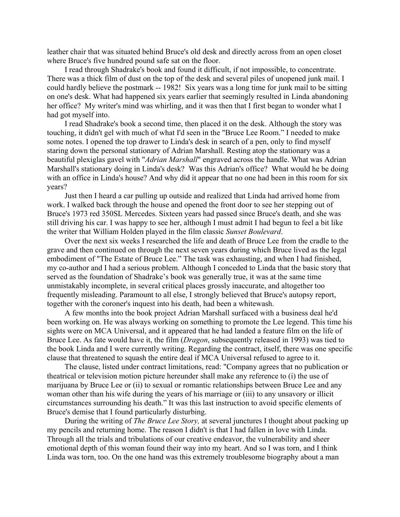leather chair that was situated behind Bruce's old desk and directly across from an open closet where Bruce's five hundred pound safe sat on the floor.

 I read through Shadrake's book and found it difficult, if not impossible, to concentrate. There was a thick film of dust on the top of the desk and several piles of unopened junk mail. I could hardly believe the postmark -- 1982! Six years was a long time for junk mail to be sitting on one's desk. What had happened six years earlier that seemingly resulted in Linda abandoning her office? My writer's mind was whirling, and it was then that I first began to wonder what I had got myself into.

 I read Shadrake's book a second time, then placed it on the desk. Although the story was touching, it didn't gel with much of what I'd seen in the "Bruce Lee Room." I needed to make some notes. I opened the top drawer to Linda's desk in search of a pen, only to find myself staring down the personal stationary of Adrian Marshall. Resting atop the stationary was a beautiful plexiglas gavel with "*Adrian Marshall*" engraved across the handle. What was Adrian Marshall's stationary doing in Linda's desk? Was this Adrian's office? What would he be doing with an office in Linda's house? And why did it appear that no one had been in this room for six years?

 Just then I heard a car pulling up outside and realized that Linda had arrived home from work. I walked back through the house and opened the front door to see her stepping out of Bruce's 1973 red 350SL Mercedes. Sixteen years had passed since Bruce's death, and she was still driving his car. I was happy to see her, although I must admit I had begun to feel a bit like the writer that William Holden played in the film classic *Sunset Boulevard*.

 Over the next six weeks I researched the life and death of Bruce Lee from the cradle to the grave and then continued on through the next seven years during which Bruce lived as the legal embodiment of "The Estate of Bruce Lee." The task was exhausting, and when I had finished, my co-author and I had a serious problem. Although I conceded to Linda that the basic story that served as the foundation of Shadrake's book was generally true, it was at the same time unmistakably incomplete, in several critical places grossly inaccurate, and altogether too frequently misleading. Paramount to all else, I strongly believed that Bruce's autopsy report, together with the coroner's inquest into his death, had been a whitewash.

 A few months into the book project Adrian Marshall surfaced with a business deal he'd been working on. He was always working on something to promote the Lee legend. This time his sights were on MCA Universal, and it appeared that he had landed a feature film on the life of Bruce Lee. As fate would have it, the film (*Dragon*, subsequently released in 1993) was tied to the book Linda and I were currently writing. Regarding the contract, itself, there was one specific clause that threatened to squash the entire deal if MCA Universal refused to agree to it.

 The clause, listed under contract limitations, read: "Company agrees that no publication or theatrical or television motion picture hereunder shall make any reference to (i) the use of marijuana by Bruce Lee or (ii) to sexual or romantic relationships between Bruce Lee and any woman other than his wife during the years of his marriage or (iii) to any unsavory or illicit circumstances surrounding his death." It was this last instruction to avoid specific elements of Bruce's demise that I found particularly disturbing.

 During the writing of *The Bruce Lee Story,* at several junctures I thought about packing up my pencils and returning home. The reason I didn't is that I had fallen in love with Linda. Through all the trials and tribulations of our creative endeavor, the vulnerability and sheer emotional depth of this woman found their way into my heart. And so I was torn, and I think Linda was torn, too. On the one hand was this extremely troublesome biography about a man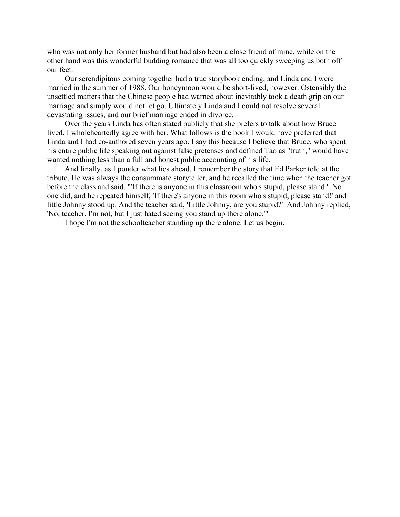who was not only her former husband but had also been a close friend of mine, while on the other hand was this wonderful budding romance that was all too quickly sweeping us both off our feet.

 Our serendipitous coming together had a true storybook ending, and Linda and I were married in the summer of 1988. Our honeymoon would be short-lived, however. Ostensibly the unsettled matters that the Chinese people had warned about inevitably took a death grip on our marriage and simply would not let go. Ultimately Linda and I could not resolve several devastating issues, and our brief marriage ended in divorce.

 Over the years Linda has often stated publicly that she prefers to talk about how Bruce lived. I wholeheartedly agree with her. What follows is the book I would have preferred that Linda and I had co-authored seven years ago. I say this because I believe that Bruce, who spent his entire public life speaking out against false pretenses and defined Tao as "truth," would have wanted nothing less than a full and honest public accounting of his life.

 And finally, as I ponder what lies ahead, I remember the story that Ed Parker told at the tribute. He was always the consummate storyteller, and he recalled the time when the teacher got before the class and said, "'If there is anyone in this classroom who's stupid, please stand.' No one did, and he repeated himself, 'If there's anyone in this room who's stupid, please stand!' and little Johnny stood up. And the teacher said, 'Little Johnny, are you stupid?' And Johnny replied, 'No, teacher, I'm not, but I just hated seeing you stand up there alone.'"

I hope I'm not the schoolteacher standing up there alone. Let us begin.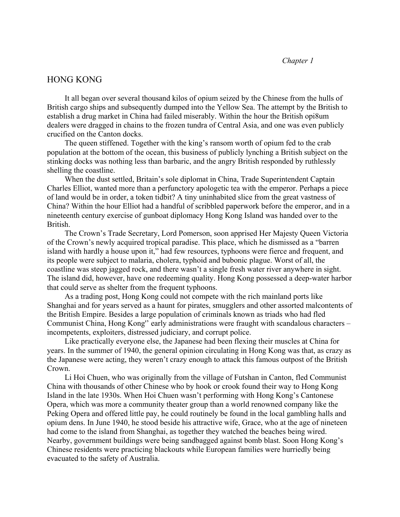### HONG KONG

It all began over several thousand kilos of opium seized by the Chinese from the hulls of British cargo ships and subsequently dumped into the Yellow Sea. The attempt by the British to establish a drug market in China had failed miserably. Within the hour the British opi8um dealers were dragged in chains to the frozen tundra of Central Asia, and one was even publicly crucified on the Canton docks.

 The queen stiffened. Together with the king's ransom worth of opium fed to the crab population at the bottom of the ocean, this business of publicly lynching a British subject on the stinking docks was nothing less than barbaric, and the angry British responded by ruthlessly shelling the coastline.

 When the dust settled, Britain's sole diplomat in China, Trade Superintendent Captain Charles Elliot, wanted more than a perfunctory apologetic tea with the emperor. Perhaps a piece of land would be in order, a token tidbit? A tiny uninhabited slice from the great vastness of China? Within the hour Elliot had a handful of scribbled paperwork before the emperor, and in a nineteenth century exercise of gunboat diplomacy Hong Kong Island was handed over to the British.

 The Crown's Trade Secretary, Lord Pomerson, soon apprised Her Majesty Queen Victoria of the Crown's newly acquired tropical paradise. This place, which he dismissed as a "barren island with hardly a house upon it," had few resources, typhoons were fierce and frequent, and its people were subject to malaria, cholera, typhoid and bubonic plague. Worst of all, the coastline was steep jagged rock, and there wasn't a single fresh water river anywhere in sight. The island did, however, have one redeeming quality. Hong Kong possessed a deep-water harbor that could serve as shelter from the frequent typhoons.

 As a trading post, Hong Kong could not compete with the rich mainland ports like Shanghai and for years served as a haunt for pirates, smugglers and other assorted malcontents of the British Empire. Besides a large population of criminals known as triads who had fled Communist China, Hong Kong'' early administrations were fraught with scandalous characters – incompetents, exploiters, distressed judiciary, and corrupt police.

 Like practically everyone else, the Japanese had been flexing their muscles at China for years. In the summer of 1940, the general opinion circulating in Hong Kong was that, as crazy as the Japanese were acting, they weren't crazy enough to attack this famous outpost of the British Crown.

 Li Hoi Chuen, who was originally from the village of Futshan in Canton, fled Communist China with thousands of other Chinese who by hook or crook found their way to Hong Kong Island in the late 1930s. When Hoi Chuen wasn't performing with Hong Kong's Cantonese Opera, which was more a community theater group than a world renowned company like the Peking Opera and offered little pay, he could routinely be found in the local gambling halls and opium dens. In June 1940, he stood beside his attractive wife, Grace, who at the age of nineteen had come to the island from Shanghai, as together they watched the beaches being wired. Nearby, government buildings were being sandbagged against bomb blast. Soon Hong Kong's Chinese residents were practicing blackouts while European families were hurriedly being evacuated to the safety of Australia.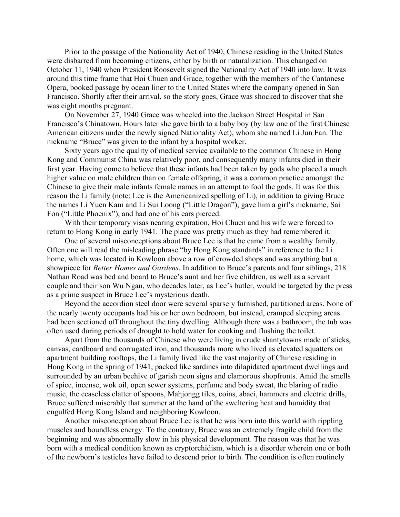Prior to the passage of the Nationality Act of 1940, Chinese residing in the United States were disbarred from becoming citizens, either by birth or naturalization. This changed on October 11, 1940 when President Roosevelt signed the Nationality Act of 1940 into law. It was around this time frame that Hoi Chuen and Grace, together with the members of the Cantonese Opera, booked passage by ocean liner to the United States where the company opened in San Francisco. Shortly after their arrival, so the story goes, Grace was shocked to discover that she was eight months pregnant.

 On November 27, 1940 Grace was wheeled into the Jackson Street Hospital in San Francisco's Chinatown. Hours later she gave birth to a baby boy (by law one of the first Chinese American citizens under the newly signed Nationality Act), whom she named Li Jun Fan. The nickname "Bruce" was given to the infant by a hospital worker.

 Sixty years ago the quality of medical service available to the common Chinese in Hong Kong and Communist China was relatively poor, and consequently many infants died in their first year. Having come to believe that these infants had been taken by gods who placed a much higher value on male children than on female offspring, it was a common practice amongst the Chinese to give their male infants female names in an attempt to fool the gods. It was for this reason the Li family (note: Lee is the Americanized spelling of Li), in addition to giving Bruce the names Li Yuen Kam and Li Sui Loong ("Little Dragon"), gave him a girl's nickname, Sai Fon ("Little Phoenix"), and had one of his ears pierced.

 With their temporary visas nearing expiration, Hoi Chuen and his wife were forced to return to Hong Kong in early 1941. The place was pretty much as they had remembered it.

 One of several misconceptions about Bruce Lee is that he came from a wealthy family. Often one will read the misleading phrase "by Hong Kong standards" in reference to the Li home, which was located in Kowloon above a row of crowded shops and was anything but a showpiece for *Better Homes and Gardens*. In addition to Bruce's parents and four siblings, 218 Nathan Road was bed and board to Bruce's aunt and her five children, as well as a servant couple and their son Wu Ngan, who decades later, as Lee's butler, would be targeted by the press as a prime suspect in Bruce Lee's mysterious death.

 Beyond the accordion steel door were several sparsely furnished, partitioned areas. None of the nearly twenty occupants had his or her own bedroom, but instead, cramped sleeping areas had been sectioned off throughout the tiny dwelling. Although there was a bathroom, the tub was often used during periods of drought to hold water for cooking and flushing the toilet.

 Apart from the thousands of Chinese who were living in crude shantytowns made of sticks, canvas, cardboard and corrugated iron, and thousands more who lived as elevated squatters on apartment building rooftops, the Li family lived like the vast majority of Chinese residing in Hong Kong in the spring of 1941, packed like sardines into dilapidated apartment dwellings and surrounded by an urban beehive of garish neon signs and clamorous shopfronts. Amid the smells of spice, incense, wok oil, open sewer systems, perfume and body sweat, the blaring of radio music, the ceaseless clatter of spoons, Mahjongg tiles, coins, abaci, hammers and electric drills, Bruce suffered miserably that summer at the hand of the sweltering heat and humidity that engulfed Hong Kong Island and neighboring Kowloon.

 Another misconception about Bruce Lee is that he was born into this world with rippling muscles and boundless energy. To the contrary, Bruce was an extremely fragile child from the beginning and was abnormally slow in his physical development. The reason was that he was born with a medical condition known as cryptorchidism, which is a disorder wherein one or both of the newborn's testicles have failed to descend prior to birth. The condition is often routinely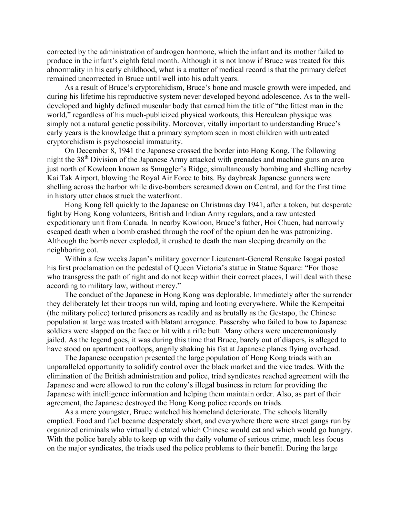corrected by the administration of androgen hormone, which the infant and its mother failed to produce in the infant's eighth fetal month. Although it is not know if Bruce was treated for this abnormality in his early childhood, what is a matter of medical record is that the primary defect remained uncorrected in Bruce until well into his adult years.

 As a result of Bruce's cryptorchidism, Bruce's bone and muscle growth were impeded, and during his lifetime his reproductive system never developed beyond adolescence. As to the welldeveloped and highly defined muscular body that earned him the title of "the fittest man in the world," regardless of his much-publicized physical workouts, this Herculean physique was simply not a natural genetic possibility. Moreover, vitally important to understanding Bruce's early years is the knowledge that a primary symptom seen in most children with untreated cryptorchidism is psychosocial immaturity.

 On December 8, 1941 the Japanese crossed the border into Hong Kong. The following night the 38<sup>th</sup> Division of the Japanese Army attacked with grenades and machine guns an area just north of Kowloon known as Smuggler's Ridge, simultaneously bombing and shelling nearby Kai Tak Airport, blowing the Royal Air Force to bits. By daybreak Japanese gunners were shelling across the harbor while dive-bombers screamed down on Central, and for the first time in history utter chaos struck the waterfront.

 Hong Kong fell quickly to the Japanese on Christmas day 1941, after a token, but desperate fight by Hong Kong volunteers, British and Indian Army regulars, and a raw untested expeditionary unit from Canada. In nearby Kowloon, Bruce's father, Hoi Chuen, had narrowly escaped death when a bomb crashed through the roof of the opium den he was patronizing. Although the bomb never exploded, it crushed to death the man sleeping dreamily on the neighboring cot.

 Within a few weeks Japan's military governor Lieutenant-General Rensuke Isogai posted his first proclamation on the pedestal of Queen Victoria's statue in Statue Square: "For those who transgress the path of right and do not keep within their correct places, I will deal with these according to military law, without mercy."

 The conduct of the Japanese in Hong Kong was deplorable. Immediately after the surrender they deliberately let their troops run wild, raping and looting everywhere. While the Kempeitai (the military police) tortured prisoners as readily and as brutally as the Gestapo, the Chinese population at large was treated with blatant arrogance. Passersby who failed to bow to Japanese soldiers were slapped on the face or hit with a rifle butt. Many others were unceremoniously jailed. As the legend goes, it was during this time that Bruce, barely out of diapers, is alleged to have stood on apartment rooftops, angrily shaking his fist at Japanese planes flying overhead.

 The Japanese occupation presented the large population of Hong Kong triads with an unparalleled opportunity to solidify control over the black market and the vice trades. With the elimination of the British administration and police, triad syndicates reached agreement with the Japanese and were allowed to run the colony's illegal business in return for providing the Japanese with intelligence information and helping them maintain order. Also, as part of their agreement, the Japanese destroyed the Hong Kong police records on triads.

 As a mere youngster, Bruce watched his homeland deteriorate. The schools literally emptied. Food and fuel became desperately short, and everywhere there were street gangs run by organized criminals who virtually dictated which Chinese would eat and which would go hungry. With the police barely able to keep up with the daily volume of serious crime, much less focus on the major syndicates, the triads used the police problems to their benefit. During the large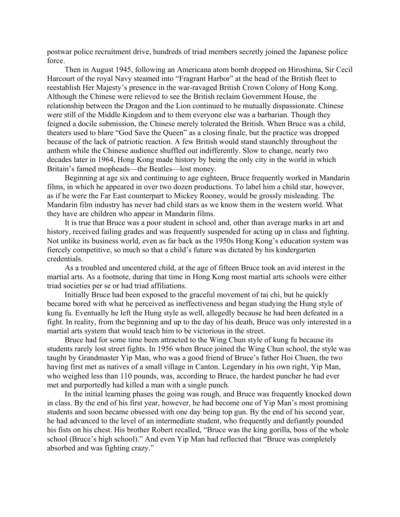postwar police recruitment drive, hundreds of triad members secretly joined the Japanese police force.

 Then in August 1945, following an Americana atom bomb dropped on Hiroshima, Sir Cecil Harcourt of the royal Navy steamed into "Fragrant Harbor" at the head of the British fleet to reestablish Her Majesty's presence in the war-ravaged British Crown Colony of Hong Kong. Although the Chinese were relieved to see the British reclaim Government House, the relationship between the Dragon and the Lion continued to be mutually dispassionate. Chinese were still of the Middle Kingdom and to them everyone else was a barbarian. Though they feigned a docile submission, the Chinese merely tolerated the British. When Bruce was a child, theaters used to blare "God Save the Queen" as a closing finale, but the practice was dropped because of the lack of patriotic reaction. A few British would stand staunchly throughout the anthem while the Chinese audience shuffled out indifferently. Slow to change, nearly two decades later in 1964, Hong Kong made history by being the only city in the world in which Britain's famed mopheads—the Beatles—lost money.

 Beginning at age six and continuing to age eighteen, Bruce frequently worked in Mandarin films, in which he appeared in over two dozen productions. To label him a child star, however, as if he were the Far East counterpart to Mickey Rooney, would be grossly misleading. The Mandarin film industry has never had child stars as we know them in the western world. What they have are children who appear in Mandarin films.

 It is true that Bruce was a poor student in school and, other than average marks in art and history, received failing grades and was frequently suspended for acting up in class and fighting. Not unlike its business world, even as far back as the 1950s Hong Kong's education system was fiercely competitive, so much so that a child's future was dictated by his kindergarten credentials.

 As a troubled and uncentered child, at the age of fifteen Bruce took an avid interest in the martial arts. As a footnote, during that time in Hong Kong most martial arts schools were either triad societies per se or had triad affiliations.

 Initially Bruce had been exposed to the graceful movement of tai chi, but he quickly became bored with what he perceived as ineffectiveness and began studying the Hung style of kung fu. Eventually he left the Hung style as well, allegedly because he had been defeated in a fight. In reality, from the beginning and up to the day of his death, Bruce was only interested in a martial arts system that would teach him to be victorious in the street.

 Bruce had for some time been attracted to the Wing Chun style of kung fu because its students rarely lost street fights. In 1956 when Bruce joined the Wing Chun school, the style was taught by Grandmaster Yip Man, who was a good friend of Bruce's father Hoi Chuen, the two having first met as natives of a small village in Canton. Legendary in his own right, Yip Man, who weighed less than 110 pounds, was, according to Bruce, the hardest puncher he had ever met and purportedly had killed a man with a single punch.

 In the initial learning phases the going was rough, and Bruce was frequently knocked down in class. By the end of his first year, however, he had become one of Yip Man's most promising students and soon became obsessed with one day being top gun. By the end of his second year, he had advanced to the level of an intermediate student, who frequently and defiantly pounded his fists on his chest. His brother Robert recalled, "Bruce was the king gorilla, boss of the whole school (Bruce's high school)." And even Yip Man had reflected that "Bruce was completely absorbed and was fighting crazy."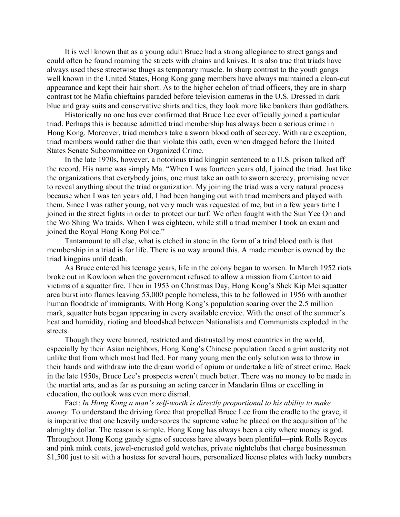It is well known that as a young adult Bruce had a strong allegiance to street gangs and could often be found roaming the streets with chains and knives. It is also true that triads have always used these streetwise thugs as temporary muscle. In sharp contrast to the youth gangs well known in the United States, Hong Kong gang members have always maintained a clean-cut appearance and kept their hair short. As to the higher echelon of triad officers, they are in sharp contrast tot he Mafia chieftains paraded before television cameras in the U.S. Dressed in dark blue and gray suits and conservative shirts and ties, they look more like bankers than godfathers.

 Historically no one has ever confirmed that Bruce Lee ever officially joined a particular triad. Perhaps this is because admitted triad membership has always been a serious crime in Hong Kong. Moreover, triad members take a sworn blood oath of secrecy. With rare exception, triad members would rather die than violate this oath, even when dragged before the United States Senate Subcommittee on Organized Crime.

 In the late 1970s, however, a notorious triad kingpin sentenced to a U.S. prison talked off the record. His name was simply Ma. "When I was fourteen years old, I joined the triad. Just like the organizations that everybody joins, one must take an oath to sworn secrecy, promising never to reveal anything about the triad organization. My joining the triad was a very natural process because when I was ten years old, I had been hanging out with triad members and played with them. Since I was rather young, not very much was requested of me, but in a few years time I joined in the street fights in order to protect our turf. We often fought with the Sun Yee On and the Wo Shing Wo traids. When I was eighteen, while still a triad member I took an exam and joined the Royal Hong Kong Police."

 Tantamount to all else, what is etched in stone in the form of a triad blood oath is that membership in a triad is for life. There is no way around this. A made member is owned by the triad kingpins until death.

 As Bruce entered his teenage years, life in the colony began to worsen. In March 1952 riots broke out in Kowloon when the government refused to allow a mission from Canton to aid victims of a squatter fire. Then in 1953 on Christmas Day, Hong Kong's Shek Kip Mei squatter area burst into flames leaving 53,000 people homeless, this to be followed in 1956 with another human floodtide of immigrants. With Hong Kong's population soaring over the 2.5 million mark, squatter huts began appearing in every available crevice. With the onset of the summer's heat and humidity, rioting and bloodshed between Nationalists and Communists exploded in the streets.

 Though they were banned, restricted and distrusted by most countries in the world, especially by their Asian neighbors, Hong Kong's Chinese population faced a grim austerity not unlike that from which most had fled. For many young men the only solution was to throw in their hands and withdraw into the dream world of opium or undertake a life of street crime. Back in the late 1950s, Bruce Lee's prospects weren't much better. There was no money to be made in the martial arts, and as far as pursuing an acting career in Mandarin films or excelling in education, the outlook was even more dismal.

 Fact: *In Hong Kong a man's self-worth is directly proportional to his ability to make money*. To understand the driving force that propelled Bruce Lee from the cradle to the grave, it is imperative that one heavily underscores the supreme value he placed on the acquisition of the almighty dollar. The reason is simple. Hong Kong has always been a city where money is god. Throughout Hong Kong gaudy signs of success have always been plentiful—pink Rolls Royces and pink mink coats, jewel-encrusted gold watches, private nightclubs that charge businessmen \$1,500 just to sit with a hostess for several hours, personalized license plates with lucky numbers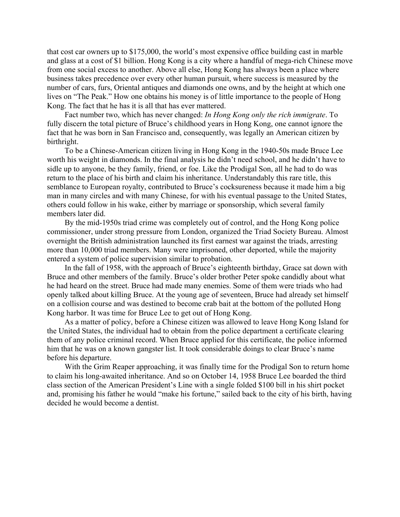that cost car owners up to \$175,000, the world's most expensive office building cast in marble and glass at a cost of \$1 billion. Hong Kong is a city where a handful of mega-rich Chinese move from one social excess to another. Above all else, Hong Kong has always been a place where business takes precedence over every other human pursuit, where success is measured by the number of cars, furs, Oriental antiques and diamonds one owns, and by the height at which one lives on "The Peak." How one obtains his money is of little importance to the people of Hong Kong. The fact that he has it is all that has ever mattered.

 Fact number two, which has never changed: *In Hong Kong only the rich immigrate*. To fully discern the total picture of Bruce's childhood years in Hong Kong, one cannot ignore the fact that he was born in San Francisco and, consequently, was legally an American citizen by birthright.

 To be a Chinese-American citizen living in Hong Kong in the 1940-50s made Bruce Lee worth his weight in diamonds. In the final analysis he didn't need school, and he didn't have to sidle up to anyone, be they family, friend, or foe. Like the Prodigal Son, all he had to do was return to the place of his birth and claim his inheritance. Understandably this rare title, this semblance to European royalty, contributed to Bruce's cocksureness because it made him a big man in many circles and with many Chinese, for with his eventual passage to the United States, others could follow in his wake, either by marriage or sponsorship, which several family members later did.

 By the mid-1950s triad crime was completely out of control, and the Hong Kong police commissioner, under strong pressure from London, organized the Triad Society Bureau. Almost overnight the British administration launched its first earnest war against the triads, arresting more than 10,000 triad members. Many were imprisoned, other deported, while the majority entered a system of police supervision similar to probation.

 In the fall of 1958, with the approach of Bruce's eighteenth birthday, Grace sat down with Bruce and other members of the family. Bruce's older brother Peter spoke candidly about what he had heard on the street. Bruce had made many enemies. Some of them were triads who had openly talked about killing Bruce. At the young age of seventeen, Bruce had already set himself on a collision course and was destined to become crab bait at the bottom of the polluted Hong Kong harbor. It was time for Bruce Lee to get out of Hong Kong.

 As a matter of policy, before a Chinese citizen was allowed to leave Hong Kong Island for the United States, the individual had to obtain from the police department a certificate clearing them of any police criminal record. When Bruce applied for this certificate, the police informed him that he was on a known gangster list. It took considerable doings to clear Bruce's name before his departure.

 With the Grim Reaper approaching, it was finally time for the Prodigal Son to return home to claim his long-awaited inheritance. And so on October 14, 1958 Bruce Lee boarded the third class section of the American President's Line with a single folded \$100 bill in his shirt pocket and, promising his father he would "make his fortune," sailed back to the city of his birth, having decided he would become a dentist.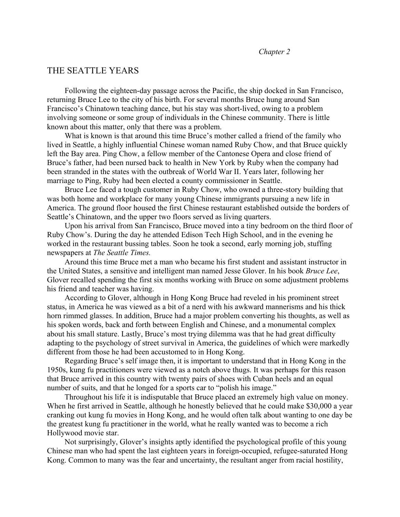### THE SEATTLE YEARS

Following the eighteen-day passage across the Pacific, the ship docked in San Francisco, returning Bruce Lee to the city of his birth. For several months Bruce hung around San Francisco's Chinatown teaching dance, but his stay was short-lived, owing to a problem involving someone or some group of individuals in the Chinese community. There is little known about this matter, only that there was a problem.

 What is known is that around this time Bruce's mother called a friend of the family who lived in Seattle, a highly influential Chinese woman named Ruby Chow, and that Bruce quickly left the Bay area. Ping Chow, a fellow member of the Cantonese Opera and close friend of Bruce's father, had been nursed back to health in New York by Ruby when the company had been stranded in the states with the outbreak of World War II. Years later, following her marriage to Ping, Ruby had been elected a county commissioner in Seattle.

 Bruce Lee faced a tough customer in Ruby Chow, who owned a three-story building that was both home and workplace for many young Chinese immigrants pursuing a new life in America. The ground floor housed the first Chinese restaurant established outside the borders of Seattle's Chinatown, and the upper two floors served as living quarters.

 Upon his arrival from San Francisco, Bruce moved into a tiny bedroom on the third floor of Ruby Chow's. During the day he attended Edison Tech High School, and in the evening he worked in the restaurant bussing tables. Soon he took a second, early morning job, stuffing newspapers at *The Seattle Times.* 

 Around this time Bruce met a man who became his first student and assistant instructor in the United States, a sensitive and intelligent man named Jesse Glover. In his book *Bruce Lee*, Glover recalled spending the first six months working with Bruce on some adjustment problems his friend and teacher was having.

 According to Glover, although in Hong Kong Bruce had reveled in his prominent street status, in America he was viewed as a bit of a nerd with his awkward mannerisms and his thick horn rimmed glasses. In addition, Bruce had a major problem converting his thoughts, as well as his spoken words, back and forth between English and Chinese, and a monumental complex about his small stature. Lastly, Bruce's most trying dilemma was that he had great difficulty adapting to the psychology of street survival in America, the guidelines of which were markedly different from those he had been accustomed to in Hong Kong.

 Regarding Bruce's self image then, it is important to understand that in Hong Kong in the 1950s, kung fu practitioners were viewed as a notch above thugs. It was perhaps for this reason that Bruce arrived in this country with twenty pairs of shoes with Cuban heels and an equal number of suits, and that he longed for a sports car to "polish his image."

 Throughout his life it is indisputable that Bruce placed an extremely high value on money. When he first arrived in Seattle, although he honestly believed that he could make \$30,000 a year cranking out kung fu movies in Hong Kong, and he would often talk about wanting to one day be the greatest kung fu practitioner in the world, what he really wanted was to become a rich Hollywood movie star.

 Not surprisingly, Glover's insights aptly identified the psychological profile of this young Chinese man who had spent the last eighteen years in foreign-occupied, refugee-saturated Hong Kong. Common to many was the fear and uncertainty, the resultant anger from racial hostility,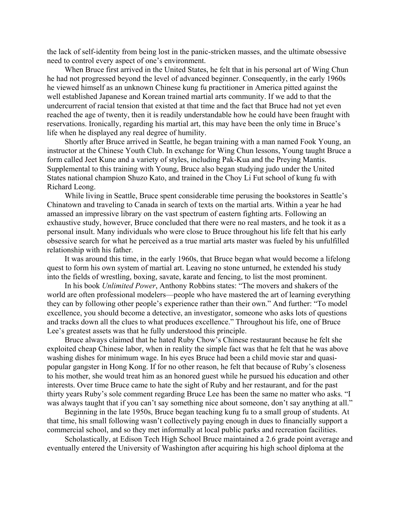the lack of self-identity from being lost in the panic-stricken masses, and the ultimate obsessive need to control every aspect of one's environment.

 When Bruce first arrived in the United States, he felt that in his personal art of Wing Chun he had not progressed beyond the level of advanced beginner. Consequently, in the early 1960s he viewed himself as an unknown Chinese kung fu practitioner in America pitted against the well established Japanese and Korean trained martial arts community. If we add to that the undercurrent of racial tension that existed at that time and the fact that Bruce had not yet even reached the age of twenty, then it is readily understandable how he could have been fraught with reservations. Ironically, regarding his martial art, this may have been the only time in Bruce's life when he displayed any real degree of humility.

 Shortly after Bruce arrived in Seattle, he began training with a man named Fook Young, an instructor at the Chinese Youth Club. In exchange for Wing Chun lessons, Young taught Bruce a form called Jeet Kune and a variety of styles, including Pak-Kua and the Preying Mantis. Supplemental to this training with Young, Bruce also began studying judo under the United States national champion Shuzo Kato, and trained in the Choy Li Fut school of kung fu with Richard Leong.

 While living in Seattle, Bruce spent considerable time perusing the bookstores in Seattle's Chinatown and traveling to Canada in search of texts on the martial arts. Within a year he had amassed an impressive library on the vast spectrum of eastern fighting arts. Following an exhaustive study, however, Bruce concluded that there were no real masters, and he took it as a personal insult. Many individuals who were close to Bruce throughout his life felt that his early obsessive search for what he perceived as a true martial arts master was fueled by his unfulfilled relationship with his father.

 It was around this time, in the early 1960s, that Bruce began what would become a lifelong quest to form his own system of martial art. Leaving no stone unturned, he extended his study into the fields of wrestling, boxing, savate, karate and fencing, to list the most prominent.

 In his book *Unlimited Power*, Anthony Robbins states: "The movers and shakers of the world are often professional modelers—people who have mastered the art of learning everything they can by following other people's experience rather than their own." And further: "To model excellence, you should become a detective, an investigator, someone who asks lots of questions and tracks down all the clues to what produces excellence." Throughout his life, one of Bruce Lee's greatest assets was that he fully understood this principle.

 Bruce always claimed that he hated Ruby Chow's Chinese restaurant because he felt she exploited cheap Chinese labor, when in reality the simple fact was that he felt that he was above washing dishes for minimum wage. In his eyes Bruce had been a child movie star and quasipopular gangster in Hong Kong. If for no other reason, he felt that because of Ruby's closeness to his mother, she would treat him as an honored guest while he pursued his education and other interests. Over time Bruce came to hate the sight of Ruby and her restaurant, and for the past thirty years Ruby's sole comment regarding Bruce Lee has been the same no matter who asks. "I was always taught that if you can't say something nice about someone, don't say anything at all."

 Beginning in the late 1950s, Bruce began teaching kung fu to a small group of students. At that time, his small following wasn't collectively paying enough in dues to financially support a commercial school, and so they met informally at local public parks and recreation facilities.

 Scholastically, at Edison Tech High School Bruce maintained a 2.6 grade point average and eventually entered the University of Washington after acquiring his high school diploma at the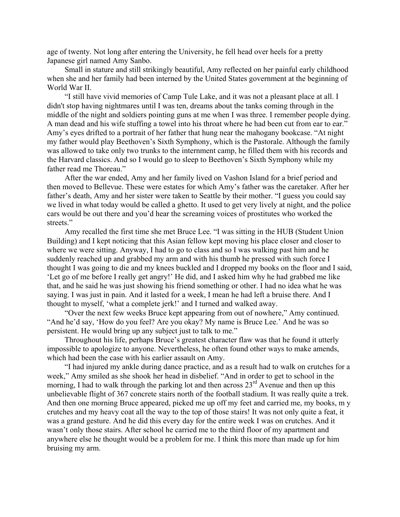age of twenty. Not long after entering the University, he fell head over heels for a pretty Japanese girl named Amy Sanbo.

 Small in stature and still strikingly beautiful, Amy reflected on her painful early childhood when she and her family had been interned by the United States government at the beginning of World War II.

 "I still have vivid memories of Camp Tule Lake, and it was not a pleasant place at all. I didn't stop having nightmares until I was ten, dreams about the tanks coming through in the middle of the night and soldiers pointing guns at me when I was three. I remember people dying. A man dead and his wife stuffing a towel into his throat where he had been cut from ear to ear." Amy's eyes drifted to a portrait of her father that hung near the mahogany bookcase. "At night my father would play Beethoven's Sixth Symphony, which is the Pastorale. Although the family was allowed to take only two trunks to the internment camp, he filled them with his records and the Harvard classics. And so I would go to sleep to Beethoven's Sixth Symphony while my father read me Thoreau."

 After the war ended, Amy and her family lived on Vashon Island for a brief period and then moved to Bellevue. These were estates for which Amy's father was the caretaker. After her father's death, Amy and her sister were taken to Seattle by their mother. "I guess you could say we lived in what today would be called a ghetto. It used to get very lively at night, and the police cars would be out there and you'd hear the screaming voices of prostitutes who worked the streets."

 Amy recalled the first time she met Bruce Lee. "I was sitting in the HUB (Student Union Building) and I kept noticing that this Asian fellow kept moving his place closer and closer to where we were sitting. Anyway, I had to go to class and so I was walking past him and he suddenly reached up and grabbed my arm and with his thumb he pressed with such force I thought I was going to die and my knees buckled and I dropped my books on the floor and I said, 'Let go of me before I really get angry!' He did, and I asked him why he had grabbed me like that, and he said he was just showing his friend something or other. I had no idea what he was saying. I was just in pain. And it lasted for a week, I mean he had left a bruise there. And I thought to myself, 'what a complete jerk!' and I turned and walked away.

 "Over the next few weeks Bruce kept appearing from out of nowhere," Amy continued. "And he'd say, 'How do you feel? Are you okay? My name is Bruce Lee.' And he was so persistent. He would bring up any subject just to talk to me."

 Throughout his life, perhaps Bruce's greatest character flaw was that he found it utterly impossible to apologize to anyone. Nevertheless, he often found other ways to make amends, which had been the case with his earlier assault on Amy.

 "I had injured my ankle during dance practice, and as a result had to walk on crutches for a week," Amy smiled as she shook her head in disbelief. "And in order to get to school in the morning, I had to walk through the parking lot and then across  $23<sup>rd</sup>$  Avenue and then up this unbelievable flight of 367 concrete stairs north of the football stadium. It was really quite a trek. And then one morning Bruce appeared, picked me up off my feet and carried me, my books, m y crutches and my heavy coat all the way to the top of those stairs! It was not only quite a feat, it was a grand gesture. And he did this every day for the entire week I was on crutches. And it wasn't only those stairs. After school he carried me to the third floor of my apartment and anywhere else he thought would be a problem for me. I think this more than made up for him bruising my arm.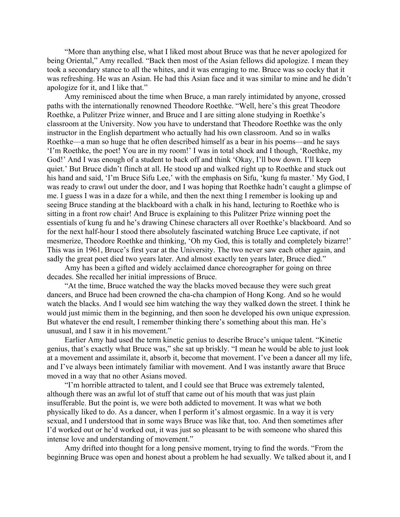"More than anything else, what I liked most about Bruce was that he never apologized for being Oriental," Amy recalled. "Back then most of the Asian fellows did apologize. I mean they took a secondary stance to all the whites, and it was enraging to me. Bruce was so cocky that it was refreshing. He was an Asian. He had this Asian face and it was similar to mine and he didn't apologize for it, and I like that."

 Amy reminisced about the time when Bruce, a man rarely intimidated by anyone, crossed paths with the internationally renowned Theodore Roethke. "Well, here's this great Theodore Roethke, a Pulitzer Prize winner, and Bruce and I are sitting alone studying in Roethke's classroom at the University. Now you have to understand that Theodore Roethke was the only instructor in the English department who actually had his own classroom. And so in walks Roethke—a man so huge that he often described himself as a bear in his poems—and he says 'I'm Roethke, the poet! You are in my room!' I was in total shock and I though, 'Roethke, my God!' And I was enough of a student to back off and think 'Okay, I'll bow down. I'll keep quiet.' But Bruce didn't flinch at all. He stood up and walked right up to Roethke and stuck out his hand and said, 'I'm Bruce Sifu Lee,' with the emphasis on Sifu, 'kung fu master.' My God, I was ready to crawl out under the door, and I was hoping that Roethke hadn't caught a glimpse of me. I guess I was in a daze for a while, and then the next thing I remember is looking up and seeing Bruce standing at the blackboard with a chalk in his hand, lecturing to Roethke who is sitting in a front row chair! And Bruce is explaining to this Pulitzer Prize winning poet the essentials of kung fu and he's drawing Chinese characters all over Roethke's blackboard. And so for the next half-hour I stood there absolutely fascinated watching Bruce Lee captivate, if not mesmerize, Theodore Roethke and thinking, 'Oh my God, this is totally and completely bizarre!' This was in 1961, Bruce's first year at the University. The two never saw each other again, and sadly the great poet died two years later. And almost exactly ten years later, Bruce died."

 Amy has been a gifted and widely acclaimed dance choreographer for going on three decades. She recalled her initial impressions of Bruce.

 "At the time, Bruce watched the way the blacks moved because they were such great dancers, and Bruce had been crowned the cha-cha champion of Hong Kong. And so he would watch the blacks. And I would see him watching the way they walked down the street. I think he would just mimic them in the beginning, and then soon he developed his own unique expression. But whatever the end result, I remember thinking there's something about this man. He's unusual, and I saw it in his movement."

 Earlier Amy had used the term kinetic genius to describe Bruce's unique talent. "Kinetic genius, that's exactly what Bruce was," she sat up briskly. "I mean he would be able to just look at a movement and assimilate it, absorb it, become that movement. I've been a dancer all my life, and I've always been intimately familiar with movement. And I was instantly aware that Bruce moved in a way that no other Asians moved.

 "I'm horrible attracted to talent, and I could see that Bruce was extremely talented, although there was an awful lot of stuff that came out of his mouth that was just plain insufferable. But the point is, we were both addicted to movement. It was what we both physically liked to do. As a dancer, when I perform it's almost orgasmic. In a way it is very sexual, and I understood that in some ways Bruce was like that, too. And then sometimes after I'd worked out or he'd worked out, it was just so pleasant to be with someone who shared this intense love and understanding of movement."

 Amy drifted into thought for a long pensive moment, trying to find the words. "From the beginning Bruce was open and honest about a problem he had sexually. We talked about it, and I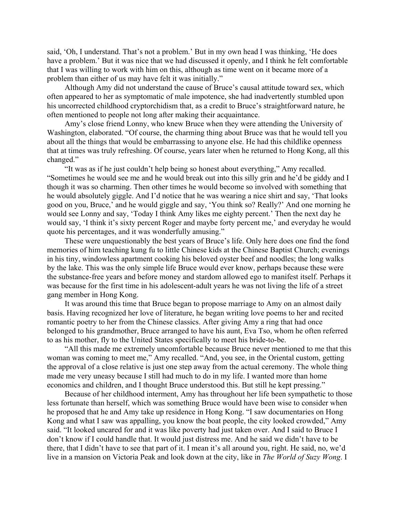said, 'Oh, I understand. That's not a problem.' But in my own head I was thinking, 'He does have a problem.' But it was nice that we had discussed it openly, and I think he felt comfortable that I was willing to work with him on this, although as time went on it became more of a problem than either of us may have felt it was initially."

 Although Amy did not understand the cause of Bruce's causal attitude toward sex, which often appeared to her as symptomatic of male impotence, she had inadvertently stumbled upon his uncorrected childhood cryptorchidism that, as a credit to Bruce's straightforward nature, he often mentioned to people not long after making their acquaintance.

 Amy's close friend Lonny, who knew Bruce when they were attending the University of Washington, elaborated. "Of course, the charming thing about Bruce was that he would tell you about all the things that would be embarrassing to anyone else. He had this childlike openness that at times was truly refreshing. Of course, years later when he returned to Hong Kong, all this changed."

 "It was as if he just couldn't help being so honest about everything," Amy recalled. "Sometimes he would see me and he would break out into this silly grin and he'd be giddy and I though it was so charming. Then other times he would become so involved with something that he would absolutely giggle. And I'd notice that he was wearing a nice shirt and say, 'That looks good on you, Bruce,' and he would giggle and say, 'You think so? Really?' And one morning he would see Lonny and say, 'Today I think Amy likes me eighty percent.' Then the next day he would say, 'I think it's sixty percent Roger and maybe forty percent me,' and everyday he would quote his percentages, and it was wonderfully amusing."

 These were unquestionably the best years of Bruce's life. Only here does one find the fond memories of him teaching kung fu to little Chinese kids at the Chinese Baptist Church; evenings in his tiny, windowless apartment cooking his beloved oyster beef and noodles; the long walks by the lake. This was the only simple life Bruce would ever know, perhaps because these were the substance-free years and before money and stardom allowed ego to manifest itself. Perhaps it was because for the first time in his adolescent-adult years he was not living the life of a street gang member in Hong Kong.

 It was around this time that Bruce began to propose marriage to Amy on an almost daily basis. Having recognized her love of literature, he began writing love poems to her and recited romantic poetry to her from the Chinese classics. After giving Amy a ring that had once belonged to his grandmother, Bruce arranged to have his aunt, Eva Tso, whom he often referred to as his mother, fly to the United States specifically to meet his bride-to-be.

 "All this made me extremely uncomfortable because Bruce never mentioned to me that this woman was coming to meet me," Amy recalled. "And, you see, in the Oriental custom, getting the approval of a close relative is just one step away from the actual ceremony. The whole thing made me very uneasy because I still had much to do in my life. I wanted more than home economics and children, and I thought Bruce understood this. But still he kept pressing."

 Because of her childhood interment, Amy has throughout her life been sympathetic to those less fortunate than herself, which was something Bruce would have been wise to consider when he proposed that he and Amy take up residence in Hong Kong. "I saw documentaries on Hong Kong and what I saw was appalling, you know the boat people, the city looked crowded," Amy said. "It looked uncared for and it was like poverty had just taken over. And I said to Bruce I don't know if I could handle that. It would just distress me. And he said we didn't have to be there, that I didn't have to see that part of it. I mean it's all around you, right. He said, no, we'd live in a mansion on Victoria Peak and look down at the city, like in *The World of Suzy Wong*. I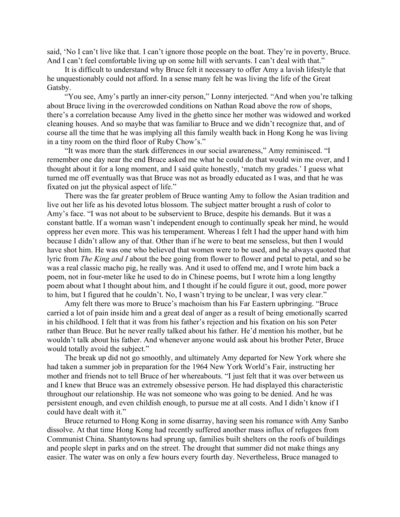said, 'No I can't live like that. I can't ignore those people on the boat. They're in poverty, Bruce. And I can't feel comfortable living up on some hill with servants. I can't deal with that."

 It is difficult to understand why Bruce felt it necessary to offer Amy a lavish lifestyle that he unquestionably could not afford. In a sense many felt he was living the life of the Great Gatsby.

 "You see, Amy's partly an inner-city person," Lonny interjected. "And when you're talking about Bruce living in the overcrowded conditions on Nathan Road above the row of shops, there's a correlation because Amy lived in the ghetto since her mother was widowed and worked cleaning houses. And so maybe that was familiar to Bruce and we didn't recognize that, and of course all the time that he was implying all this family wealth back in Hong Kong he was living in a tiny room on the third floor of Ruby Chow's."

 "It was more than the stark differences in our social awareness," Amy reminisced. "I remember one day near the end Bruce asked me what he could do that would win me over, and I thought about it for a long moment, and I said quite honestly, 'match my grades.' I guess what turned me off eventually was that Bruce was not as broadly educated as I was, and that he was fixated on jut the physical aspect of life."

 There was the far greater problem of Bruce wanting Amy to follow the Asian tradition and live out her life as his devoted lotus blossom. The subject matter brought a rush of color to Amy's face. "I was not about to be subservient to Bruce, despite his demands. But it was a constant battle. If a woman wasn't independent enough to continually speak her mind, he would oppress her even more. This was his temperament. Whereas I felt I had the upper hand with him because I didn't allow any of that. Other than if he were to beat me senseless, but then I would have shot him. He was one who believed that women were to be used, and he always quoted that lyric from *The King and I* about the bee going from flower to flower and petal to petal, and so he was a real classic macho pig, he really was. And it used to offend me, and I wrote him back a poem, not in four-meter like he used to do in Chinese poems, but I wrote him a long lengthy poem about what I thought about him, and I thought if he could figure it out, good, more power to him, but I figured that he couldn't. No, I wasn't trying to be unclear, I was very clear."

 Amy felt there was more to Bruce's machoism than his Far Eastern upbringing. "Bruce carried a lot of pain inside him and a great deal of anger as a result of being emotionally scarred in his childhood. I felt that it was from his father's rejection and his fixation on his son Peter rather than Bruce. But he never really talked about his father. He'd mention his mother, but he wouldn't talk about his father. And whenever anyone would ask about his brother Peter, Bruce would totally avoid the subject."

 The break up did not go smoothly, and ultimately Amy departed for New York where she had taken a summer job in preparation for the 1964 New York World's Fair, instructing her mother and friends not to tell Bruce of her whereabouts. "I just felt that it was over between us and I knew that Bruce was an extremely obsessive person. He had displayed this characteristic throughout our relationship. He was not someone who was going to be denied. And he was persistent enough, and even childish enough, to pursue me at all costs. And I didn't know if I could have dealt with it."

 Bruce returned to Hong Kong in some disarray, having seen his romance with Amy Sanbo dissolve. At that time Hong Kong had recently suffered another mass influx of refugees from Communist China. Shantytowns had sprung up, families built shelters on the roofs of buildings and people slept in parks and on the street. The drought that summer did not make things any easier. The water was on only a few hours every fourth day. Nevertheless, Bruce managed to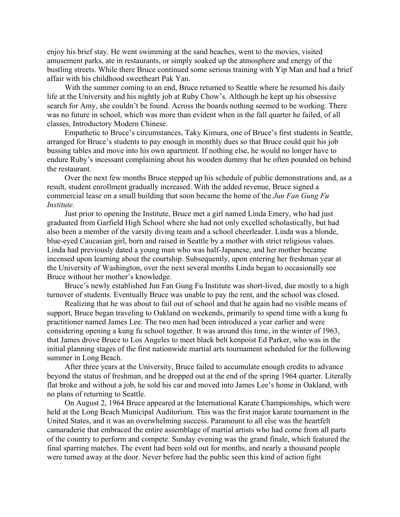enjoy his brief stay. He went swimming at the sand beaches, went to the movies, visited amusement parks, ate in restaurants, or simply soaked up the atmosphere and energy of the bustling streets. While there Bruce continued some serious training with Yip Man and had a brief affair with his childhood sweetheart Pak Yan.

 With the summer coming to an end, Bruce returned to Seattle where he resumed his daily life at the University and his nightly job at Ruby Chow's. Although he kept up his obsessive search for Amy, she couldn't be found. Across the boards nothing seemed to be working. There was no future in school, which was more than evident when in the fall quarter he failed, of all classes, Introductory Modern Chinese.

 Empathetic to Bruce's circumstances, Taky Kimura, one of Bruce's first students in Seattle, arranged for Bruce's students to pay enough in monthly dues so that Bruce could quit his job bussing tables and move into his own apartment. If nothing else, he would no longer have to endure Ruby's incessant complaining about his wooden dummy that he often pounded on behind the restaurant.

 Over the next few months Bruce stepped up his schedule of public demonstrations and, as a result, student enrollment gradually increased. With the added revenue, Bruce signed a commercial lease on a small building that soon became the home of the *Jun Fan Gung Fu Institute.*

 Just prior to opening the Institute, Bruce met a girl named Linda Emery, who had just graduated from Garfield High School where she had not only excelled scholastically, but had also been a member of the varsity diving team and a school cheerleader. Linda was a blonde, blue-eyed Caucasian girl, born and raised in Seattle by a mother with strict religious values. Linda had previously dated a young man who was half-Japanese, and her mother became incensed upon learning about the courtship. Subsequently, upon entering her freshman year at the University of Washington, over the next several months Linda began to occasionally see Bruce without her mother's knowledge.

 Bruce's newly established Jun Fan Gung Fu Institute was short-lived, due mostly to a high turnover of students. Eventually Bruce was unable to pay the rent, and the school was closed.

 Realizing that he was about to fail out of school and that he again had no visible means of support, Bruce began traveling to Oakland on weekends, primarily to spend time with a kung fu practitioner named James Lee. The two men had been introduced a year earlier and were considering opening a kung fu school together. It was around this time, in the winter of 1963, that James drove Bruce to Los Angeles to meet black belt kenpoist Ed Parker, who was in the initial planning stages of the first nationwide martial arts tournament scheduled for the following summer in Long Beach.

 After three years at the University, Bruce failed to accumulate enough credits to advance beyond the status of freshman, and he dropped out at the end of the spring 1964 quarter. Literally flat broke and without a job, he sold his car and moved into James Lee's home in Oakland, with no plans of returning to Seattle.

 On August 2, 1964 Bruce appeared at the International Karate Championships, which were held at the Long Beach Municipal Auditorium. This was the first major karate tournament in the United States, and it was an overwhelming success. Paramount to all else was the heartfelt camaraderie that embraced the entire assemblage of martial artists who had come from all parts of the country to perform and compete. Sunday evening was the grand finale, which featured the final sparring matches. The event had been sold out for months, and nearly a thousand people were turned away at the door. Never before had the public seen this kind of action fight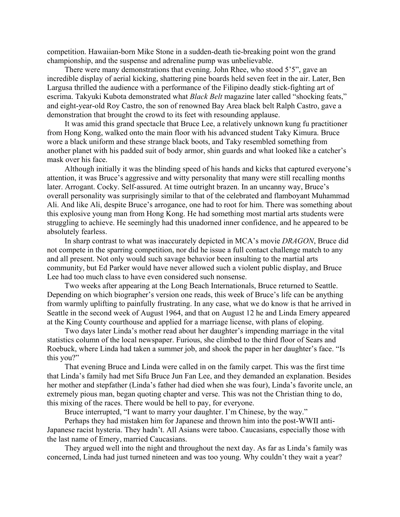competition. Hawaiian-born Mike Stone in a sudden-death tie-breaking point won the grand championship, and the suspense and adrenaline pump was unbelievable.

 There were many demonstrations that evening. John Rhee, who stood 5'5", gave an incredible display of aerial kicking, shattering pine boards held seven feet in the air. Later, Ben Largusa thrilled the audience with a performance of the Filipino deadly stick-fighting art of escrima. Takyuki Kubota demonstrated what *Black Belt* magazine later called "shocking feats," and eight-year-old Roy Castro, the son of renowned Bay Area black belt Ralph Castro, gave a demonstration that brought the crowd to its feet with resounding applause.

 It was amid this grand spectacle that Bruce Lee, a relatively unknown kung fu practitioner from Hong Kong, walked onto the main floor with his advanced student Taky Kimura. Bruce wore a black uniform and these strange black boots, and Taky resembled something from another planet with his padded suit of body armor, shin guards and what looked like a catcher's mask over his face.

 Although initially it was the blinding speed of his hands and kicks that captured everyone's attention, it was Bruce's aggressive and witty personality that many were still recalling months later. Arrogant. Cocky. Self-assured. At time outright brazen. In an uncanny way, Bruce's overall personality was surprisingly similar to that of the celebrated and flamboyant Muhammad Ali. And like Ali, despite Bruce's arrogance, one had to root for him. There was something about this explosive young man from Hong Kong. He had something most martial arts students were struggling to achieve. He seemingly had this unadorned inner confidence, and he appeared to be absolutely fearless.

 In sharp contrast to what was inaccurately depicted in MCA's movie *DRAGON*, Bruce did not compete in the sparring competition, nor did he issue a full contact challenge match to any and all present. Not only would such savage behavior been insulting to the martial arts community, but Ed Parker would have never allowed such a violent public display, and Bruce Lee had too much class to have even considered such nonsense.

 Two weeks after appearing at the Long Beach Internationals, Bruce returned to Seattle. Depending on which biographer's version one reads, this week of Bruce's life can be anything from warmly uplifting to painfully frustrating. In any case, what we do know is that he arrived in Seattle in the second week of August 1964, and that on August 12 he and Linda Emery appeared at the King County courthouse and applied for a marriage license, with plans of eloping.

 Two days later Linda's mother read about her daughter's impending marriage in the vital statistics column of the local newspaper. Furious, she climbed to the third floor of Sears and Roebuck, where Linda had taken a summer job, and shook the paper in her daughter's face. "Is this you?"

 That evening Bruce and Linda were called in on the family carpet. This was the first time that Linda's family had met Sifu Bruce Jun Fan Lee, and they demanded an explanation. Besides her mother and stepfather (Linda's father had died when she was four), Linda's favorite uncle, an extremely pious man, began quoting chapter and verse. This was not the Christian thing to do, this mixing of the races. There would be hell to pay, for everyone.

Bruce interrupted, "I want to marry your daughter. I'm Chinese, by the way."

 Perhaps they had mistaken him for Japanese and thrown him into the post-WWII anti-Japanese racist hysteria. They hadn't. All Asians were taboo. Caucasians, especially those with the last name of Emery, married Caucasians.

 They argued well into the night and throughout the next day. As far as Linda's family was concerned, Linda had just turned nineteen and was too young. Why couldn't they wait a year?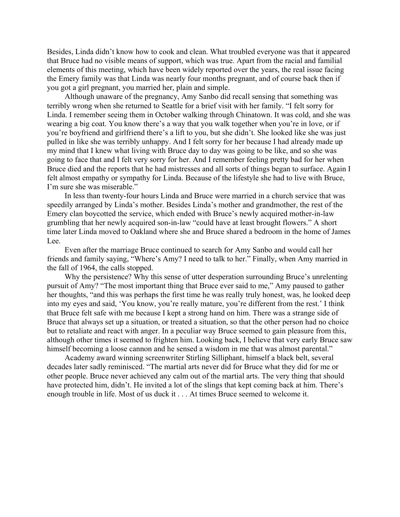Besides, Linda didn't know how to cook and clean. What troubled everyone was that it appeared that Bruce had no visible means of support, which was true. Apart from the racial and familial elements of this meeting, which have been widely reported over the years, the real issue facing the Emery family was that Linda was nearly four months pregnant, and of course back then if you got a girl pregnant, you married her, plain and simple.

 Although unaware of the pregnancy, Amy Sanbo did recall sensing that something was terribly wrong when she returned to Seattle for a brief visit with her family. "I felt sorry for Linda. I remember seeing them in October walking through Chinatown. It was cold, and she was wearing a big coat. You know there's a way that you walk together when you're in love, or if you're boyfriend and girlfriend there's a lift to you, but she didn't. She looked like she was just pulled in like she was terribly unhappy. And I felt sorry for her because I had already made up my mind that I knew what living with Bruce day to day was going to be like, and so she was going to face that and I felt very sorry for her. And I remember feeling pretty bad for her when Bruce died and the reports that he had mistresses and all sorts of things began to surface. Again I felt almost empathy or sympathy for Linda. Because of the lifestyle she had to live with Bruce, I'm sure she was miserable."

 In less than twenty-four hours Linda and Bruce were married in a church service that was speedily arranged by Linda's mother. Besides Linda's mother and grandmother, the rest of the Emery clan boycotted the service, which ended with Bruce's newly acquired mother-in-law grumbling that her newly acquired son-in-law "could have at least brought flowers." A short time later Linda moved to Oakland where she and Bruce shared a bedroom in the home of James Lee.

 Even after the marriage Bruce continued to search for Amy Sanbo and would call her friends and family saying, "Where's Amy? I need to talk to her." Finally, when Amy married in the fall of 1964, the calls stopped.

 Why the persistence? Why this sense of utter desperation surrounding Bruce's unrelenting pursuit of Amy? "The most important thing that Bruce ever said to me," Amy paused to gather her thoughts, "and this was perhaps the first time he was really truly honest, was, he looked deep into my eyes and said, 'You know, you're really mature, you're different from the rest.' I think that Bruce felt safe with me because I kept a strong hand on him. There was a strange side of Bruce that always set up a situation, or treated a situation, so that the other person had no choice but to retaliate and react with anger. In a peculiar way Bruce seemed to gain pleasure from this, although other times it seemed to frighten him. Looking back, I believe that very early Bruce saw himself becoming a loose cannon and he sensed a wisdom in me that was almost parental."

 Academy award winning screenwriter Stirling Silliphant, himself a black belt, several decades later sadly reminisced. "The martial arts never did for Bruce what they did for me or other people. Bruce never achieved any calm out of the martial arts. The very thing that should have protected him, didn't. He invited a lot of the slings that kept coming back at him. There's enough trouble in life. Most of us duck it . . . At times Bruce seemed to welcome it.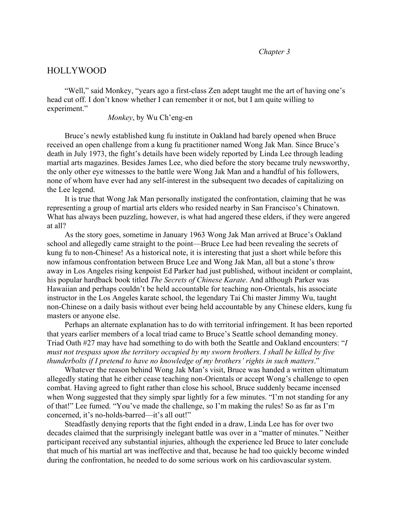#### HOLLYWOOD

"Well," said Monkey, "years ago a first-class Zen adept taught me the art of having one's head cut off. I don't know whether I can remember it or not, but I am quite willing to experiment."

*Monkey*, by Wu Ch'eng-en

 Bruce's newly established kung fu institute in Oakland had barely opened when Bruce received an open challenge from a kung fu practitioner named Wong Jak Man. Since Bruce's death in July 1973, the fight's details have been widely reported by Linda Lee through leading martial arts magazines. Besides James Lee, who died before the story became truly newsworthy, the only other eye witnesses to the battle were Wong Jak Man and a handful of his followers, none of whom have ever had any self-interest in the subsequent two decades of capitalizing on the Lee legend.

 It is true that Wong Jak Man personally instigated the confrontation, claiming that he was representing a group of martial arts elders who resided nearby in San Francisco's Chinatown. What has always been puzzling, however, is what had angered these elders, if they were angered at all?

 As the story goes, sometime in January 1963 Wong Jak Man arrived at Bruce's Oakland school and allegedly came straight to the point—Bruce Lee had been revealing the secrets of kung fu to non-Chinese! As a historical note, it is interesting that just a short while before this now infamous confrontation between Bruce Lee and Wong Jak Man, all but a stone's throw away in Los Angeles rising kenpoist Ed Parker had just published, without incident or complaint, his popular hardback book titled *The Secrets of Chinese Karate*. And although Parker was Hawaiian and perhaps couldn't be held accountable for teaching non-Orientals, his associate instructor in the Los Angeles karate school, the legendary Tai Chi master Jimmy Wu, taught non-Chinese on a daily basis without ever being held accountable by any Chinese elders, kung fu masters or anyone else.

 Perhaps an alternate explanation has to do with territorial infringement. It has been reported that years earlier members of a local triad came to Bruce's Seattle school demanding money. Triad Oath #27 may have had something to do with both the Seattle and Oakland encounters: "*I must not trespass upon the territory occupied by my sworn brothers. I shall be killed by five thunderbolts if I pretend to have no knowledge of my brothers' rights in such matters*."

 Whatever the reason behind Wong Jak Man's visit, Bruce was handed a written ultimatum allegedly stating that he either cease teaching non-Orientals or accept Wong's challenge to open combat. Having agreed to fight rather than close his school, Bruce suddenly became incensed when Wong suggested that they simply spar lightly for a few minutes. "I'm not standing for any of that!" Lee fumed. "You've made the challenge, so I'm making the rules! So as far as I'm concerned, it's no-holds-barred—it's all out!"

 Steadfastly denying reports that the fight ended in a draw, Linda Lee has for over two decades claimed that the surprisingly inelegant battle was over in a "matter of minutes." Neither participant received any substantial injuries, although the experience led Bruce to later conclude that much of his martial art was ineffective and that, because he had too quickly become winded during the confrontation, he needed to do some serious work on his cardiovascular system.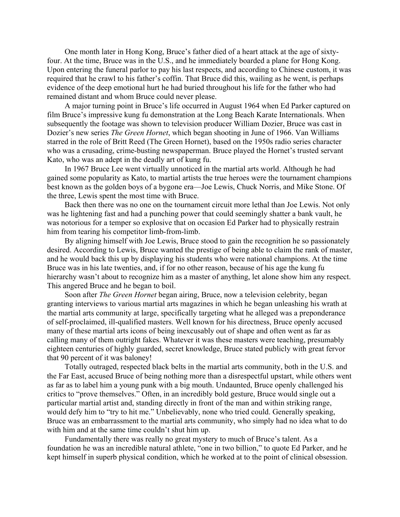One month later in Hong Kong, Bruce's father died of a heart attack at the age of sixtyfour. At the time, Bruce was in the U.S., and he immediately boarded a plane for Hong Kong. Upon entering the funeral parlor to pay his last respects, and according to Chinese custom, it was required that he crawl to his father's coffin. That Bruce did this, wailing as he went, is perhaps evidence of the deep emotional hurt he had buried throughout his life for the father who had remained distant and whom Bruce could never please.

 A major turning point in Bruce's life occurred in August 1964 when Ed Parker captured on film Bruce's impressive kung fu demonstration at the Long Beach Karate Internationals. When subsequently the footage was shown to television producer William Dozier, Bruce was cast in Dozier's new series *The Green Hornet*, which began shooting in June of 1966. Van Williams starred in the role of Britt Reed (The Green Hornet), based on the 1950s radio series character who was a crusading, crime-busting newspaperman. Bruce played the Hornet's trusted servant Kato, who was an adept in the deadly art of kung fu.

 In 1967 Bruce Lee went virtually unnoticed in the martial arts world. Although he had gained some popularity as Kato, to martial artists the true heroes were the tournament champions best known as the golden boys of a bygone era—Joe Lewis, Chuck Norris, and Mike Stone. Of the three, Lewis spent the most time with Bruce.

 Back then there was no one on the tournament circuit more lethal than Joe Lewis. Not only was he lightening fast and had a punching power that could seemingly shatter a bank vault, he was notorious for a temper so explosive that on occasion Ed Parker had to physically restrain him from tearing his competitor limb-from-limb.

 By aligning himself with Joe Lewis, Bruce stood to gain the recognition he so passionately desired. According to Lewis, Bruce wanted the prestige of being able to claim the rank of master, and he would back this up by displaying his students who were national champions. At the time Bruce was in his late twenties, and, if for no other reason, because of his age the kung fu hierarchy wasn't about to recognize him as a master of anything, let alone show him any respect. This angered Bruce and he began to boil.

Soon after *The Green Hornet* began airing, Bruce, now a television celebrity, began granting interviews to various martial arts magazines in which he began unleashing his wrath at the martial arts community at large, specifically targeting what he alleged was a preponderance of self-proclaimed, ill-qualified masters. Well known for his directness, Bruce openly accused many of these martial arts icons of being inexcusably out of shape and often went as far as calling many of them outright fakes. Whatever it was these masters were teaching, presumably eighteen centuries of highly guarded, secret knowledge, Bruce stated publicly with great fervor that 90 percent of it was baloney!

 Totally outraged, respected black belts in the martial arts community, both in the U.S. and the Far East, accused Bruce of being nothing more than a disrespectful upstart, while others went as far as to label him a young punk with a big mouth. Undaunted, Bruce openly challenged his critics to "prove themselves." Often, in an incredibly bold gesture, Bruce would single out a particular martial artist and, standing directly in front of the man and within striking range, would defy him to "try to hit me." Unbelievably, none who tried could. Generally speaking, Bruce was an embarrassment to the martial arts community, who simply had no idea what to do with him and at the same time couldn't shut him up.

 Fundamentally there was really no great mystery to much of Bruce's talent. As a foundation he was an incredible natural athlete, "one in two billion," to quote Ed Parker, and he kept himself in superb physical condition, which he worked at to the point of clinical obsession.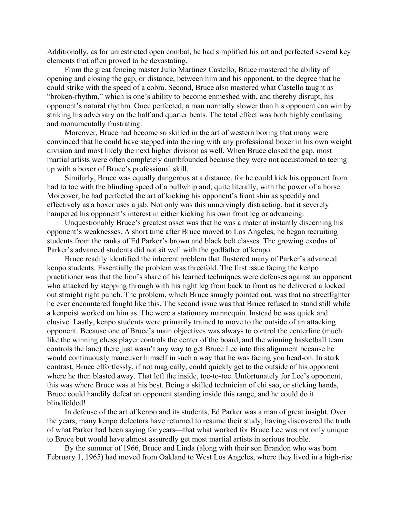Additionally, as for unrestricted open combat, he had simplified his art and perfected several key elements that often proved to be devastating.

 From the great fencing master Julio Martinez Castello, Bruce mastered the ability of opening and closing the gap, or distance, between him and his opponent, to the degree that he could strike with the speed of a cobra. Second, Bruce also mastered what Castello taught as "broken-rhythm," which is one's ability to become enmeshed with, and thereby disrupt, his opponent's natural rhythm. Once perfected, a man normally slower than his opponent can win by striking his adversary on the half and quarter beats. The total effect was both highly confusing and monumentally frustrating.

 Moreover, Bruce had become so skilled in the art of western boxing that many were convinced that he could have stepped into the ring with any professional boxer in his own weight division and most likely the next higher division as well. When Bruce closed the gap, most martial artists were often completely dumbfounded because they were not accustomed to teeing up with a boxer of Bruce's professional skill.

 Similarly, Bruce was equally dangerous at a distance, for he could kick his opponent from had to toe with the blinding speed of a bullwhip and, quite literally, with the power of a horse. Moreover, he had perfected the art of kicking his opponent's front shin as speedily and effectively as a boxer uses a jab. Not only was this unnervingly distracting, but it severely hampered his opponent's interest in either kicking his own front leg or advancing.

 Unquestionably Bruce's greatest asset was that he was a mater at instantly discerning his opponent's weaknesses. A short time after Bruce moved to Los Angeles, he began recruiting students from the ranks of Ed Parker's brown and black belt classes. The growing exodus of Parker's advanced students did not sit well with the godfather of kenpo.

 Bruce readily identified the inherent problem that flustered many of Parker's advanced kenpo students. Essentially the problem was threefold. The first issue facing the kenpo practitioner was that the lion's share of his learned techniques were defenses against an opponent who attacked by stepping through with his right leg from back to front as he delivered a locked out straight right punch. The problem, which Bruce smugly pointed out, was that no streetfighter he ever encountered fought like this. The second issue was that Bruce refused to stand still while a kenpoist worked on him as if he were a stationary mannequin. Instead he was quick and elusive. Lastly, kenpo students were primarily trained to move to the outside of an attacking opponent. Because one of Bruce's main objectives was always to control the centerline (much like the winning chess player controls the center of the board, and the winning basketball team controls the lane) there just wasn't any way to get Bruce Lee into this alignment because he would continuously maneuver himself in such a way that he was facing you head-on. In stark contrast, Bruce effortlessly, if not magically, could quickly get to the outside of his opponent where he then blasted away. That left the inside, toe-to-toe. Unfortunately for Lee's opponent, this was where Bruce was at his best. Being a skilled technician of chi sao, or sticking hands, Bruce could handily defeat an opponent standing inside this range, and he could do it blindfolded!

 In defense of the art of kenpo and its students, Ed Parker was a man of great insight. Over the years, many kenpo defectors have returned to resume their study, having discovered the truth of what Parker had been saying for years—that what worked for Bruce Lee was not only unique to Bruce but would have almost assuredly get most martial artists in serious trouble.

 By the summer of 1966, Bruce and Linda (along with their son Brandon who was born February 1, 1965) had moved from Oakland to West Los Angeles, where they lived in a high-rise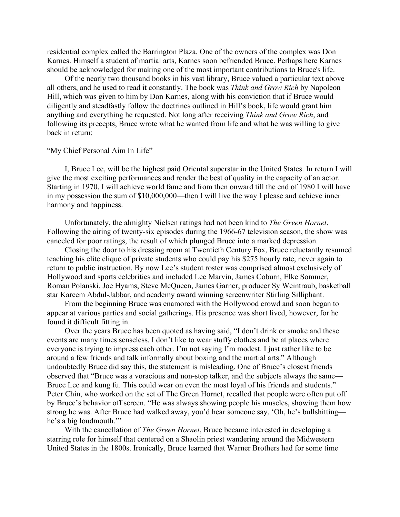residential complex called the Barrington Plaza. One of the owners of the complex was Don Karnes. Himself a student of martial arts, Karnes soon befriended Bruce. Perhaps here Karnes should be acknowledged for making one of the most important contributions to Bruce's life.

 Of the nearly two thousand books in his vast library, Bruce valued a particular text above all others, and he used to read it constantly. The book was *Think and Grow Rich* by Napoleon Hill, which was given to him by Don Karnes, along with his conviction that if Bruce would diligently and steadfastly follow the doctrines outlined in Hill's book, life would grant him anything and everything he requested. Not long after receiving *Think and Grow Rich*, and following its precepts, Bruce wrote what he wanted from life and what he was willing to give back in return:

#### "My Chief Personal Aim In Life"

I, Bruce Lee, will be the highest paid Oriental superstar in the United States. In return I will give the most exciting performances and render the best of quality in the capacity of an actor. Starting in 1970, I will achieve world fame and from then onward till the end of 1980 I will have in my possession the sum of \$10,000,000—then I will live the way I please and achieve inner harmony and happiness.

 Unfortunately, the almighty Nielsen ratings had not been kind to *The Green Hornet*. Following the airing of twenty-six episodes during the 1966-67 television season, the show was canceled for poor ratings, the result of which plunged Bruce into a marked depression.

 Closing the door to his dressing room at Twentieth Century Fox, Bruce reluctantly resumed teaching his elite clique of private students who could pay his \$275 hourly rate, never again to return to public instruction. By now Lee's student roster was comprised almost exclusively of Hollywood and sports celebrities and included Lee Marvin, James Coburn, Elke Sommer, Roman Polanski, Joe Hyams, Steve McQueen, James Garner, producer Sy Weintraub, basketball star Kareem Abdul-Jabbar, and academy award winning screenwriter Stirling Silliphant.

 From the beginning Bruce was enamored with the Hollywood crowd and soon began to appear at various parties and social gatherings. His presence was short lived, however, for he found it difficult fitting in.

 Over the years Bruce has been quoted as having said, "I don't drink or smoke and these events are many times senseless. I don't like to wear stuffy clothes and be at places where everyone is trying to impress each other. I'm not saying I'm modest. I just rather like to be around a few friends and talk informally about boxing and the martial arts." Although undoubtedly Bruce did say this, the statement is misleading. One of Bruce's closest friends observed that "Bruce was a voracious and non-stop talker, and the subjects always the same— Bruce Lee and kung fu. This could wear on even the most loyal of his friends and students." Peter Chin, who worked on the set of The Green Hornet, recalled that people were often put off by Bruce's behavior off screen. "He was always showing people his muscles, showing them how strong he was. After Bruce had walked away, you'd hear someone say, 'Oh, he's bullshitting he's a big loudmouth.'"

 With the cancellation of *The Green Hornet*, Bruce became interested in developing a starring role for himself that centered on a Shaolin priest wandering around the Midwestern United States in the 1800s. Ironically, Bruce learned that Warner Brothers had for some time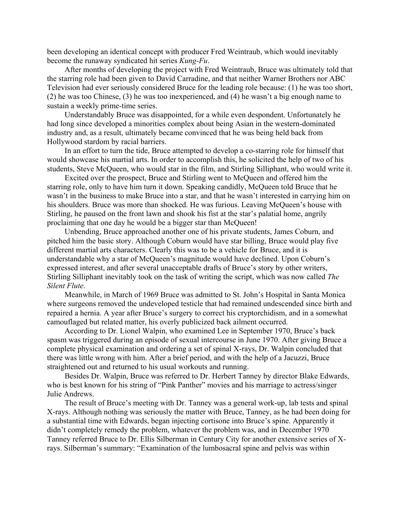been developing an identical concept with producer Fred Weintraub, which would inevitably become the runaway syndicated hit series *Kung-Fu*.

 After months of developing the project with Fred Weintraub, Bruce was ultimately told that the starring role had been given to David Carradine, and that neither Warner Brothers nor ABC Television had ever seriously considered Bruce for the leading role because: (1) he was too short, (2) he was too Chinese, (3) he was too inexperienced, and (4) he wasn't a big enough name to sustain a weekly prime-time series.

 Understandably Bruce was disappointed, for a while even despondent. Unfortunately he had long since developed a minorities complex about being Asian in the western-dominated industry and, as a result, ultimately became convinced that he was being held back from Hollywood stardom by racial barriers.

 In an effort to turn the tide, Bruce attempted to develop a co-starring role for himself that would showcase his martial arts. In order to accomplish this, he solicited the help of two of his students, Steve McQueen, who would star in the film, and Stirling Silliphant, who would write it.

 Excited over the prospect, Bruce and Stirling went to McQueen and offered him the starring role, only to have him turn it down. Speaking candidly, McQueen told Bruce that he wasn't in the business to make Bruce into a star, and that he wasn't interested in carrying him on his shoulders. Bruce was more than shocked. He was furious. Leaving McQueen's house with Stirling, he paused on the front lawn and shook his fist at the star's palatial home, angrily proclaiming that one day he would be a bigger star than McQueen!

 Unbending, Bruce approached another one of his private students, James Coburn, and pitched him the basic story. Although Coburn would have star billing, Bruce would play five different martial arts characters. Clearly this was to be a vehicle for Bruce, and it is understandable why a star of McQueen's magnitude would have declined. Upon Coburn's expressed interest, and after several unacceptable drafts of Bruce's story by other writers, Stirling Silliphant inevitably took on the task of writing the script, which was now called *The Silent Flute*.

 Meanwhile, in March of 1969 Bruce was admitted to St. John's Hospital in Santa Monica where surgeons removed the undeveloped testicle that had remained undescended since birth and repaired a hernia. A year after Bruce's surgery to correct his cryptorchidism, and in a somewhat camouflaged but related matter, his overly publicized back ailment occurred.

 According to Dr. Lionel Walpin, who examined Lee in September 1970, Bruce's back spasm was triggered during an episode of sexual intercourse in June 1970. After giving Bruce a complete physical examination and ordering a set of spinal X-rays, Dr. Walpin concluded that there was little wrong with him. After a brief period, and with the help of a Jacuzzi, Bruce straightened out and returned to his usual workouts and running.

 Besides Dr. Walpin, Bruce was referred to Dr. Herbert Tanney by director Blake Edwards, who is best known for his string of "Pink Panther" movies and his marriage to actress/singer Julie Andrews.

 The result of Bruce's meeting with Dr. Tanney was a general work-up, lab tests and spinal X-rays. Although nothing was seriously the matter with Bruce, Tanney, as he had been doing for a substantial time with Edwards, began injecting cortisone into Bruce's spine. Apparently it didn't completely remedy the problem, whatever the problem was, and in December 1970 Tanney referred Bruce to Dr. Ellis Silberman in Century City for another extensive series of Xrays. Silberman's summary: "Examination of the lumbosacral spine and pelvis was within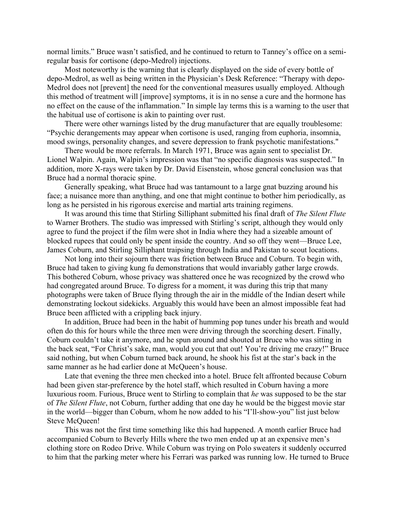normal limits." Bruce wasn't satisfied, and he continued to return to Tanney's office on a semiregular basis for cortisone (depo-Medrol) injections.

 Most noteworthy is the warning that is clearly displayed on the side of every bottle of depo-Medrol, as well as being written in the Physician's Desk Reference: "Therapy with depo-Medrol does not [prevent] the need for the conventional measures usually employed. Although this method of treatment will [improve] symptoms, it is in no sense a cure and the hormone has no effect on the cause of the inflammation." In simple lay terms this is a warning to the user that the habitual use of cortisone is akin to painting over rust.

 There were other warnings listed by the drug manufacturer that are equally troublesome: "Psychic derangements may appear when cortisone is used, ranging from euphoria, insomnia, mood swings, personality changes, and severe depression to frank psychotic manifestations."

 There would be more referrals. In March 1971, Bruce was again sent to specialist Dr. Lionel Walpin. Again, Walpin's impression was that "no specific diagnosis was suspected." In addition, more X-rays were taken by Dr. David Eisenstein, whose general conclusion was that Bruce had a normal thoracic spine.

 Generally speaking, what Bruce had was tantamount to a large gnat buzzing around his face; a nuisance more than anything, and one that might continue to bother him periodically, as long as he persisted in his rigorous exercise and martial arts training regimens.

 It was around this time that Stirling Silliphant submitted his final draft of *The Silent Flute* to Warner Brothers. The studio was impressed with Stirling's script, although they would only agree to fund the project if the film were shot in India where they had a sizeable amount of blocked rupees that could only be spent inside the country. And so off they went—Bruce Lee, James Coburn, and Stirling Silliphant traipsing through India and Pakistan to scout locations.

 Not long into their sojourn there was friction between Bruce and Coburn. To begin with, Bruce had taken to giving kung fu demonstrations that would invariably gather large crowds. This bothered Coburn, whose privacy was shattered once he was recognized by the crowd who had congregated around Bruce. To digress for a moment, it was during this trip that many photographs were taken of Bruce flying through the air in the middle of the Indian desert while demonstrating lockout sidekicks. Arguably this would have been an almost impossible feat had Bruce been afflicted with a crippling back injury.

 In addition, Bruce had been in the habit of humming pop tunes under his breath and would often do this for hours while the three men were driving through the scorching desert. Finally, Coburn couldn't take it anymore, and he spun around and shouted at Bruce who was sitting in the back seat, "For Christ's sake, man, would you cut that out! You're driving me crazy!" Bruce said nothing, but when Coburn turned back around, he shook his fist at the star's back in the same manner as he had earlier done at McQueen's house.

 Late that evening the three men checked into a hotel. Bruce felt affronted because Coburn had been given star-preference by the hotel staff, which resulted in Coburn having a more luxurious room. Furious, Bruce went to Stirling to complain that *he* was supposed to be the star of *The Silent Flute*, not Coburn, further adding that one day he would be the biggest movie star in the world—bigger than Coburn, whom he now added to his "I'll-show-you" list just below Steve McQueen!

 This was not the first time something like this had happened. A month earlier Bruce had accompanied Coburn to Beverly Hills where the two men ended up at an expensive men's clothing store on Rodeo Drive. While Coburn was trying on Polo sweaters it suddenly occurred to him that the parking meter where his Ferrari was parked was running low. He turned to Bruce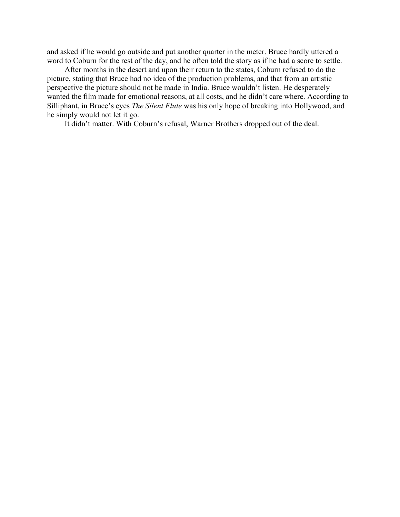and asked if he would go outside and put another quarter in the meter. Bruce hardly uttered a word to Coburn for the rest of the day, and he often told the story as if he had a score to settle.

 After months in the desert and upon their return to the states, Coburn refused to do the picture, stating that Bruce had no idea of the production problems, and that from an artistic perspective the picture should not be made in India. Bruce wouldn't listen. He desperately wanted the film made for emotional reasons, at all costs, and he didn't care where. According to Silliphant, in Bruce's eyes *The Silent Flute* was his only hope of breaking into Hollywood, and he simply would not let it go.

It didn't matter. With Coburn's refusal, Warner Brothers dropped out of the deal.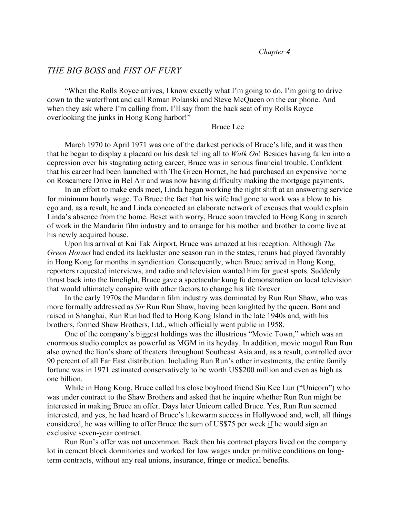### *THE BIG BOSS* and *FIST OF FURY*

"When the Rolls Royce arrives, I know exactly what I'm going to do. I'm going to drive down to the waterfront and call Roman Polanski and Steve McQueen on the car phone. And when they ask where I'm calling from, I'll say from the back seat of my Rolls Royce overlooking the junks in Hong Kong harbor!"

Bruce Lee

March 1970 to April 1971 was one of the darkest periods of Bruce's life, and it was then that he began to display a placard on his desk telling all to *Walk On*! Besides having fallen into a depression over his stagnating acting career, Bruce was in serious financial trouble. Confident that his career had been launched with The Green Hornet, he had purchased an expensive home on Roscamere Drive in Bel Air and was now having difficulty making the mortgage payments.

 In an effort to make ends meet, Linda began working the night shift at an answering service for minimum hourly wage. To Bruce the fact that his wife had gone to work was a blow to his ego and, as a result, he and Linda concocted an elaborate network of excuses that would explain Linda's absence from the home. Beset with worry, Bruce soon traveled to Hong Kong in search of work in the Mandarin film industry and to arrange for his mother and brother to come live at his newly acquired house.

 Upon his arrival at Kai Tak Airport, Bruce was amazed at his reception. Although *The Green Hornet* had ended its lackluster one season run in the states, reruns had played favorably in Hong Kong for months in syndication. Consequently, when Bruce arrived in Hong Kong, reporters requested interviews, and radio and television wanted him for guest spots. Suddenly thrust back into the limelight, Bruce gave a spectacular kung fu demonstration on local television that would ultimately conspire with other factors to change his life forever.

 In the early 1970s the Mandarin film industry was dominated by Run Run Shaw, who was more formally addressed as *Sir* Run Run Shaw, having been knighted by the queen. Born and raised in Shanghai, Run Run had fled to Hong Kong Island in the late 1940s and, with his brothers, formed Shaw Brothers, Ltd., which officially went public in 1958.

 One of the company's biggest holdings was the illustrious "Movie Town," which was an enormous studio complex as powerful as MGM in its heyday. In addition, movie mogul Run Run also owned the lion's share of theaters throughout Southeast Asia and, as a result, controlled over 90 percent of all Far East distribution. Including Run Run's other investments, the entire family fortune was in 1971 estimated conservatively to be worth US\$200 million and even as high as one billion.

 While in Hong Kong, Bruce called his close boyhood friend Siu Kee Lun ("Unicorn") who was under contract to the Shaw Brothers and asked that he inquire whether Run Run might be interested in making Bruce an offer. Days later Unicorn called Bruce. Yes, Run Run seemed interested, and yes, he had heard of Bruce's lukewarm success in Hollywood and, well, all things considered, he was willing to offer Bruce the sum of US\$75 per week if he would sign an exclusive seven-year contract.

 Run Run's offer was not uncommon. Back then his contract players lived on the company lot in cement block dormitories and worked for low wages under primitive conditions on longterm contracts, without any real unions, insurance, fringe or medical benefits.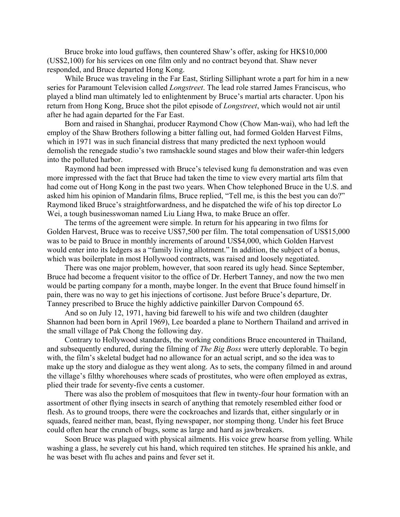Bruce broke into loud guffaws, then countered Shaw's offer, asking for HK\$10,000 (US\$2,100) for his services on one film only and no contract beyond that. Shaw never responded, and Bruce departed Hong Kong.

 While Bruce was traveling in the Far East, Stirling Silliphant wrote a part for him in a new series for Paramount Television called *Longstreet*. The lead role starred James Franciscus, who played a blind man ultimately led to enlightenment by Bruce's martial arts character. Upon his return from Hong Kong, Bruce shot the pilot episode of *Longstreet*, which would not air until after he had again departed for the Far East.

 Born and raised in Shanghai, producer Raymond Chow (Chow Man-wai), who had left the employ of the Shaw Brothers following a bitter falling out, had formed Golden Harvest Films, which in 1971 was in such financial distress that many predicted the next typhoon would demolish the renegade studio's two ramshackle sound stages and blow their wafer-thin ledgers into the polluted harbor.

 Raymond had been impressed with Bruce's televised kung fu demonstration and was even more impressed with the fact that Bruce had taken the time to view every martial arts film that had come out of Hong Kong in the past two years. When Chow telephoned Bruce in the U.S. and asked him his opinion of Mandarin films, Bruce replied, "Tell me, is this the best you can do?" Raymond liked Bruce's straightforwardness, and he dispatched the wife of his top director Lo Wei, a tough businesswoman named Liu Liang Hwa, to make Bruce an offer.

 The terms of the agreement were simple. In return for his appearing in two films for Golden Harvest, Bruce was to receive US\$7,500 per film. The total compensation of US\$15,000 was to be paid to Bruce in monthly increments of around US\$4,000, which Golden Harvest would enter into its ledgers as a "family living allotment." In addition, the subject of a bonus, which was boilerplate in most Hollywood contracts, was raised and loosely negotiated.

 There was one major problem, however, that soon reared its ugly head. Since September, Bruce had become a frequent visitor to the office of Dr. Herbert Tanney, and now the two men would be parting company for a month, maybe longer. In the event that Bruce found himself in pain, there was no way to get his injections of cortisone. Just before Bruce's departure, Dr. Tanney prescribed to Bruce the highly addictive painkiller Darvon Compound 65.

 And so on July 12, 1971, having bid farewell to his wife and two children (daughter Shannon had been born in April 1969), Lee boarded a plane to Northern Thailand and arrived in the small village of Pak Chong the following day.

 Contrary to Hollywood standards, the working conditions Bruce encountered in Thailand, and subsequently endured, during the filming of *The Big Boss* were utterly deplorable. To begin with, the film's skeletal budget had no allowance for an actual script, and so the idea was to make up the story and dialogue as they went along. As to sets, the company filmed in and around the village's filthy whorehouses where scads of prostitutes, who were often employed as extras, plied their trade for seventy-five cents a customer.

 There was also the problem of mosquitoes that flew in twenty-four hour formation with an assortment of other flying insects in search of anything that remotely resembled either food or flesh. As to ground troops, there were the cockroaches and lizards that, either singularly or in squads, feared neither man, beast, flying newspaper, nor stomping thong. Under his feet Bruce could often hear the crunch of bugs, some as large and hard as jawbreakers.

 Soon Bruce was plagued with physical ailments. His voice grew hoarse from yelling. While washing a glass, he severely cut his hand, which required ten stitches. He sprained his ankle, and he was beset with flu aches and pains and fever set it.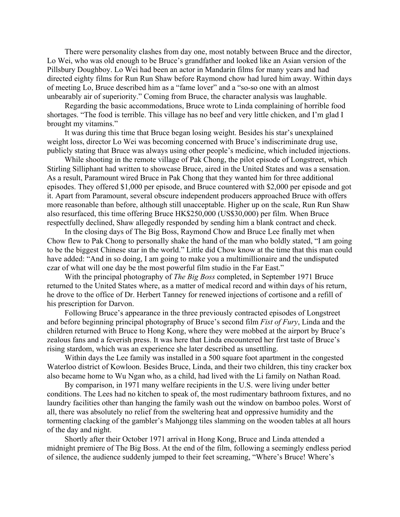There were personality clashes from day one, most notably between Bruce and the director, Lo Wei, who was old enough to be Bruce's grandfather and looked like an Asian version of the Pillsbury Doughboy. Lo Wei had been an actor in Mandarin films for many years and had directed eighty films for Run Run Shaw before Raymond chow had lured him away. Within days of meeting Lo, Bruce described him as a "fame lover" and a "so-so one with an almost unbearably air of superiority." Coming from Bruce, the character analysis was laughable.

 Regarding the basic accommodations, Bruce wrote to Linda complaining of horrible food shortages. "The food is terrible. This village has no beef and very little chicken, and I'm glad I brought my vitamins."

 It was during this time that Bruce began losing weight. Besides his star's unexplained weight loss, director Lo Wei was becoming concerned with Bruce's indiscriminate drug use, publicly stating that Bruce was always using other people's medicine, which included injections.

 While shooting in the remote village of Pak Chong, the pilot episode of Longstreet, which Stirling Silliphant had written to showcase Bruce, aired in the United States and was a sensation. As a result, Paramount wired Bruce in Pak Chong that they wanted him for three additional episodes. They offered \$1,000 per episode, and Bruce countered with \$2,000 per episode and got it. Apart from Paramount, several obscure independent producers approached Bruce with offers more reasonable than before, although still unacceptable. Higher up on the scale, Run Run Shaw also resurfaced, this time offering Bruce HK\$250,000 (US\$30,000) per film. When Bruce respectfully declined, Shaw allegedly responded by sending him a blank contract and check.

 In the closing days of The Big Boss, Raymond Chow and Bruce Lee finally met when Chow flew to Pak Chong to personally shake the hand of the man who boldly stated, "I am going to be the biggest Chinese star in the world." Little did Chow know at the time that this man could have added: "And in so doing, I am going to make you a multimillionaire and the undisputed czar of what will one day be the most powerful film studio in the Far East."

 With the principal photography of *The Big Boss* completed, in September 1971 Bruce returned to the United States where, as a matter of medical record and within days of his return, he drove to the office of Dr. Herbert Tanney for renewed injections of cortisone and a refill of his prescription for Darvon.

 Following Bruce's appearance in the three previously contracted episodes of Longstreet and before beginning principal photography of Bruce's second film *Fist of Fury*, Linda and the children returned with Bruce to Hong Kong, where they were mobbed at the airport by Bruce's zealous fans and a feverish press. It was here that Linda encountered her first taste of Bruce's rising stardom, which was an experience she later described as unsettling.

 Within days the Lee family was installed in a 500 square foot apartment in the congested Waterloo district of Kowloon. Besides Bruce, Linda, and their two children, this tiny cracker box also became home to Wu Ngan who, as a child, had lived with the Li family on Nathan Road.

 By comparison, in 1971 many welfare recipients in the U.S. were living under better conditions. The Lees had no kitchen to speak of, the most rudimentary bathroom fixtures, and no laundry facilities other than hanging the family wash out the window on bamboo poles. Worst of all, there was absolutely no relief from the sweltering heat and oppressive humidity and the tormenting clacking of the gambler's Mahjongg tiles slamming on the wooden tables at all hours of the day and night.

 Shortly after their October 1971 arrival in Hong Kong, Bruce and Linda attended a midnight premiere of The Big Boss. At the end of the film, following a seemingly endless period of silence, the audience suddenly jumped to their feet screaming, "Where's Bruce! Where's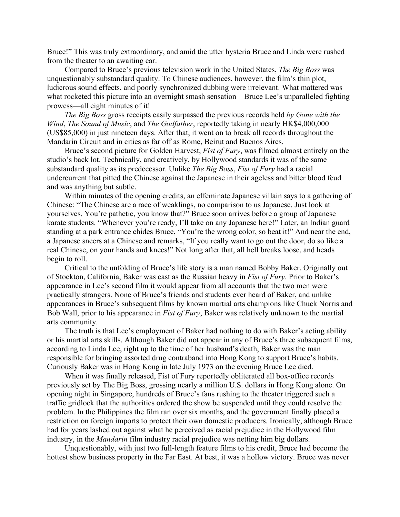Bruce!" This was truly extraordinary, and amid the utter hysteria Bruce and Linda were rushed from the theater to an awaiting car.

 Compared to Bruce's previous television work in the United States, *The Big Boss* was unquestionably substandard quality. To Chinese audiences, however, the film's thin plot, ludicrous sound effects, and poorly synchronized dubbing were irrelevant. What mattered was what rocketed this picture into an overnight smash sensation—Bruce Lee's unparalleled fighting prowess—all eight minutes of it!

*The Big Boss* gross receipts easily surpassed the previous records held *by Gone with the Wind*, *The Sound of Music*, and *The Godfather*, reportedly taking in nearly HK\$4,000,000 (US\$85,000) in just nineteen days. After that, it went on to break all records throughout the Mandarin Circuit and in cities as far off as Rome, Beirut and Buenos Aires.

 Bruce's second picture for Golden Harvest, *Fist of Fury*, was filmed almost entirely on the studio's back lot. Technically, and creatively, by Hollywood standards it was of the same substandard quality as its predecessor. Unlike *The Big Boss*, *Fist of Fury* had a racial undercurrent that pitted the Chinese against the Japanese in their ageless and bitter blood feud and was anything but subtle.

 Within minutes of the opening credits, an effeminate Japanese villain says to a gathering of Chinese: "The Chinese are a race of weaklings, no comparison to us Japanese. Just look at yourselves. You're pathetic, you know that?" Bruce soon arrives before a group of Japanese karate students. "Whenever you're ready, I'll take on any Japanese here!" Later, an Indian guard standing at a park entrance chides Bruce, "You're the wrong color, so beat it!" And near the end, a Japanese sneers at a Chinese and remarks, "If you really want to go out the door, do so like a real Chinese, on your hands and knees!" Not long after that, all hell breaks loose, and heads begin to roll.

 Critical to the unfolding of Bruce's life story is a man named Bobby Baker. Originally out of Stockton, California, Baker was cast as the Russian heavy in *Fist of Fury*. Prior to Baker's appearance in Lee's second film it would appear from all accounts that the two men were practically strangers. None of Bruce's friends and students ever heard of Baker, and unlike appearances in Bruce's subsequent films by known martial arts champions like Chuck Norris and Bob Wall, prior to his appearance in *Fist of Fury*, Baker was relatively unknown to the martial arts community.

 The truth is that Lee's employment of Baker had nothing to do with Baker's acting ability or his martial arts skills. Although Baker did not appear in any of Bruce's three subsequent films, according to Linda Lee, right up to the time of her husband's death, Baker was the man responsible for bringing assorted drug contraband into Hong Kong to support Bruce's habits. Curiously Baker was in Hong Kong in late July 1973 on the evening Bruce Lee died.

 When it was finally released, Fist of Fury reportedly obliterated all box-office records previously set by The Big Boss, grossing nearly a million U.S. dollars in Hong Kong alone. On opening night in Singapore, hundreds of Bruce's fans rushing to the theater triggered such a traffic gridlock that the authorities ordered the show be suspended until they could resolve the problem. In the Philippines the film ran over six months, and the government finally placed a restriction on foreign imports to protect their own domestic producers. Ironically, although Bruce had for years lashed out against what he perceived as racial prejudice in the Hollywood film industry, in the *Mandarin* film industry racial prejudice was netting him big dollars.

 Unquestionably, with just two full-length feature films to his credit, Bruce had become the hottest show business property in the Far East. At best, it was a hollow victory. Bruce was never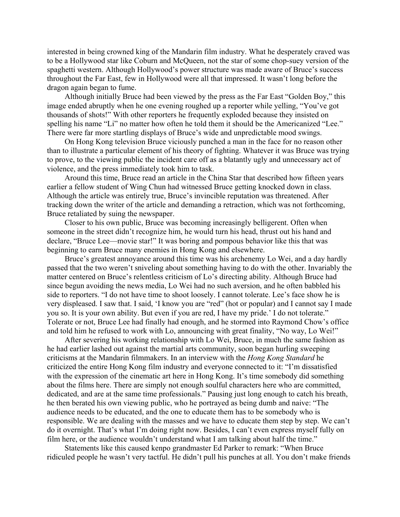interested in being crowned king of the Mandarin film industry. What he desperately craved was to be a Hollywood star like Coburn and McQueen, not the star of some chop-suey version of the spaghetti western. Although Hollywood's power structure was made aware of Bruce's success throughout the Far East, few in Hollywood were all that impressed. It wasn't long before the dragon again began to fume.

 Although initially Bruce had been viewed by the press as the Far East "Golden Boy," this image ended abruptly when he one evening roughed up a reporter while yelling, "You've got thousands of shots!" With other reporters he frequently exploded because they insisted on spelling his name "Li" no matter how often he told them it should be the Americanized "Lee." There were far more startling displays of Bruce's wide and unpredictable mood swings.

 On Hong Kong television Bruce viciously punched a man in the face for no reason other than to illustrate a particular element of his theory of fighting. Whatever it was Bruce was trying to prove, to the viewing public the incident care off as a blatantly ugly and unnecessary act of violence, and the press immediately took him to task.

 Around this time, Bruce read an article in the China Star that described how fifteen years earlier a fellow student of Wing Chun had witnessed Bruce getting knocked down in class. Although the article was entirely true, Bruce's invincible reputation was threatened. After tracking down the writer of the article and demanding a retraction, which was not forthcoming, Bruce retaliated by suing the newspaper.

 Closer to his own public, Bruce was becoming increasingly belligerent. Often when someone in the street didn't recognize him, he would turn his head, thrust out his hand and declare, "Bruce Lee—movie star!" It was boring and pompous behavior like this that was beginning to earn Bruce many enemies in Hong Kong and elsewhere.

 Bruce's greatest annoyance around this time was his archenemy Lo Wei, and a day hardly passed that the two weren't sniveling about something having to do with the other. Invariably the matter centered on Bruce's relentless criticism of Lo's directing ability. Although Bruce had since begun avoiding the news media, Lo Wei had no such aversion, and he often babbled his side to reporters. "I do not have time to shoot loosely. I cannot tolerate. Lee's face show he is very displeased. I saw that. I said, 'I know you are "red" (hot or popular) and I cannot say I made you so. It is your own ability. But even if you are red, I have my pride.' I do not tolerate." Tolerate or not, Bruce Lee had finally had enough, and he stormed into Raymond Chow's office and told him he refused to work with Lo, announcing with great finality, "No way, Lo Wei!"

 After severing his working relationship with Lo Wei, Bruce, in much the same fashion as he had earlier lashed out against the martial arts community, soon began hurling sweeping criticisms at the Mandarin filmmakers. In an interview with the *Hong Kong Standard* he criticized the entire Hong Kong film industry and everyone connected to it: "I'm dissatisfied with the expression of the cinematic art here in Hong Kong. It's time somebody did something about the films here. There are simply not enough soulful characters here who are committed, dedicated, and are at the same time professionals." Pausing just long enough to catch his breath, he then berated his own viewing public, who he portrayed as being dumb and naive: "The audience needs to be educated, and the one to educate them has to be somebody who is responsible. We are dealing with the masses and we have to educate them step by step. We can't do it overnight. That's what I'm doing right now. Besides, I can't even express myself fully on film here, or the audience wouldn't understand what I am talking about half the time."

 Statements like this caused kenpo grandmaster Ed Parker to remark: "When Bruce ridiculed people he wasn't very tactful. He didn't pull his punches at all. You don't make friends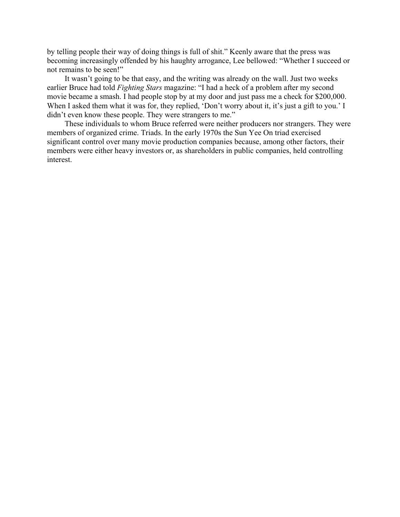by telling people their way of doing things is full of shit." Keenly aware that the press was becoming increasingly offended by his haughty arrogance, Lee bellowed: "Whether I succeed or not remains to be seen!"

 It wasn't going to be that easy, and the writing was already on the wall. Just two weeks earlier Bruce had told *Fighting Stars* magazine: "I had a heck of a problem after my second movie became a smash. I had people stop by at my door and just pass me a check for \$200,000. When I asked them what it was for, they replied, 'Don't worry about it, it's just a gift to you.' I didn't even know these people. They were strangers to me."

 These individuals to whom Bruce referred were neither producers nor strangers. They were members of organized crime. Triads. In the early 1970s the Sun Yee On triad exercised significant control over many movie production companies because, among other factors, their members were either heavy investors or, as shareholders in public companies, held controlling interest.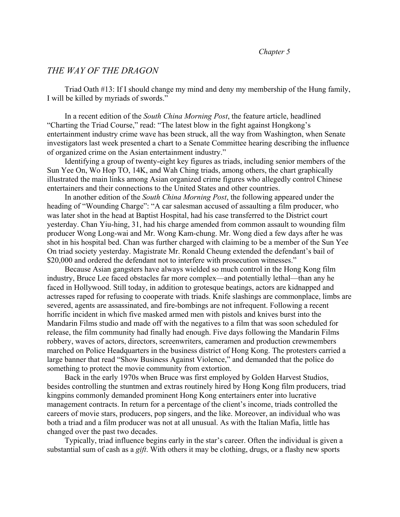### *THE WAY OF THE DRAGON*

 Triad Oath #13: If I should change my mind and deny my membership of the Hung family, I will be killed by myriads of swords."

 In a recent edition of the *South China Morning Post*, the feature article, headlined "Charting the Triad Course," read: "The latest blow in the fight against Hongkong's entertainment industry crime wave has been struck, all the way from Washington, when Senate investigators last week presented a chart to a Senate Committee hearing describing the influence of organized crime on the Asian entertainment industry."

 Identifying a group of twenty-eight key figures as triads, including senior members of the Sun Yee On, Wo Hop TO, 14K, and Wah Ching triads, among others, the chart graphically illustrated the main links among Asian organized crime figures who allegedly control Chinese entertainers and their connections to the United States and other countries.

 In another edition of the *South China Morning Post*, the following appeared under the heading of "Wounding Charge": "A car salesman accused of assaulting a film producer, who was later shot in the head at Baptist Hospital, had his case transferred to the District court yesterday. Chan Yiu-hing, 31, had his charge amended from common assault to wounding film producer Wong Long-wai and Mr. Wong Kam-chung. Mr. Wong died a few days after he was shot in his hospital bed. Chan was further charged with claiming to be a member of the Sun Yee On triad society yesterday. Magistrate Mr. Ronald Cheung extended the defendant's bail of \$20,000 and ordered the defendant not to interfere with prosecution witnesses."

 Because Asian gangsters have always wielded so much control in the Hong Kong film industry, Bruce Lee faced obstacles far more complex—and potentially lethal—than any he faced in Hollywood. Still today, in addition to grotesque beatings, actors are kidnapped and actresses raped for refusing to cooperate with triads. Knife slashings are commonplace, limbs are severed, agents are assassinated, and fire-bombings are not infrequent. Following a recent horrific incident in which five masked armed men with pistols and knives burst into the Mandarin Films studio and made off with the negatives to a film that was soon scheduled for release, the film community had finally had enough. Five days following the Mandarin Films robbery, waves of actors, directors, screenwriters, cameramen and production crewmembers marched on Police Headquarters in the business district of Hong Kong. The protesters carried a large banner that read "Show Business Against Violence," and demanded that the police do something to protect the movie community from extortion.

 Back in the early 1970s when Bruce was first employed by Golden Harvest Studios, besides controlling the stuntmen and extras routinely hired by Hong Kong film producers, triad kingpins commonly demanded prominent Hong Kong entertainers enter into lucrative management contracts. In return for a percentage of the client's income, triads controlled the careers of movie stars, producers, pop singers, and the like. Moreover, an individual who was both a triad and a film producer was not at all unusual. As with the Italian Mafia, little has changed over the past two decades.

 Typically, triad influence begins early in the star's career. Often the individual is given a substantial sum of cash as a *gift*. With others it may be clothing, drugs, or a flashy new sports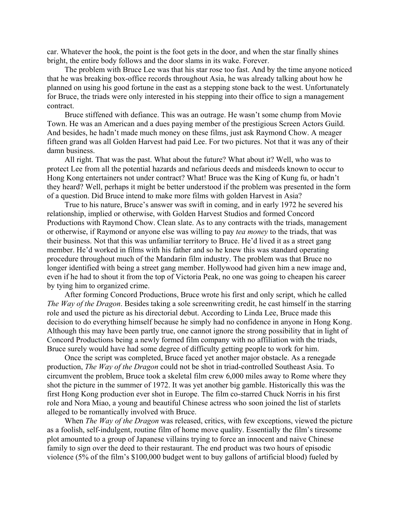car. Whatever the hook, the point is the foot gets in the door, and when the star finally shines bright, the entire body follows and the door slams in its wake. Forever.

 The problem with Bruce Lee was that his star rose too fast. And by the time anyone noticed that he was breaking box-office records throughout Asia, he was already talking about how he planned on using his good fortune in the east as a stepping stone back to the west. Unfortunately for Bruce, the triads were only interested in his stepping into their office to sign a management contract.

 Bruce stiffened with defiance. This was an outrage. He wasn't some chump from Movie Town. He was an American and a dues paying member of the prestigious Screen Actors Guild. And besides, he hadn't made much money on these films, just ask Raymond Chow. A meager fifteen grand was all Golden Harvest had paid Lee. For two pictures. Not that it was any of their damn business.

 All right. That was the past. What about the future? What about it? Well, who was to protect Lee from all the potential hazards and nefarious deeds and misdeeds known to occur to Hong Kong entertainers not under contract? What! Bruce was the King of Kung fu, or hadn't they heard? Well, perhaps it might be better understood if the problem was presented in the form of a question. Did Bruce intend to make more films with golden Harvest in Asia?

 True to his nature, Bruce's answer was swift in coming, and in early 1972 he severed his relationship, implied or otherwise, with Golden Harvest Studios and formed Concord Productions with Raymond Chow. Clean slate. As to any contracts with the triads, management or otherwise, if Raymond or anyone else was willing to pay *tea money* to the triads, that was their business. Not that this was unfamiliar territory to Bruce. He'd lived it as a street gang member. He'd worked in films with his father and so he knew this was standard operating procedure throughout much of the Mandarin film industry. The problem was that Bruce no longer identified with being a street gang member. Hollywood had given him a new image and, even if he had to shout it from the top of Victoria Peak, no one was going to cheapen his career by tying him to organized crime.

 After forming Concord Productions, Bruce wrote his first and only script, which he called *The Way of the Dragon*. Besides taking a sole screenwriting credit, he cast himself in the starring role and used the picture as his directorial debut. According to Linda Lee, Bruce made this decision to do everything himself because he simply had no confidence in anyone in Hong Kong. Although this may have been partly true, one cannot ignore the strong possibility that in light of Concord Productions being a newly formed film company with no affiliation with the triads, Bruce surely would have had some degree of difficulty getting people to work for him.

 Once the script was completed, Bruce faced yet another major obstacle. As a renegade production, *The Way of the Dragon* could not be shot in triad-controlled Southeast Asia. To circumvent the problem, Bruce took a skeletal film crew 6,000 miles away to Rome where they shot the picture in the summer of 1972. It was yet another big gamble. Historically this was the first Hong Kong production ever shot in Europe. The film co-starred Chuck Norris in his first role and Nora Miao, a young and beautiful Chinese actress who soon joined the list of starlets alleged to be romantically involved with Bruce.

 When *The Way of the Dragon* was released, critics, with few exceptions, viewed the picture as a foolish, self-indulgent, routine film of home move quality. Essentially the film's tiresome plot amounted to a group of Japanese villains trying to force an innocent and naive Chinese family to sign over the deed to their restaurant. The end product was two hours of episodic violence (5% of the film's \$100,000 budget went to buy gallons of artificial blood) fueled by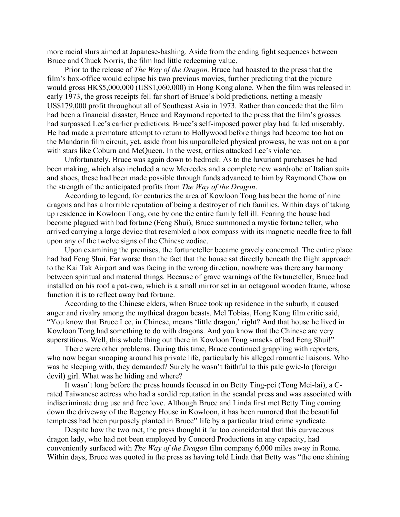more racial slurs aimed at Japanese-bashing. Aside from the ending fight sequences between Bruce and Chuck Norris, the film had little redeeming value.

 Prior to the release of *The Way of the Dragon,* Bruce had boasted to the press that the film's box-office would eclipse his two previous movies, further predicting that the picture would gross HK\$5,000,000 (US\$1,060,000) in Hong Kong alone. When the film was released in early 1973, the gross receipts fell far short of Bruce's bold predictions, netting a measly US\$179,000 profit throughout all of Southeast Asia in 1973. Rather than concede that the film had been a financial disaster, Bruce and Raymond reported to the press that the film's grosses had surpassed Lee's earlier predictions. Bruce's self-imposed power play had failed miserably. He had made a premature attempt to return to Hollywood before things had become too hot on the Mandarin film circuit, yet, aside from his unparalleled physical prowess, he was not on a par with stars like Coburn and McQueen. In the west, critics attacked Lee's violence.

 Unfortunately, Bruce was again down to bedrock. As to the luxuriant purchases he had been making, which also included a new Mercedes and a complete new wardrobe of Italian suits and shoes, these had been made possible through funds advanced to him by Raymond Chow on the strength of the anticipated profits from *The Way of the Dragon*.

 According to legend, for centuries the area of Kowloon Tong has been the home of nine dragons and has a horrible reputation of being a destroyer of rich families. Within days of taking up residence in Kowloon Tong, one by one the entire family fell ill. Fearing the house had become plagued with bad fortune (Feng Shui), Bruce summoned a mystic fortune teller, who arrived carrying a large device that resembled a box compass with its magnetic needle free to fall upon any of the twelve signs of the Chinese zodiac.

 Upon examining the premises, the fortuneteller became gravely concerned. The entire place had bad Feng Shui. Far worse than the fact that the house sat directly beneath the flight approach to the Kai Tak Airport and was facing in the wrong direction, nowhere was there any harmony between spiritual and material things. Because of grave warnings of the fortuneteller, Bruce had installed on his roof a pat-kwa, which is a small mirror set in an octagonal wooden frame, whose function it is to reflect away bad fortune.

 According to the Chinese elders, when Bruce took up residence in the suburb, it caused anger and rivalry among the mythical dragon beasts. Mel Tobias, Hong Kong film critic said, "You know that Bruce Lee, in Chinese, means 'little dragon,' right? And that house he lived in Kowloon Tong had something to do with dragons. And you know that the Chinese are very superstitious. Well, this whole thing out there in Kowloon Tong smacks of bad Feng Shui!"

 There were other problems. During this time, Bruce continued grappling with reporters, who now began snooping around his private life, particularly his alleged romantic liaisons. Who was he sleeping with, they demanded? Surely he wasn't faithful to this pale gwie-lo (foreign devil) girl. What was he hiding and where?

 It wasn't long before the press hounds focused in on Betty Ting-pei (Tong Mei-lai), a Crated Taiwanese actress who had a sordid reputation in the scandal press and was associated with indiscriminate drug use and free love. Although Bruce and Linda first met Betty Ting coming down the driveway of the Regency House in Kowloon, it has been rumored that the beautiful temptress had been purposely planted in Bruce'' life by a particular triad crime syndicate.

 Despite how the two met, the press thought it far too coincidental that this curvaceous dragon lady, who had not been employed by Concord Productions in any capacity, had conveniently surfaced with *The Way of the Dragon* film company 6,000 miles away in Rome. Within days, Bruce was quoted in the press as having told Linda that Betty was "the one shining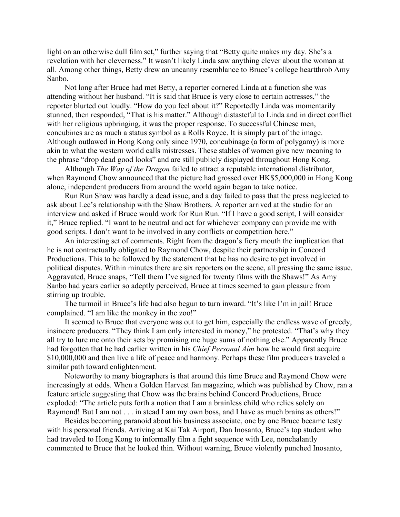light on an otherwise dull film set," further saying that "Betty quite makes my day. She's a revelation with her cleverness." It wasn't likely Linda saw anything clever about the woman at all. Among other things, Betty drew an uncanny resemblance to Bruce's college heartthrob Amy Sanbo.

 Not long after Bruce had met Betty, a reporter cornered Linda at a function she was attending without her husband. "It is said that Bruce is very close to certain actresses," the reporter blurted out loudly. "How do you feel about it?" Reportedly Linda was momentarily stunned, then responded, "That is his matter." Although distasteful to Linda and in direct conflict with her religious upbringing, it was the proper response. To successful Chinese men, concubines are as much a status symbol as a Rolls Royce. It is simply part of the image. Although outlawed in Hong Kong only since 1970, concubinage (a form of polygamy) is more akin to what the western world calls mistresses. These stables of women give new meaning to the phrase "drop dead good looks" and are still publicly displayed throughout Hong Kong.

 Although *The Way of the Dragon* failed to attract a reputable international distributor, when Raymond Chow announced that the picture had grossed over HK\$5,000,000 in Hong Kong alone, independent producers from around the world again began to take notice.

 Run Run Shaw was hardly a dead issue, and a day failed to pass that the press neglected to ask about Lee's relationship with the Shaw Brothers. A reporter arrived at the studio for an interview and asked if Bruce would work for Run Run. "If I have a good script, I will consider it," Bruce replied. "I want to be neutral and act for whichever company can provide me with good scripts. I don't want to be involved in any conflicts or competition here."

 An interesting set of comments. Right from the dragon's fiery mouth the implication that he is not contractually obligated to Raymond Chow, despite their partnership in Concord Productions. This to be followed by the statement that he has no desire to get involved in political disputes. Within minutes there are six reporters on the scene, all pressing the same issue. Aggravated, Bruce snaps, "Tell them I've signed for twenty films with the Shaws!" As Amy Sanbo had years earlier so adeptly perceived, Bruce at times seemed to gain pleasure from stirring up trouble.

 The turmoil in Bruce's life had also begun to turn inward. "It's like I'm in jail! Bruce complained. "I am like the monkey in the zoo!"

 It seemed to Bruce that everyone was out to get him, especially the endless wave of greedy, insincere producers. "They think I am only interested in money," he protested. "That's why they all try to lure me onto their sets by promising me huge sums of nothing else." Apparently Bruce had forgotten that he had earlier written in his *Chief Personal Aim* how he would first acquire \$10,000,000 and then live a life of peace and harmony. Perhaps these film producers traveled a similar path toward enlightenment.

 Noteworthy to many biographers is that around this time Bruce and Raymond Chow were increasingly at odds. When a Golden Harvest fan magazine, which was published by Chow, ran a feature article suggesting that Chow was the brains behind Concord Productions, Bruce exploded: "The article puts forth a notion that I am a brainless child who relies solely on Raymond! But I am not . . . in stead I am my own boss, and I have as much brains as others!"

 Besides becoming paranoid about his business associate, one by one Bruce became testy with his personal friends. Arriving at Kai Tak Airport, Dan Inosanto, Bruce's top student who had traveled to Hong Kong to informally film a fight sequence with Lee, nonchalantly commented to Bruce that he looked thin. Without warning, Bruce violently punched Inosanto,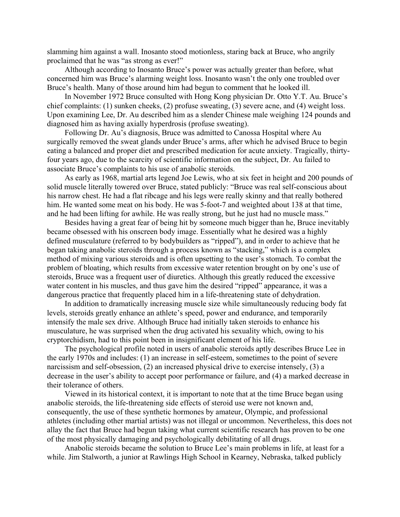slamming him against a wall. Inosanto stood motionless, staring back at Bruce, who angrily proclaimed that he was "as strong as ever!"

 Although according to Inosanto Bruce's power was actually greater than before, what concerned him was Bruce's alarming weight loss. Inosanto wasn't the only one troubled over Bruce's health. Many of those around him had begun to comment that he looked ill.

 In November 1972 Bruce consulted with Hong Kong physician Dr. Otto Y.T. Au. Bruce's chief complaints: (1) sunken cheeks, (2) profuse sweating, (3) severe acne, and (4) weight loss. Upon examining Lee, Dr. Au described him as a slender Chinese male weighing 124 pounds and diagnosed him as having axially hyperdrosis (profuse sweating).

 Following Dr. Au's diagnosis, Bruce was admitted to Canossa Hospital where Au surgically removed the sweat glands under Bruce's arms, after which he advised Bruce to begin eating a balanced and proper diet and prescribed medication for acute anxiety. Tragically, thirtyfour years ago, due to the scarcity of scientific information on the subject, Dr. Au failed to associate Bruce's complaints to his use of anabolic steroids.

 As early as 1968, martial arts legend Joe Lewis, who at six feet in height and 200 pounds of solid muscle literally towered over Bruce, stated publicly: "Bruce was real self-conscious about his narrow chest. He had a flat ribcage and his legs were really skinny and that really bothered him. He wanted some meat on his body. He was 5-foot-7 and weighted about 138 at that time, and he had been lifting for awhile. He was really strong, but he just had no muscle mass."

 Besides having a great fear of being hit by someone much bigger than he, Bruce inevitably became obsessed with his onscreen body image. Essentially what he desired was a highly defined musculature (referred to by bodybuilders as "ripped"), and in order to achieve that he began taking anabolic steroids through a process known as "stacking," which is a complex method of mixing various steroids and is often upsetting to the user's stomach. To combat the problem of bloating, which results from excessive water retention brought on by one's use of steroids, Bruce was a frequent user of diuretics. Although this greatly reduced the excessive water content in his muscles, and thus gave him the desired "ripped" appearance, it was a dangerous practice that frequently placed him in a life-threatening state of dehydration.

 In addition to dramatically increasing muscle size while simultaneously reducing body fat levels, steroids greatly enhance an athlete's speed, power and endurance, and temporarily intensify the male sex drive. Although Bruce had initially taken steroids to enhance his musculature, he was surprised when the drug activated his sexuality which, owing to his cryptorchidism, had to this point been in insignificant element of his life.

 The psychological profile noted in users of anabolic steroids aptly describes Bruce Lee in the early 1970s and includes: (1) an increase in self-esteem, sometimes to the point of severe narcissism and self-obsession, (2) an increased physical drive to exercise intensely, (3) a decrease in the user's ability to accept poor performance or failure, and (4) a marked decrease in their tolerance of others.

 Viewed in its historical context, it is important to note that at the time Bruce began using anabolic steroids, the life-threatening side effects of steroid use were not known and, consequently, the use of these synthetic hormones by amateur, Olympic, and professional athletes (including other martial artists) was not illegal or uncommon. Nevertheless, this does not allay the fact that Bruce had begun taking what current scientific research has proven to be one of the most physically damaging and psychologically debilitating of all drugs.

 Anabolic steroids became the solution to Bruce Lee's main problems in life, at least for a while. Jim Stalworth, a junior at Rawlings High School in Kearney, Nebraska, talked publicly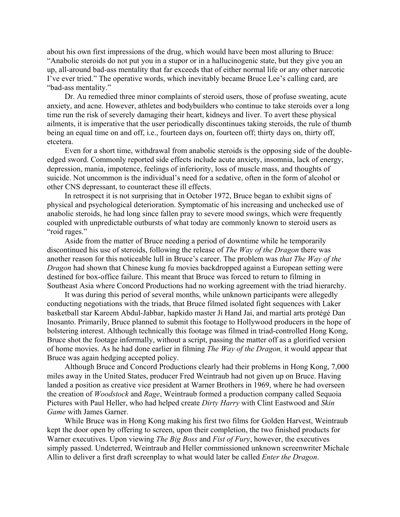about his own first impressions of the drug, which would have been most alluring to Bruce: "Anabolic steroids do not put you in a stupor or in a hallucinogenic state, but they give you an up, all-around bad-ass mentality that far exceeds that of either normal life or any other narcotic I've ever tried." The operative words, which inevitably became Bruce Lee's calling card, are "bad-ass mentality."

 Dr. Au remedied three minor complaints of steroid users, those of profuse sweating, acute anxiety, and acne. However, athletes and bodybuilders who continue to take steroids over a long time run the risk of severely damaging their heart, kidneys and liver. To avert these physical ailments, it is imperative that the user periodically discontinues taking steroids, the rule of thumb being an equal time on and off, i.e., fourteen days on, fourteen off; thirty days on, thirty off, etcetera.

 Even for a short time, withdrawal from anabolic steroids is the opposing side of the doubleedged sword. Commonly reported side effects include acute anxiety, insomnia, lack of energy, depression, mania, impotence, feelings of inferiority, loss of muscle mass, and thoughts of suicide. Not uncommon is the individual's need for a sedative, often in the form of alcohol or other CNS depressant, to counteract these ill effects.

 In retrospect it is not surprising that in October 1972, Bruce began to exhibit signs of physical and psychological deterioration. Symptomatic of his increasing and unchecked use of anabolic steroids, he had long since fallen pray to severe mood swings, which were frequently coupled with unpredictable outbursts of what today are commonly known to steroid users as "roid rages."

 Aside from the matter of Bruce needing a period of downtime while he temporarily discontinued his use of steroids, following the release of *The Way of the Dragon* there was another reason for this noticeable lull in Bruce's career. The problem was *that The Way of the Dragon* had shown that Chinese kung fu movies backdropped against a European setting were destined for box-office failure. This meant that Bruce was forced to return to filming in Southeast Asia where Concord Productions had no working agreement with the triad hierarchy.

 It was during this period of several months, while unknown participants were allegedly conducting negotiations with the triads, that Bruce filmed isolated fight sequences with Laker basketball star Kareem Abdul-Jabbar, hapkido master Ji Hand Jai, and martial arts protégé Dan Inosanto. Primarily, Bruce planned to submit this footage to Hollywood producers in the hope of bolstering interest. Although technically this footage was filmed in triad-controlled Hong Kong, Bruce shot the footage informally, without a script, passing the matter off as a glorified version of home movies. As he had done earlier in filming *The Way of the Dragon,* it would appear that Bruce was again hedging accepted policy.

 Although Bruce and Concord Productions clearly had their problems in Hong Kong, 7,000 miles away in the United States, producer Fred Weintraub had not given up on Bruce. Having landed a position as creative vice president at Warner Brothers in 1969, where he had overseen the creation of *Woodstock* and *Rage*, Weintraub formed a production company called Sequoia Pictures with Paul Heller, who had helped create *Dirty Harry* with Clint Eastwood and *Skin Game* with James Garner.

 While Bruce was in Hong Kong making his first two films for Golden Harvest, Weintraub kept the door open by offering to screen, upon their completion, the two finished products for Warner executives. Upon viewing *The Big Boss* and *Fist of Fury*, however, the executives simply passed. Undeterred, Weintraub and Heller commissioned unknown screenwriter Michale Allin to deliver a first draft screenplay to what would later be called *Enter the Dragon*.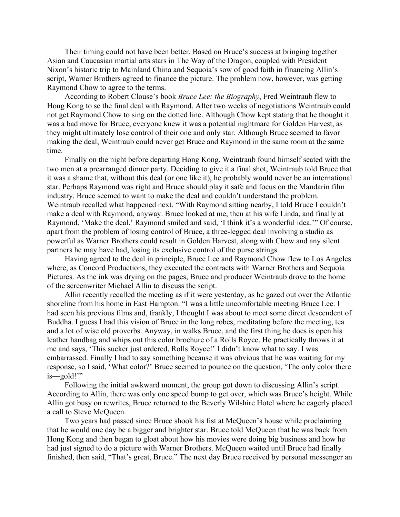Their timing could not have been better. Based on Bruce's success at bringing together Asian and Caucasian martial arts stars in The Way of the Dragon, coupled with President Nixon's historic trip to Mainland China and Sequoia's sow of good faith in financing Allin's script, Warner Brothers agreed to finance the picture. The problem now, however, was getting Raymond Chow to agree to the terms.

 According to Robert Clouse's book *Bruce Lee: the Biography*, Fred Weintraub flew to Hong Kong to se the final deal with Raymond. After two weeks of negotiations Weintraub could not get Raymond Chow to sing on the dotted line. Although Chow kept stating that he thought it was a bad move for Bruce, everyone knew it was a potential nightmare for Golden Harvest, as they might ultimately lose control of their one and only star. Although Bruce seemed to favor making the deal, Weintraub could never get Bruce and Raymond in the same room at the same time.

 Finally on the night before departing Hong Kong, Weintraub found himself seated with the two men at a prearranged dinner party. Deciding to give it a final shot, Weintraub told Bruce that it was a shame that, without this deal (or one like it), he probably would never be an international star. Perhaps Raymond was right and Bruce should play it safe and focus on the Mandarin film industry. Bruce seemed to want to make the deal and couldn't understand the problem. Weintraub recalled what happened next. "With Raymond sitting nearby, I told Bruce I couldn't make a deal with Raymond, anyway. Bruce looked at me, then at his wife Linda, and finally at Raymond. 'Make the deal.' Raymond smiled and said, 'I think it's a wonderful idea.'" Of course, apart from the problem of losing control of Bruce, a three-legged deal involving a studio as powerful as Warner Brothers could result in Golden Harvest, along with Chow and any silent partners he may have had, losing its exclusive control of the purse strings.

 Having agreed to the deal in principle, Bruce Lee and Raymond Chow flew to Los Angeles where, as Concord Productions, they executed the contracts with Warner Brothers and Sequoia Pictures. As the ink was drying on the pages, Bruce and producer Weintraub drove to the home of the screenwriter Michael Allin to discuss the script.

 Allin recently recalled the meeting as if it were yesterday, as he gazed out over the Atlantic shoreline from his home in East Hampton. "I was a little uncomfortable meeting Bruce Lee. I had seen his previous films and, frankly, I thought I was about to meet some direct descendent of Buddha. I guess I had this vision of Bruce in the long robes, meditating before the meeting, tea and a lot of wise old proverbs. Anyway, in walks Bruce, and the first thing he does is open his leather handbag and whips out this color brochure of a Rolls Royce. He practically throws it at me and says, 'This sucker just ordered, Rolls Royce!' I didn't know what to say. I was embarrassed. Finally I had to say something because it was obvious that he was waiting for my response, so I said, 'What color?' Bruce seemed to pounce on the question, 'The only color there is—gold!'"

 Following the initial awkward moment, the group got down to discussing Allin's script. According to Allin, there was only one speed bump to get over, which was Bruce's height. While Allin got busy on rewrites, Bruce returned to the Beverly Wilshire Hotel where he eagerly placed a call to Steve McQueen.

 Two years had passed since Bruce shook his fist at McQueen's house while proclaiming that he would one day be a bigger and brighter star. Bruce told McQueen that he was back from Hong Kong and then began to gloat about how his movies were doing big business and how he had just signed to do a picture with Warner Brothers. McQueen waited until Bruce had finally finished, then said, "That's great, Bruce." The next day Bruce received by personal messenger an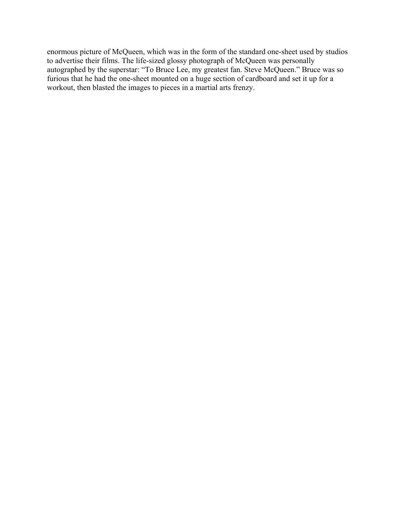enormous picture of McQueen, which was in the form of the standard one-sheet used by studios to advertise their films. The life-sized glossy photograph of McQueen was personally autographed by the superstar: "To Bruce Lee, my greatest fan. Steve McQueen." Bruce was so furious that he had the one-sheet mounted on a huge section of cardboard and set it up for a workout, then blasted the images to pieces in a martial arts frenzy.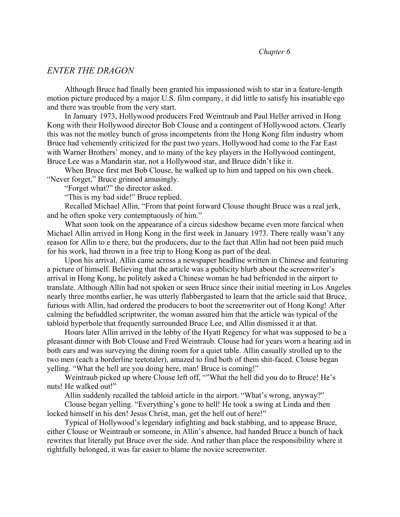## *ENTER THE DRAGON*

Although Bruce had finally been granted his impassioned wish to star in a feature-length motion picture produced by a major U.S. film company, it did little to satisfy his insatiable ego and there was trouble from the very start.

 In January 1973, Hollywood producers Fred Weintraub and Paul Heller arrived in Hong Kong with their Hollywood director Bob Clouse and a contingent of Hollywood actors. Clearly this was not the motley bunch of gross incompetents from the Hong Kong film industry whom Bruce had vehemently criticized for the past two years. Hollywood had come to the Far East with Warner Brothers' money, and to many of the key players in the Hollywood contingent, Bruce Lee was a Mandarin star, not a Hollywood star, and Bruce didn't like it.

 When Bruce first met Bob Clouse, he walked up to him and tapped on his own cheek. "Never forget," Bruce grinned amusingly.

"Forget what?" the director asked.

"This is my bad side!" Bruce replied.

 Recalled Michael Allin, "From that point forward Clouse thought Bruce was a real jerk, and he often spoke very contemptuously of him."

 What soon took on the appearance of a circus sideshow became even more farcical when Michael Allin arrived in Hong Kong in the first week in January 1973. There really wasn't any reason for Allin to e there, but the producers, due to the fact that Allin had not been paid much for his work, had thrown in a free trip to Hong Kong as part of the deal.

 Upon his arrival, Allin came across a newspaper headline written in Chinese and featuring a picture of himself. Believing that the article was a publicity blurb about the screenwriter's arrival in Hong Kong, he politely asked a Chinese woman he had befriended in the airport to translate. Although Allin had not spoken or seen Bruce since their initial meeting in Los Angeles nearly three months earlier, he was utterly flabbergasted to learn that the article said that Bruce, furious with Allin, had ordered the producers to boot the screenwriter out of Hong Kong! After calming the befuddled scriptwriter, the woman assured him that the article was typical of the tabloid hyperbole that frequently surrounded Bruce Lee, and Allin dismissed it at that.

 Hours later Allin arrived in the lobby of the Hyatt Regency for what was supposed to be a pleasant dinner with Bob Clouse and Fred Weintraub. Clouse had for years worn a hearing aid in both ears and was surveying the dining room for a quiet table. Allin casually strolled up to the two men (each a borderline teetotaler), amazed to find both of them shit-faced. Clouse began yelling. "What the hell are you doing here, man! Bruce is coming!"

Weintraub picked up where Clouse left off, ""What the hell did you do to Bruce! He's nuts! He walked out!"

Allin suddenly recalled the tabloid article in the airport. "What's wrong, anyway?"

 Clouse began yelling. "Everything's gone to hell! He took a swing at Linda and then locked himself in his den! Jesus Christ, man, get the hell out of here!"

 Typical of Hollywood's legendary infighting and back stabbing, and to appease Bruce, either Clouse or Weintraub or someone, in Allin's absence, had handed Bruce a bunch of hack rewrites that literally put Bruce over the side. And rather than place the responsibility where it rightfully belonged, it was far easier to blame the novice screenwriter.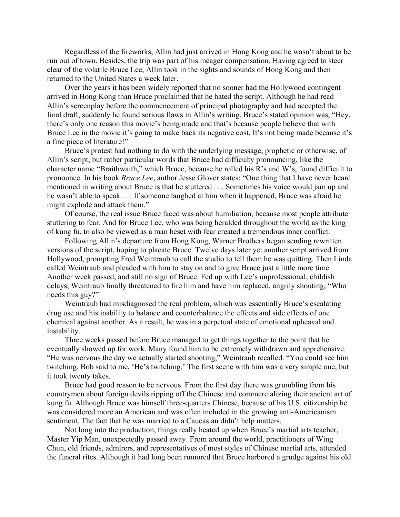Regardless of the fireworks, Allin had just arrived in Hong Kong and he wasn't about to be run out of town. Besides, the trip was part of his meager compensation. Having agreed to steer clear of the volatile Bruce Lee, Allin took in the sights and sounds of Hong Kong and then returned to the United States a week later.

 Over the years it has been widely reported that no sooner had the Hollywood contingent arrived in Hong Kong than Bruce proclaimed that he hated the script. Although he had read Allin's screenplay before the commencement of principal photography and had accepted the final draft, suddenly he found serious flaws in Allin's writing. Bruce's stated opinion was, "Hey, there's only one reason this movie's being made and that's because people believe that with Bruce Lee in the movie it's going to make back its negative cost. It's not being made because it's a fine piece of literature!"

 Bruce's protest had nothing to do with the underlying message, prophetic or otherwise, of Allin's script, but rather particular words that Bruce had difficulty pronouncing, like the character name "Braithwaith," which Bruce, because he rolled his R's and W's, found difficult to pronounce. In his book *Bruce Lee*, author Jesse Glover states: "One thing that I have never heard mentioned in writing about Bruce is that he stuttered . . . Sometimes his voice would jam up and he wasn't able to speak . . . If someone laughed at him when it happened, Bruce was afraid he might explode and attack them."

 Of course, the real issue Bruce faced was about humiliation, because most people attribute stuttering to fear. And for Bruce Lee, who was being heralded throughout the world as the king of kung fu, to also be viewed as a man beset with fear created a tremendous inner conflict.

 Following Allin's departure from Hong Kong, Warner Brothers began sending rewritten versions of the script, hoping to placate Bruce. Twelve days later yet another script arrived from Hollywood, prompting Fred Weintraub to call the studio to tell them he was quitting. Then Linda called Weintraub and pleaded with him to stay on and to give Bruce just a little more time. Another week passed, and still no sign of Bruce. Fed up with Lee's unprofessional, childish delays, Weintraub finally threatened to fire him and have him replaced, angrily shouting, "Who needs this guy?"

 Weintraub had misdiagnosed the real problem, which was essentially Bruce's escalating drug use and his inability to balance and counterbalance the effects and side effects of one chemical against another. As a result, he was in a perpetual state of emotional upheaval and instability.

 Three weeks passed before Bruce managed to get things together to the point that he eventually showed up for work. Many found him to be extremely withdrawn and apprehensive. "He was nervous the day we actually started shooting," Weintraub recalled. "You could see him twitching. Bob said to me, 'He's twitching.' The first scene with him was a very simple one, but it took twenty takes.

 Bruce had good reason to be nervous. From the first day there was grumbling from his countrymen about foreign devils ripping off the Chinese and commercializing their ancient art of kung fu. Although Bruce was himself three-quarters Chinese, because of his U.S. citizenship he was considered more an American and was often included in the growing anti-Americanism sentiment. The fact that he was married to a Caucasian didn't help matters.

 Not long into the production, things really heated up when Bruce's martial arts teacher, Master Yip Man, unexpectedly passed away. From around the world, practitioners of Wing Chun, old friends, admirers, and representatives of most styles of Chinese martial arts, attended the funeral rites. Although it had long been rumored that Bruce harbored a grudge against his old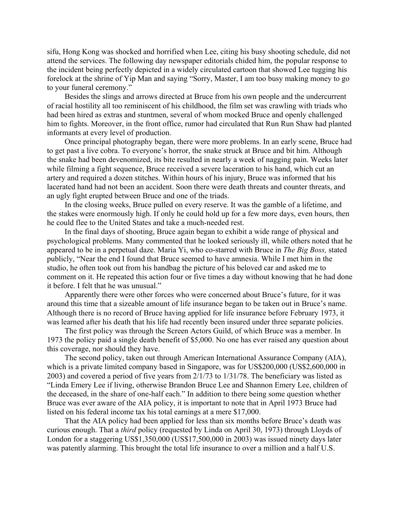sifu, Hong Kong was shocked and horrified when Lee, citing his busy shooting schedule, did not attend the services. The following day newspaper editorials chided him, the popular response to the incident being perfectly depicted in a widely circulated cartoon that showed Lee tugging his forelock at the shrine of Yip Man and saying "Sorry, Master, I am too busy making money to go to your funeral ceremony."

 Besides the slings and arrows directed at Bruce from his own people and the undercurrent of racial hostility all too reminiscent of his childhood, the film set was crawling with triads who had been hired as extras and stuntmen, several of whom mocked Bruce and openly challenged him to fights. Moreover, in the front office, rumor had circulated that Run Run Shaw had planted informants at every level of production.

 Once principal photography began, there were more problems. In an early scene, Bruce had to get past a live cobra. To everyone's horror, the snake struck at Bruce and bit him. Although the snake had been devenomized, its bite resulted in nearly a week of nagging pain. Weeks later while filming a fight sequence, Bruce received a severe laceration to his hand, which cut an artery and required a dozen stitches. Within hours of his injury, Bruce was informed that his lacerated hand had not been an accident. Soon there were death threats and counter threats, and an ugly fight erupted between Bruce and one of the triads.

 In the closing weeks, Bruce pulled on every reserve. It was the gamble of a lifetime, and the stakes were enormously high. If only he could hold up for a few more days, even hours, then he could flee to the United States and take a much-needed rest.

 In the final days of shooting, Bruce again began to exhibit a wide range of physical and psychological problems. Many commented that he looked seriously ill, while others noted that he appeared to be in a perpetual daze. Maria Yi, who co-starred with Bruce in *The Big Boss,* stated publicly, "Near the end I found that Bruce seemed to have amnesia. While I met him in the studio, he often took out from his handbag the picture of his beloved car and asked me to comment on it. He repeated this action four or five times a day without knowing that he had done it before. I felt that he was unusual."

 Apparently there were other forces who were concerned about Bruce's future, for it was around this time that a sizeable amount of life insurance began to be taken out in Bruce's name. Although there is no record of Bruce having applied for life insurance before February 1973, it was learned after his death that his life had recently been insured under three separate policies.

 The first policy was through the Screen Actors Guild, of which Bruce was a member. In 1973 the policy paid a single death benefit of \$5,000. No one has ever raised any question about this coverage, nor should they have.

 The second policy, taken out through American International Assurance Company (AIA), which is a private limited company based in Singapore, was for US\$200,000 (US\$2,600,000 in 2003) and covered a period of five years from 2/1/73 to 1/31/78. The beneficiary was listed as "Linda Emery Lee if living, otherwise Brandon Bruce Lee and Shannon Emery Lee, children of the deceased, in the share of one-half each." In addition to there being some question whether Bruce was ever aware of the AIA policy, it is important to note that in April 1973 Bruce had listed on his federal income tax his total earnings at a mere \$17,000.

 That the AIA policy had been applied for less than six months before Bruce's death was curious enough. That a *third* policy (requested by Linda on April 30, 1973) through Lloyds of London for a staggering US\$1,350,000 (US\$17,500,000 in 2003) was issued ninety days later was patently alarming. This brought the total life insurance to over a million and a half U.S.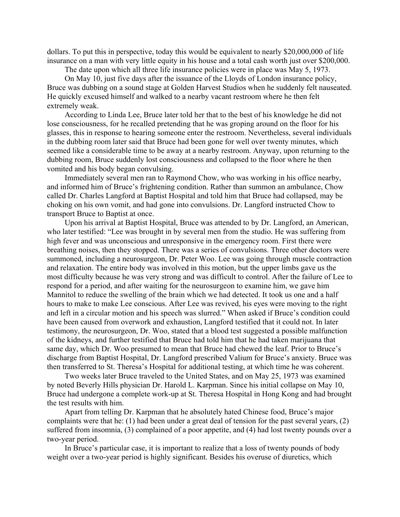dollars. To put this in perspective, today this would be equivalent to nearly \$20,000,000 of life insurance on a man with very little equity in his house and a total cash worth just over \$200,000.

The date upon which all three life insurance policies were in place was May 5, 1973.

 On May 10, just five days after the issuance of the Lloyds of London insurance policy, Bruce was dubbing on a sound stage at Golden Harvest Studios when he suddenly felt nauseated. He quickly excused himself and walked to a nearby vacant restroom where he then felt extremely weak.

 According to Linda Lee, Bruce later told her that to the best of his knowledge he did not lose consciousness, for he recalled pretending that he was groping around on the floor for his glasses, this in response to hearing someone enter the restroom. Nevertheless, several individuals in the dubbing room later said that Bruce had been gone for well over twenty minutes, which seemed like a considerable time to be away at a nearby restroom. Anyway, upon returning to the dubbing room, Bruce suddenly lost consciousness and collapsed to the floor where he then vomited and his body began convulsing.

 Immediately several men ran to Raymond Chow, who was working in his office nearby, and informed him of Bruce's frightening condition. Rather than summon an ambulance, Chow called Dr. Charles Langford at Baptist Hospital and told him that Bruce had collapsed, may be choking on his own vomit, and had gone into convulsions. Dr. Langford instructed Chow to transport Bruce to Baptist at once.

 Upon his arrival at Baptist Hospital, Bruce was attended to by Dr. Langford, an American, who later testified: "Lee was brought in by several men from the studio. He was suffering from high fever and was unconscious and unresponsive in the emergency room. First there were breathing noises, then they stopped. There was a series of convulsions. Three other doctors were summoned, including a neurosurgeon, Dr. Peter Woo. Lee was going through muscle contraction and relaxation. The entire body was involved in this motion, but the upper limbs gave us the most difficulty because he was very strong and was difficult to control. After the failure of Lee to respond for a period, and after waiting for the neurosurgeon to examine him, we gave him Mannitol to reduce the swelling of the brain which we had detected. It took us one and a half hours to make to make Lee conscious. After Lee was revived, his eyes were moving to the right and left in a circular motion and his speech was slurred." When asked if Bruce's condition could have been caused from overwork and exhaustion, Langford testified that it could not. In later testimony, the neurosurgeon, Dr. Woo, stated that a blood test suggested a possible malfunction of the kidneys, and further testified that Bruce had told him that he had taken marijuana that same day, which Dr. Woo presumed to mean that Bruce had chewed the leaf. Prior to Bruce's discharge from Baptist Hospital, Dr. Langford prescribed Valium for Bruce's anxiety. Bruce was then transferred to St. Theresa's Hospital for additional testing, at which time he was coherent.

 Two weeks later Bruce traveled to the United States, and on May 25, 1973 was examined by noted Beverly Hills physician Dr. Harold L. Karpman. Since his initial collapse on May 10, Bruce had undergone a complete work-up at St. Theresa Hospital in Hong Kong and had brought the test results with him.

 Apart from telling Dr. Karpman that he absolutely hated Chinese food, Bruce's major complaints were that he: (1) had been under a great deal of tension for the past several years, (2) suffered from insomnia, (3) complained of a poor appetite, and (4) had lost twenty pounds over a two-year period.

 In Bruce's particular case, it is important to realize that a loss of twenty pounds of body weight over a two-year period is highly significant. Besides his overuse of diuretics, which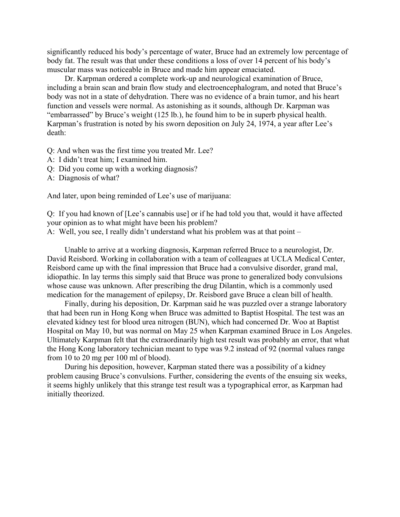significantly reduced his body's percentage of water, Bruce had an extremely low percentage of body fat. The result was that under these conditions a loss of over 14 percent of his body's muscular mass was noticeable in Bruce and made him appear emaciated.

 Dr. Karpman ordered a complete work-up and neurological examination of Bruce, including a brain scan and brain flow study and electroencephalogram, and noted that Bruce's body was not in a state of dehydration. There was no evidence of a brain tumor, and his heart function and vessels were normal. As astonishing as it sounds, although Dr. Karpman was "embarrassed" by Bruce's weight (125 lb.), he found him to be in superb physical health. Karpman's frustration is noted by his sworn deposition on July 24, 1974, a year after Lee's death:

Q: And when was the first time you treated Mr. Lee?

- A: I didn't treat him; I examined him.
- Q: Did you come up with a working diagnosis?
- A: Diagnosis of what?

And later, upon being reminded of Lee's use of marijuana:

Q: If you had known of [Lee's cannabis use] or if he had told you that, would it have affected your opinion as to what might have been his problem?

A: Well, you see, I really didn't understand what his problem was at that point –

 Unable to arrive at a working diagnosis, Karpman referred Bruce to a neurologist, Dr. David Reisbord. Working in collaboration with a team of colleagues at UCLA Medical Center, Reisbord came up with the final impression that Bruce had a convulsive disorder, grand mal, idiopathic. In lay terms this simply said that Bruce was prone to generalized body convulsions whose cause was unknown. After prescribing the drug Dilantin, which is a commonly used medication for the management of epilepsy, Dr. Reisbord gave Bruce a clean bill of health.

 Finally, during his deposition, Dr. Karpman said he was puzzled over a strange laboratory that had been run in Hong Kong when Bruce was admitted to Baptist Hospital. The test was an elevated kidney test for blood urea nitrogen (BUN), which had concerned Dr. Woo at Baptist Hospital on May 10, but was normal on May 25 when Karpman examined Bruce in Los Angeles. Ultimately Karpman felt that the extraordinarily high test result was probably an error, that what the Hong Kong laboratory technician meant to type was 9.2 instead of 92 (normal values range from 10 to 20 mg per 100 ml of blood).

 During his deposition, however, Karpman stated there was a possibility of a kidney problem causing Bruce's convulsions. Further, considering the events of the ensuing six weeks, it seems highly unlikely that this strange test result was a typographical error, as Karpman had initially theorized.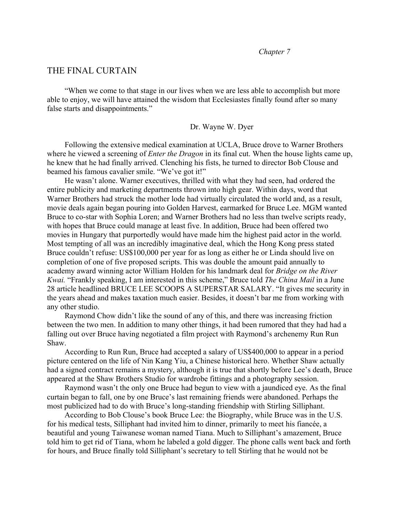### THE FINAL CURTAIN

"When we come to that stage in our lives when we are less able to accomplish but more able to enjoy, we will have attained the wisdom that Ecclesiastes finally found after so many false starts and disappointments."

#### Dr. Wayne W. Dyer

 Following the extensive medical examination at UCLA, Bruce drove to Warner Brothers where he viewed a screening of *Enter the Dragon* in its final cut. When the house lights came up, he knew that he had finally arrived. Clenching his fists, he turned to director Bob Clouse and beamed his famous cavalier smile. "We've got it!"

 He wasn't alone. Warner executives, thrilled with what they had seen, had ordered the entire publicity and marketing departments thrown into high gear. Within days, word that Warner Brothers had struck the mother lode had virtually circulated the world and, as a result, movie deals again began pouring into Golden Harvest, earmarked for Bruce Lee. MGM wanted Bruce to co-star with Sophia Loren; and Warner Brothers had no less than twelve scripts ready, with hopes that Bruce could manage at least five. In addition, Bruce had been offered two movies in Hungary that purportedly would have made him the highest paid actor in the world. Most tempting of all was an incredibly imaginative deal, which the Hong Kong press stated Bruce couldn't refuse: US\$100,000 per year for as long as either he or Linda should live on completion of one of five proposed scripts. This was double the amount paid annually to academy award winning actor William Holden for his landmark deal for *Bridge on the River Kwai.* "Frankly speaking, I am interested in this scheme," Bruce told *The China Mail* in a June 28 article headlined BRUCE LEE SCOOPS A SUPERSTAR SALARY. "It gives me security in the years ahead and makes taxation much easier. Besides, it doesn't bar me from working with any other studio.

 Raymond Chow didn't like the sound of any of this, and there was increasing friction between the two men. In addition to many other things, it had been rumored that they had had a falling out over Bruce having negotiated a film project with Raymond's archenemy Run Run Shaw.

 According to Run Run, Bruce had accepted a salary of US\$400,000 to appear in a period picture centered on the life of Nin Kang Yiu, a Chinese historical hero. Whether Shaw actually had a signed contract remains a mystery, although it is true that shortly before Lee's death, Bruce appeared at the Shaw Brothers Studio for wardrobe fittings and a photography session.

 Raymond wasn't the only one Bruce had begun to view with a jaundiced eye. As the final curtain began to fall, one by one Bruce's last remaining friends were abandoned. Perhaps the most publicized had to do with Bruce's long-standing friendship with Stirling Silliphant.

 According to Bob Clouse's book Bruce Lee: the Biography, while Bruce was in the U.S. for his medical tests, Silliphant had invited him to dinner, primarily to meet his fiancée, a beautiful and young Taiwanese woman named Tiana. Much to Silliphant's amazement, Bruce told him to get rid of Tiana, whom he labeled a gold digger. The phone calls went back and forth for hours, and Bruce finally told Silliphant's secretary to tell Stirling that he would not be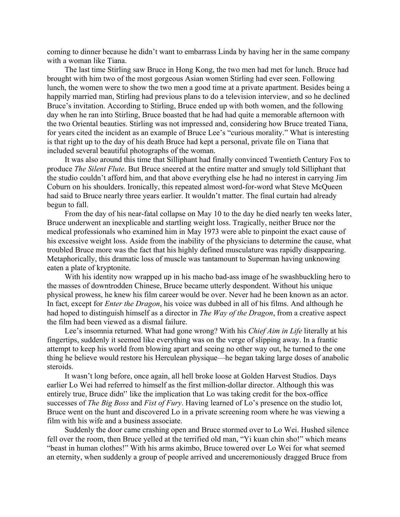coming to dinner because he didn't want to embarrass Linda by having her in the same company with a woman like Tiana.

 The last time Stirling saw Bruce in Hong Kong, the two men had met for lunch. Bruce had brought with him two of the most gorgeous Asian women Stirling had ever seen. Following lunch, the women were to show the two men a good time at a private apartment. Besides being a happily married man, Stirling had previous plans to do a television interview, and so he declined Bruce's invitation. According to Stirling, Bruce ended up with both women, and the following day when he ran into Stirling, Bruce boasted that he had had quite a memorable afternoon with the two Oriental beauties. Stirling was not impressed and, considering how Bruce treated Tiana, for years cited the incident as an example of Bruce Lee's "curious morality." What is interesting is that right up to the day of his death Bruce had kept a personal, private file on Tiana that included several beautiful photographs of the woman.

 It was also around this time that Silliphant had finally convinced Twentieth Century Fox to produce *The Silent Flute*. But Bruce sneered at the entire matter and smugly told Silliphant that the studio couldn't afford him, and that above everything else he had no interest in carrying Jim Coburn on his shoulders. Ironically, this repeated almost word-for-word what Steve McQueen had said to Bruce nearly three years earlier. It wouldn't matter. The final curtain had already begun to fall.

 From the day of his near-fatal collapse on May 10 to the day he died nearly ten weeks later, Bruce underwent an inexplicable and startling weight loss. Tragically, neither Bruce nor the medical professionals who examined him in May 1973 were able to pinpoint the exact cause of his excessive weight loss. Aside from the inability of the physicians to determine the cause, what troubled Bruce more was the fact that his highly defined musculature was rapidly disappearing. Metaphorically, this dramatic loss of muscle was tantamount to Superman having unknowing eaten a plate of kryptonite.

 With his identity now wrapped up in his macho bad-ass image of he swashbuckling hero to the masses of downtrodden Chinese, Bruce became utterly despondent. Without his unique physical prowess, he knew his film career would be over. Never had he been known as an actor. In fact, except for *Enter the Dragon*, his voice was dubbed in all of his films. And although he had hoped to distinguish himself as a director in *The Way of the Dragon*, from a creative aspect the film had been viewed as a dismal failure.

 Lee's insomnia returned. What had gone wrong? With his *Chief Aim in Life* literally at his fingertips, suddenly it seemed like everything was on the verge of slipping away. In a frantic attempt to keep his world from blowing apart and seeing no other way out, he turned to the one thing he believe would restore his Herculean physique—he began taking large doses of anabolic steroids.

 It wasn't long before, once again, all hell broke loose at Golden Harvest Studios. Days earlier Lo Wei had referred to himself as the first million-dollar director. Although this was entirely true, Bruce didn'' like the implication that Lo was taking credit for the box-office successes of *The Big Boss* and *Fist of Fury*. Having learned of Lo's presence on the studio lot, Bruce went on the hunt and discovered Lo in a private screening room where he was viewing a film with his wife and a business associate.

 Suddenly the door came crashing open and Bruce stormed over to Lo Wei. Hushed silence fell over the room, then Bruce yelled at the terrified old man, "Yi kuan chin sho!" which means "beast in human clothes!" With his arms akimbo, Bruce towered over Lo Wei for what seemed an eternity, when suddenly a group of people arrived and unceremoniously dragged Bruce from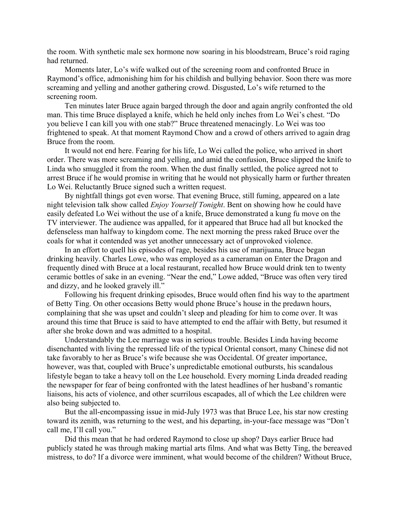the room. With synthetic male sex hormone now soaring in his bloodstream, Bruce's roid raging had returned.

 Moments later, Lo's wife walked out of the screening room and confronted Bruce in Raymond's office, admonishing him for his childish and bullying behavior. Soon there was more screaming and yelling and another gathering crowd. Disgusted, Lo's wife returned to the screening room.

 Ten minutes later Bruce again barged through the door and again angrily confronted the old man. This time Bruce displayed a knife, which he held only inches from Lo Wei's chest. "Do you believe I can kill you with one stab?" Bruce threatened menacingly. Lo Wei was too frightened to speak. At that moment Raymond Chow and a crowd of others arrived to again drag Bruce from the room.

 It would not end here. Fearing for his life, Lo Wei called the police, who arrived in short order. There was more screaming and yelling, and amid the confusion, Bruce slipped the knife to Linda who smuggled it from the room. When the dust finally settled, the police agreed not to arrest Bruce if he would promise in writing that he would not physically harm or further threaten Lo Wei. Reluctantly Bruce signed such a written request.

 By nightfall things got even worse. That evening Bruce, still fuming, appeared on a late night television talk show called *Enjoy Yourself Tonight*. Bent on showing how he could have easily defeated Lo Wei without the use of a knife, Bruce demonstrated a kung fu move on the TV interviewer. The audience was appalled, for it appeared that Bruce had all but knocked the defenseless man halfway to kingdom come. The next morning the press raked Bruce over the coals for what it contended was yet another unnecessary act of unprovoked violence.

 In an effort to quell his episodes of rage, besides his use of marijuana, Bruce began drinking heavily. Charles Lowe, who was employed as a cameraman on Enter the Dragon and frequently dined with Bruce at a local restaurant, recalled how Bruce would drink ten to twenty ceramic bottles of sake in an evening. "Near the end," Lowe added, "Bruce was often very tired and dizzy, and he looked gravely ill."

 Following his frequent drinking episodes, Bruce would often find his way to the apartment of Betty Ting. On other occasions Betty would phone Bruce's house in the predawn hours, complaining that she was upset and couldn't sleep and pleading for him to come over. It was around this time that Bruce is said to have attempted to end the affair with Betty, but resumed it after she broke down and was admitted to a hospital.

 Understandably the Lee marriage was in serious trouble. Besides Linda having become disenchanted with living the repressed life of the typical Oriental consort, many Chinese did not take favorably to her as Bruce's wife because she was Occidental. Of greater importance, however, was that, coupled with Bruce's unpredictable emotional outbursts, his scandalous lifestyle began to take a heavy toll on the Lee household. Every morning Linda dreaded reading the newspaper for fear of being confronted with the latest headlines of her husband's romantic liaisons, his acts of violence, and other scurrilous escapades, all of which the Lee children were also being subjected to.

 But the all-encompassing issue in mid-July 1973 was that Bruce Lee, his star now cresting toward its zenith, was returning to the west, and his departing, in-your-face message was "Don't call me, I'll call you."

 Did this mean that he had ordered Raymond to close up shop? Days earlier Bruce had publicly stated he was through making martial arts films. And what was Betty Ting, the bereaved mistress, to do? If a divorce were imminent, what would become of the children? Without Bruce,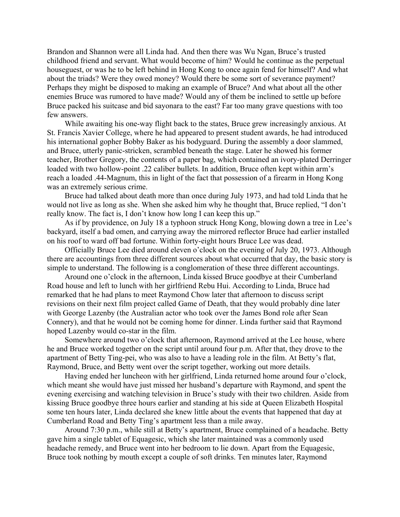Brandon and Shannon were all Linda had. And then there was Wu Ngan, Bruce's trusted childhood friend and servant. What would become of him? Would he continue as the perpetual houseguest, or was he to be left behind in Hong Kong to once again fend for himself? And what about the triads? Were they owed money? Would there be some sort of severance payment? Perhaps they might be disposed to making an example of Bruce? And what about all the other enemies Bruce was rumored to have made? Would any of them be inclined to settle up before Bruce packed his suitcase and bid sayonara to the east? Far too many grave questions with too few answers.

 While awaiting his one-way flight back to the states, Bruce grew increasingly anxious. At St. Francis Xavier College, where he had appeared to present student awards, he had introduced his international gopher Bobby Baker as his bodyguard. During the assembly a door slammed, and Bruce, utterly panic-stricken, scrambled beneath the stage. Later he showed his former teacher, Brother Gregory, the contents of a paper bag, which contained an ivory-plated Derringer loaded with two hollow-point .22 caliber bullets. In addition, Bruce often kept within arm's reach a loaded .44-Magnum, this in light of the fact that possession of a firearm in Hong Kong was an extremely serious crime.

 Bruce had talked about death more than once during July 1973, and had told Linda that he would not live as long as she. When she asked him why he thought that, Bruce replied, "I don't really know. The fact is, I don't know how long I can keep this up."

 As if by providence, on July 18 a typhoon struck Hong Kong, blowing down a tree in Lee's backyard, itself a bad omen, and carrying away the mirrored reflector Bruce had earlier installed on his roof to ward off bad fortune. Within forty-eight hours Bruce Lee was dead.

 Officially Bruce Lee died around eleven o'clock on the evening of July 20, 1973. Although there are accountings from three different sources about what occurred that day, the basic story is simple to understand. The following is a conglomeration of these three different accountings.

 Around one o'clock in the afternoon, Linda kissed Bruce goodbye at their Cumberland Road house and left to lunch with her girlfriend Rebu Hui. According to Linda, Bruce had remarked that he had plans to meet Raymond Chow later that afternoon to discuss script revisions on their next film project called Game of Death, that they would probably dine later with George Lazenby (the Australian actor who took over the James Bond role after Sean Connery), and that he would not be coming home for dinner. Linda further said that Raymond hoped Lazenby would co-star in the film.

 Somewhere around two o'clock that afternoon, Raymond arrived at the Lee house, where he and Bruce worked together on the script until around four p.m. After that, they drove to the apartment of Betty Ting-pei, who was also to have a leading role in the film. At Betty's flat, Raymond, Bruce, and Betty went over the script together, working out more details.

 Having ended her luncheon with her girlfriend, Linda returned home around four o'clock, which meant she would have just missed her husband's departure with Raymond, and spent the evening exercising and watching television in Bruce's study with their two children. Aside from kissing Bruce goodbye three hours earlier and standing at his side at Queen Elizabeth Hospital some ten hours later, Linda declared she knew little about the events that happened that day at Cumberland Road and Betty Ting's apartment less than a mile away.

 Around 7:30 p.m., while still at Betty's apartment, Bruce complained of a headache. Betty gave him a single tablet of Equagesic, which she later maintained was a commonly used headache remedy, and Bruce went into her bedroom to lie down. Apart from the Equagesic, Bruce took nothing by mouth except a couple of soft drinks. Ten minutes later, Raymond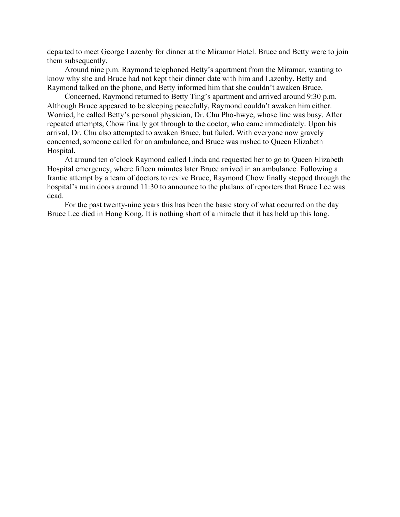departed to meet George Lazenby for dinner at the Miramar Hotel. Bruce and Betty were to join them subsequently.

 Around nine p.m. Raymond telephoned Betty's apartment from the Miramar, wanting to know why she and Bruce had not kept their dinner date with him and Lazenby. Betty and Raymond talked on the phone, and Betty informed him that she couldn't awaken Bruce.

 Concerned, Raymond returned to Betty Ting's apartment and arrived around 9:30 p.m. Although Bruce appeared to be sleeping peacefully, Raymond couldn't awaken him either. Worried, he called Betty's personal physician, Dr. Chu Pho-hwye, whose line was busy. After repeated attempts, Chow finally got through to the doctor, who came immediately. Upon his arrival, Dr. Chu also attempted to awaken Bruce, but failed. With everyone now gravely concerned, someone called for an ambulance, and Bruce was rushed to Queen Elizabeth Hospital.

 At around ten o'clock Raymond called Linda and requested her to go to Queen Elizabeth Hospital emergency, where fifteen minutes later Bruce arrived in an ambulance. Following a frantic attempt by a team of doctors to revive Bruce, Raymond Chow finally stepped through the hospital's main doors around 11:30 to announce to the phalanx of reporters that Bruce Lee was dead.

 For the past twenty-nine years this has been the basic story of what occurred on the day Bruce Lee died in Hong Kong. It is nothing short of a miracle that it has held up this long.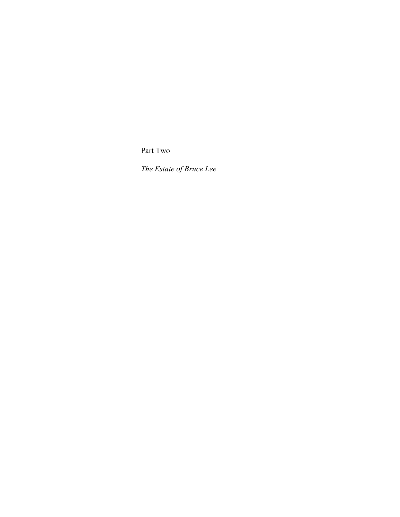Part Two

*The Estate of Bruce Lee*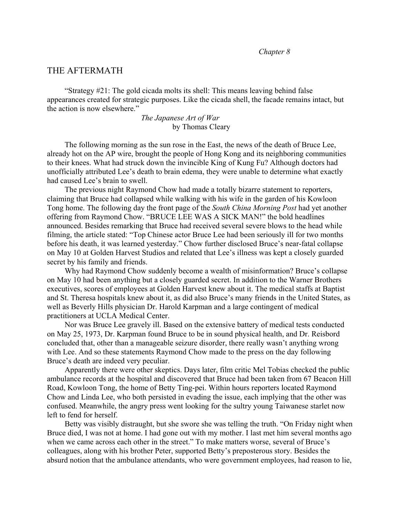## THE AFTERMATH

"Strategy  $\#21$ : The gold cicada molts its shell: This means leaving behind false appearances created for strategic purposes. Like the cicada shell, the facade remains intact, but the action is now elsewhere."

> *The Japanese Art of War*  by Thomas Cleary

 The following morning as the sun rose in the East, the news of the death of Bruce Lee, already hot on the AP wire, brought the people of Hong Kong and its neighboring communities to their knees. What had struck down the invincible King of Kung Fu? Although doctors had unofficially attributed Lee's death to brain edema, they were unable to determine what exactly had caused Lee's brain to swell.

 The previous night Raymond Chow had made a totally bizarre statement to reporters, claiming that Bruce had collapsed while walking with his wife in the garden of his Kowloon Tong home. The following day the front page of the *South China Morning Post* had yet another offering from Raymond Chow. "BRUCE LEE WAS A SICK MAN!" the bold headlines announced. Besides remarking that Bruce had received several severe blows to the head while filming, the article stated: "Top Chinese actor Bruce Lee had been seriously ill for two months before his death, it was learned yesterday." Chow further disclosed Bruce's near-fatal collapse on May 10 at Golden Harvest Studios and related that Lee's illness was kept a closely guarded secret by his family and friends.

 Why had Raymond Chow suddenly become a wealth of misinformation? Bruce's collapse on May 10 had been anything but a closely guarded secret. In addition to the Warner Brothers executives, scores of employees at Golden Harvest knew about it. The medical staffs at Baptist and St. Theresa hospitals knew about it, as did also Bruce's many friends in the United States, as well as Beverly Hills physician Dr. Harold Karpman and a large contingent of medical practitioners at UCLA Medical Center.

 Nor was Bruce Lee gravely ill. Based on the extensive battery of medical tests conducted on May 25, 1973, Dr. Karpman found Bruce to be in sound physical health, and Dr. Reisbord concluded that, other than a manageable seizure disorder, there really wasn't anything wrong with Lee. And so these statements Raymond Chow made to the press on the day following Bruce's death are indeed very peculiar.

 Apparently there were other skeptics. Days later, film critic Mel Tobias checked the public ambulance records at the hospital and discovered that Bruce had been taken from 67 Beacon Hill Road, Kowloon Tong, the home of Betty Ting-pei. Within hours reporters located Raymond Chow and Linda Lee, who both persisted in evading the issue, each implying that the other was confused. Meanwhile, the angry press went looking for the sultry young Taiwanese starlet now left to fend for herself.

 Betty was visibly distraught, but she swore she was telling the truth. "On Friday night when Bruce died, I was not at home. I had gone out with my mother. I last met him several months ago when we came across each other in the street." To make matters worse, several of Bruce's colleagues, along with his brother Peter, supported Betty's preposterous story. Besides the absurd notion that the ambulance attendants, who were government employees, had reason to lie,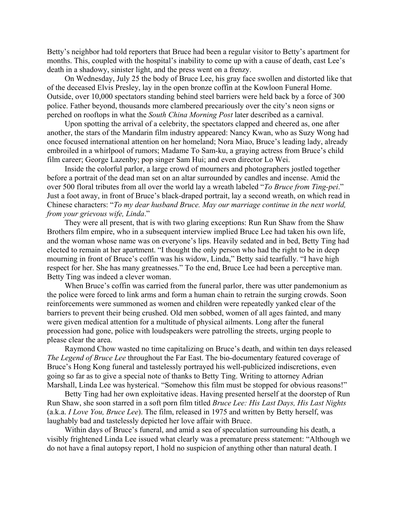Betty's neighbor had told reporters that Bruce had been a regular visitor to Betty's apartment for months. This, coupled with the hospital's inability to come up with a cause of death, cast Lee's death in a shadowy, sinister light, and the press went on a frenzy.

 On Wednesday, July 25 the body of Bruce Lee, his gray face swollen and distorted like that of the deceased Elvis Presley, lay in the open bronze coffin at the Kowloon Funeral Home. Outside, over 10,000 spectators standing behind steel barriers were held back by a force of 300 police. Father beyond, thousands more clambered precariously over the city's neon signs or perched on rooftops in what the *South China Morning Post* later described as a carnival.

 Upon spotting the arrival of a celebrity, the spectators clapped and cheered as, one after another, the stars of the Mandarin film industry appeared: Nancy Kwan, who as Suzy Wong had once focused international attention on her homeland; Nora Miao, Bruce's leading lady, already embroiled in a whirlpool of rumors; Madame To Sam-ku, a graying actress from Bruce's child film career; George Lazenby; pop singer Sam Hui; and even director Lo Wei.

 Inside the colorful parlor, a large crowd of mourners and photographers jostled together before a portrait of the dead man set on an altar surrounded by candles and incense. Amid the over 500 floral tributes from all over the world lay a wreath labeled "*To Bruce from Ting-pei*." Just a foot away, in front of Bruce's black-draped portrait, lay a second wreath, on which read in Chinese characters: "*To my dear husband Bruce. May our marriage continue in the next world, from your grievous wife, Linda*."

 They were all present, that is with two glaring exceptions: Run Run Shaw from the Shaw Brothers film empire, who in a subsequent interview implied Bruce Lee had taken his own life, and the woman whose name was on everyone's lips. Heavily sedated and in bed, Betty Ting had elected to remain at her apartment. "I thought the only person who had the right to be in deep mourning in front of Bruce's coffin was his widow, Linda," Betty said tearfully. "I have high respect for her. She has many greatnesses." To the end, Bruce Lee had been a perceptive man. Betty Ting was indeed a clever woman.

 When Bruce's coffin was carried from the funeral parlor, there was utter pandemonium as the police were forced to link arms and form a human chain to retrain the surging crowds. Soon reinforcements were summoned as women and children were repeatedly yanked clear of the barriers to prevent their being crushed. Old men sobbed, women of all ages fainted, and many were given medical attention for a multitude of physical ailments. Long after the funeral procession had gone, police with loudspeakers were patrolling the streets, urging people to please clear the area.

 Raymond Chow wasted no time capitalizing on Bruce's death, and within ten days released *The Legend of Bruce Lee* throughout the Far East. The bio-documentary featured coverage of Bruce's Hong Kong funeral and tastelessly portrayed his well-publicized indiscretions, even going so far as to give a special note of thanks to Betty Ting. Writing to attorney Adrian Marshall, Linda Lee was hysterical. "Somehow this film must be stopped for obvious reasons!"

 Betty Ting had her own exploitative ideas. Having presented herself at the doorstep of Run Run Shaw, she soon starred in a soft porn film titled *Bruce Lee: His Last Days, His Last Nights* (a.k.a. *I Love You, Bruce Lee*). The film, released in 1975 and written by Betty herself, was laughably bad and tastelessly depicted her love affair with Bruce.

 Within days of Bruce's funeral, and amid a sea of speculation surrounding his death, a visibly frightened Linda Lee issued what clearly was a premature press statement: "Although we do not have a final autopsy report, I hold no suspicion of anything other than natural death. I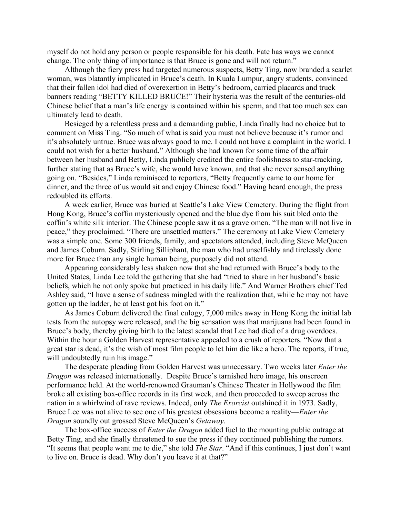myself do not hold any person or people responsible for his death. Fate has ways we cannot change. The only thing of importance is that Bruce is gone and will not return."

 Although the fiery press had targeted numerous suspects, Betty Ting, now branded a scarlet woman, was blatantly implicated in Bruce's death. In Kuala Lumpur, angry students, convinced that their fallen idol had died of overexertion in Betty's bedroom, carried placards and truck banners reading "BETTY KILLED BRUCE!" Their hysteria was the result of the centuries-old Chinese belief that a man's life energy is contained within his sperm, and that too much sex can ultimately lead to death.

 Besieged by a relentless press and a demanding public, Linda finally had no choice but to comment on Miss Ting. "So much of what is said you must not believe because it's rumor and it's absolutely untrue. Bruce was always good to me. I could not have a complaint in the world. I could not wish for a better husband." Although she had known for some time of the affair between her husband and Betty, Linda publicly credited the entire foolishness to star-tracking, further stating that as Bruce's wife, she would have known, and that she never sensed anything going on. "Besides," Linda reminisced to reporters, "Betty frequently came to our home for dinner, and the three of us would sit and enjoy Chinese food." Having heard enough, the press redoubled its efforts.

 A week earlier, Bruce was buried at Seattle's Lake View Cemetery. During the flight from Hong Kong, Bruce's coffin mysteriously opened and the blue dye from his suit bled onto the coffin's white silk interior. The Chinese people saw it as a grave omen. "The man will not live in peace," they proclaimed. "There are unsettled matters." The ceremony at Lake View Cemetery was a simple one. Some 300 friends, family, and spectators attended, including Steve McQueen and James Coburn. Sadly, Stirling Silliphant, the man who had unselfishly and tirelessly done more for Bruce than any single human being, purposely did not attend.

 Appearing considerably less shaken now that she had returned with Bruce's body to the United States, Linda Lee told the gathering that she had "tried to share in her husband's basic beliefs, which he not only spoke but practiced in his daily life." And Warner Brothers chief Ted Ashley said, "I have a sense of sadness mingled with the realization that, while he may not have gotten up the ladder, he at least got his foot on it."

 As James Coburn delivered the final eulogy, 7,000 miles away in Hong Kong the initial lab tests from the autopsy were released, and the big sensation was that marijuana had been found in Bruce's body, thereby giving birth to the latest scandal that Lee had died of a drug overdoes. Within the hour a Golden Harvest representative appealed to a crush of reporters. "Now that a great star is dead, it's the wish of most film people to let him die like a hero. The reports, if true, will undoubtedly ruin his image."

 The desperate pleading from Golden Harvest was unnecessary. Two weeks later *Enter the Dragon* was released internationally. Despite Bruce's tarnished hero image, his onscreen performance held. At the world-renowned Grauman's Chinese Theater in Hollywood the film broke all existing box-office records in its first week, and then proceeded to sweep across the nation in a whirlwind of rave reviews. Indeed, only *The Exorcist* outshined it in 1973. Sadly, Bruce Lee was not alive to see one of his greatest obsessions become a reality—*Enter the Dragon* soundly out grossed Steve McQueen's *Getaway*.

 The box-office success of *Enter the Dragon* added fuel to the mounting public outrage at Betty Ting, and she finally threatened to sue the press if they continued publishing the rumors. "It seems that people want me to die," she told *The Star*. "And if this continues, I just don't want to live on. Bruce is dead. Why don't you leave it at that?"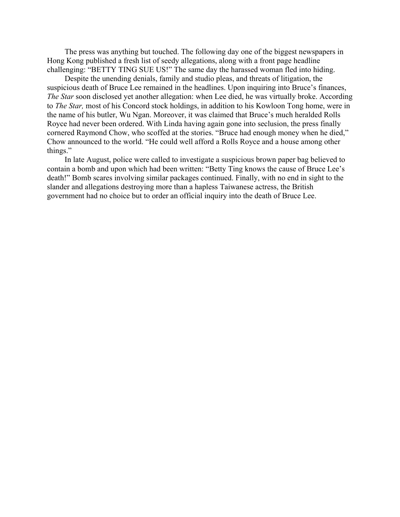The press was anything but touched. The following day one of the biggest newspapers in Hong Kong published a fresh list of seedy allegations, along with a front page headline challenging: "BETTY TING SUE US!" The same day the harassed woman fled into hiding.

 Despite the unending denials, family and studio pleas, and threats of litigation, the suspicious death of Bruce Lee remained in the headlines. Upon inquiring into Bruce's finances, *The Star* soon disclosed yet another allegation: when Lee died, he was virtually broke. According to *The Star,* most of his Concord stock holdings, in addition to his Kowloon Tong home, were in the name of his butler, Wu Ngan. Moreover, it was claimed that Bruce's much heralded Rolls Royce had never been ordered. With Linda having again gone into seclusion, the press finally cornered Raymond Chow, who scoffed at the stories. "Bruce had enough money when he died," Chow announced to the world. "He could well afford a Rolls Royce and a house among other things."

 In late August, police were called to investigate a suspicious brown paper bag believed to contain a bomb and upon which had been written: "Betty Ting knows the cause of Bruce Lee's death!" Bomb scares involving similar packages continued. Finally, with no end in sight to the slander and allegations destroying more than a hapless Taiwanese actress, the British government had no choice but to order an official inquiry into the death of Bruce Lee.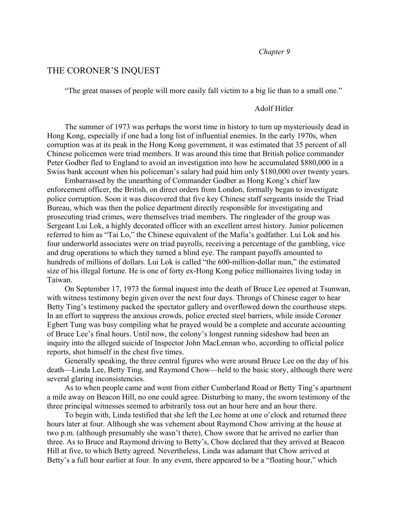#### THE CORONER'S INQUEST

"The great masses of people will more easily fall victim to a big lie than to a small one."

#### Adolf Hitler

The summer of 1973 was perhaps the worst time in history to turn up mysteriously dead in Hong Kong, especially if one had a long list of influential enemies. In the early 1970s, when corruption was at its peak in the Hong Kong government, it was estimated that 35 percent of all Chinese policemen were triad members. It was around this time that British police commander Peter Godber fled to England to avoid an investigation into how he accumulated \$880,000 in a Swiss bank account when his policeman's salary had paid him only \$180,000 over twenty years.

 Embarrassed by the unearthing of Commander Godber as Hong Kong's chief law enforcement officer, the British, on direct orders from London, formally began to investigate police corruption. Soon it was discovered that five key Chinese staff sergeants inside the Triad Bureau, which was then the police department directly responsible for investigating and prosecuting triad crimes, were themselves triad members. The ringleader of the group was Sergeant Lui Lok, a highly decorated officer with an excellent arrest history. Junior policemen referred to him as "Tai Lo," the Chinese equivalent of the Mafia's godfather. Lui Lok and his four underworld associates were on triad payrolls, receiving a percentage of the gambling, vice and drug operations to which they turned a blind eye. The rampant payoffs amounted to hundreds of millions of dollars. Lui Lok is called "the 600-million-dollar man," the estimated size of his illegal fortune. He is one of forty ex-Hong Kong police millionaires living today in Taiwan.

 On September 17, 1973 the formal inquest into the death of Bruce Lee opened at Tsunwan, with witness testimony begin given over the next four days. Throngs of Chinese eager to hear Betty Ting's testimony packed the spectator gallery and overflowed down the courthouse steps. In an effort to suppress the anxious crowds, police erected steel barriers, while inside Coroner Egbert Tung was busy compiling what he prayed would be a complete and accurate accounting of Bruce Lee's final hours. Until now, the colony's longest running sideshow had been an inquiry into the alleged suicide of Inspector John MacLennan who, according to official police reports, shot himself in the chest five times.

 Generally speaking, the three central figures who were around Bruce Lee on the day of his death—Linda Lee, Betty Ting, and Raymond Chow—held to the basic story, although there were several glaring inconsistencies.

 As to when people came and went from either Cumberland Road or Betty Ting's apartment a mile away on Beacon Hill, no one could agree. Disturbing to many, the sworn testimony of the three principal witnesses seemed to arbitrarily toss out an hour here and an hour there.

 To begin with, Linda testified that she left the Lee home at one o'clock and returned three hours later at four. Although she was vehement about Raymond Chow arriving at the house at two p.m. (although presumably she wasn't there), Chow swore that he arrived no earlier than three. As to Bruce and Raymond driving to Betty's, Chow declared that they arrived at Beacon Hill at five, to which Betty agreed. Nevertheless, Linda was adamant that Chow arrived at Betty's a full hour earlier at four. In any event, there appeared to be a "floating hour," which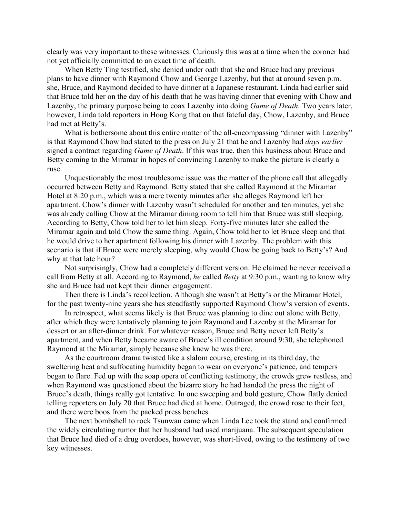clearly was very important to these witnesses. Curiously this was at a time when the coroner had not yet officially committed to an exact time of death.

 When Betty Ting testified, she denied under oath that she and Bruce had any previous plans to have dinner with Raymond Chow and George Lazenby, but that at around seven p.m. she, Bruce, and Raymond decided to have dinner at a Japanese restaurant. Linda had earlier said that Bruce told her on the day of his death that he was having dinner that evening with Chow and Lazenby, the primary purpose being to coax Lazenby into doing *Game of Death*. Two years later, however, Linda told reporters in Hong Kong that on that fateful day, Chow, Lazenby, and Bruce had met at Betty's.

 What is bothersome about this entire matter of the all-encompassing "dinner with Lazenby" is that Raymond Chow had stated to the press on July 21 that he and Lazenby had *days earlier* signed a contract regarding *Game of Death*. If this was true, then this business about Bruce and Betty coming to the Miramar in hopes of convincing Lazenby to make the picture is clearly a ruse.

 Unquestionably the most troublesome issue was the matter of the phone call that allegedly occurred between Betty and Raymond. Betty stated that she called Raymond at the Miramar Hotel at 8:20 p.m., which was a mere twenty minutes after she alleges Raymond left her apartment. Chow's dinner with Lazenby wasn't scheduled for another and ten minutes, yet she was already calling Chow at the Miramar dining room to tell him that Bruce was still sleeping. According to Betty, Chow told her to let him sleep. Forty-five minutes later she called the Miramar again and told Chow the same thing. Again, Chow told her to let Bruce sleep and that he would drive to her apartment following his dinner with Lazenby. The problem with this scenario is that if Bruce were merely sleeping, why would Chow be going back to Betty's? And why at that late hour?

 Not surprisingly, Chow had a completely different version. He claimed he never received a call from Betty at all. According to Raymond, *he* called *Betty* at 9:30 p.m., wanting to know why she and Bruce had not kept their dinner engagement.

 Then there is Linda's recollection. Although she wasn't at Betty's or the Miramar Hotel, for the past twenty-nine years she has steadfastly supported Raymond Chow's version of events.

 In retrospect, what seems likely is that Bruce was planning to dine out alone with Betty, after which they were tentatively planning to join Raymond and Lazenby at the Miramar for dessert or an after-dinner drink. For whatever reason, Bruce and Betty never left Betty's apartment, and when Betty became aware of Bruce's ill condition around 9:30, she telephoned Raymond at the Miramar, simply because she knew he was there.

 As the courtroom drama twisted like a slalom course, cresting in its third day, the sweltering heat and suffocating humidity began to wear on everyone's patience, and tempers began to flare. Fed up with the soap opera of conflicting testimony, the crowds grew restless, and when Raymond was questioned about the bizarre story he had handed the press the night of Bruce's death, things really got tentative. In one sweeping and bold gesture, Chow flatly denied telling reporters on July 20 that Bruce had died at home. Outraged, the crowd rose to their feet, and there were boos from the packed press benches.

 The next bombshell to rock Tsunwan came when Linda Lee took the stand and confirmed the widely circulating rumor that her husband had used marijuana. The subsequent speculation that Bruce had died of a drug overdoes, however, was short-lived, owing to the testimony of two key witnesses.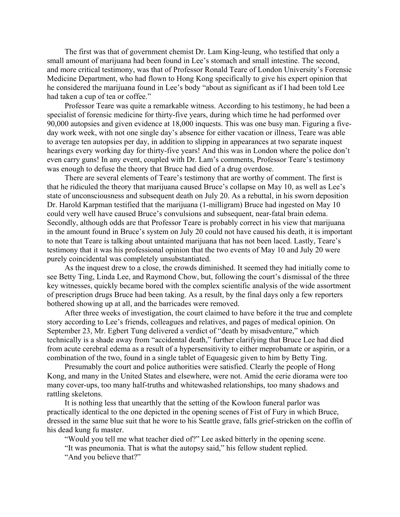The first was that of government chemist Dr. Lam King-leung, who testified that only a small amount of marijuana had been found in Lee's stomach and small intestine. The second, and more critical testimony, was that of Professor Ronald Teare of London University's Forensic Medicine Department, who had flown to Hong Kong specifically to give his expert opinion that he considered the marijuana found in Lee's body "about as significant as if I had been told Lee had taken a cup of tea or coffee."

 Professor Teare was quite a remarkable witness. According to his testimony, he had been a specialist of forensic medicine for thirty-five years, during which time he had performed over 90,000 autopsies and given evidence at 18,000 inquests. This was one busy man. Figuring a fiveday work week, with not one single day's absence for either vacation or illness, Teare was able to average ten autopsies per day, in addition to slipping in appearances at two separate inquest hearings every working day for thirty-five years! And this was in London where the police don't even carry guns! In any event, coupled with Dr. Lam's comments, Professor Teare's testimony was enough to defuse the theory that Bruce had died of a drug overdose.

 There are several elements of Teare's testimony that are worthy of comment. The first is that he ridiculed the theory that marijuana caused Bruce's collapse on May 10, as well as Lee's state of unconsciousness and subsequent death on July 20. As a rebuttal, in his sworn deposition Dr. Harold Karpman testified that the marijuana (1-milligram) Bruce had ingested on May 10 could very well have caused Bruce's convulsions and subsequent, near-fatal brain edema. Secondly, although odds are that Professor Teare is probably correct in his view that marijuana in the amount found in Bruce's system on July 20 could not have caused his death, it is important to note that Teare is talking about untainted marijuana that has not been laced. Lastly, Teare's testimony that it was his professional opinion that the two events of May 10 and July 20 were purely coincidental was completely unsubstantiated.

 As the inquest drew to a close, the crowds diminished. It seemed they had initially come to see Betty Ting, Linda Lee, and Raymond Chow, but, following the court's dismissal of the three key witnesses, quickly became bored with the complex scientific analysis of the wide assortment of prescription drugs Bruce had been taking. As a result, by the final days only a few reporters bothered showing up at all, and the barricades were removed.

 After three weeks of investigation, the court claimed to have before it the true and complete story according to Lee's friends, colleagues and relatives, and pages of medical opinion. On September 23, Mr. Egbert Tung delivered a verdict of "death by misadventure," which technically is a shade away from "accidental death," further clarifying that Bruce Lee had died from acute cerebral edema as a result of a hypersensitivity to either meprobamate or aspirin, or a combination of the two, found in a single tablet of Equagesic given to him by Betty Ting.

 Presumably the court and police authorities were satisfied. Clearly the people of Hong Kong, and many in the United States and elsewhere, were not. Amid the eerie diorama were too many cover-ups, too many half-truths and whitewashed relationships, too many shadows and rattling skeletons.

 It is nothing less that unearthly that the setting of the Kowloon funeral parlor was practically identical to the one depicted in the opening scenes of Fist of Fury in which Bruce, dressed in the same blue suit that he wore to his Seattle grave, falls grief-stricken on the coffin of his dead kung fu master.

"Would you tell me what teacher died of?" Lee asked bitterly in the opening scene.

"It was pneumonia. That is what the autopsy said," his fellow student replied.

"And you believe that?"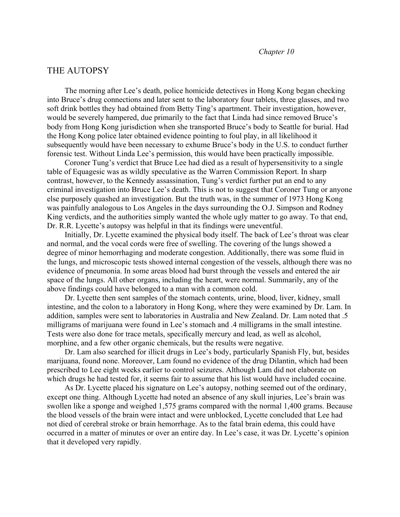## THE AUTOPSY

The morning after Lee's death, police homicide detectives in Hong Kong began checking into Bruce's drug connections and later sent to the laboratory four tablets, three glasses, and two soft drink bottles they had obtained from Betty Ting's apartment. Their investigation, however, would be severely hampered, due primarily to the fact that Linda had since removed Bruce's body from Hong Kong jurisdiction when she transported Bruce's body to Seattle for burial. Had the Hong Kong police later obtained evidence pointing to foul play, in all likelihood it subsequently would have been necessary to exhume Bruce's body in the U.S. to conduct further forensic test. Without Linda Lee's permission, this would have been practically impossible.

 Coroner Tung's verdict that Bruce Lee had died as a result of hypersensitivity to a single table of Equagesic was as wildly speculative as the Warren Commission Report. In sharp contrast, however, to the Kennedy assassination, Tung's verdict further put an end to any criminal investigation into Bruce Lee's death. This is not to suggest that Coroner Tung or anyone else purposely quashed an investigation. But the truth was, in the summer of 1973 Hong Kong was painfully analogous to Los Angeles in the days surrounding the O.J. Simpson and Rodney King verdicts, and the authorities simply wanted the whole ugly matter to go away. To that end, Dr. R.R. Lycette's autopsy was helpful in that its findings were uneventful.

 Initially, Dr. Lycette examined the physical body itself. The back of Lee's throat was clear and normal, and the vocal cords were free of swelling. The covering of the lungs showed a degree of minor hemorrhaging and moderate congestion. Additionally, there was some fluid in the lungs, and microscopic tests showed internal congestion of the vessels, although there was no evidence of pneumonia. In some areas blood had burst through the vessels and entered the air space of the lungs. All other organs, including the heart, were normal. Summarily, any of the above findings could have belonged to a man with a common cold.

 Dr. Lycette then sent samples of the stomach contents, urine, blood, liver, kidney, small intestine, and the colon to a laboratory in Hong Kong, where they were examined by Dr. Lam. In addition, samples were sent to laboratories in Australia and New Zealand. Dr. Lam noted that .5 milligrams of marijuana were found in Lee's stomach and .4 milligrams in the small intestine. Tests were also done for trace metals, specifically mercury and lead, as well as alcohol, morphine, and a few other organic chemicals, but the results were negative.

 Dr. Lam also searched for illicit drugs in Lee's body, particularly Spanish Fly, but, besides marijuana, found none. Moreover, Lam found no evidence of the drug Dilantin, which had been prescribed to Lee eight weeks earlier to control seizures. Although Lam did not elaborate on which drugs he had tested for, it seems fair to assume that his list would have included cocaine.

 As Dr. Lycette placed his signature on Lee's autopsy, nothing seemed out of the ordinary, except one thing. Although Lycette had noted an absence of any skull injuries, Lee's brain was swollen like a sponge and weighed 1,575 grams compared with the normal 1,400 grams. Because the blood vessels of the brain were intact and were unblocked, Lycette concluded that Lee had not died of cerebral stroke or brain hemorrhage. As to the fatal brain edema, this could have occurred in a matter of minutes or over an entire day. In Lee's case, it was Dr. Lycette's opinion that it developed very rapidly.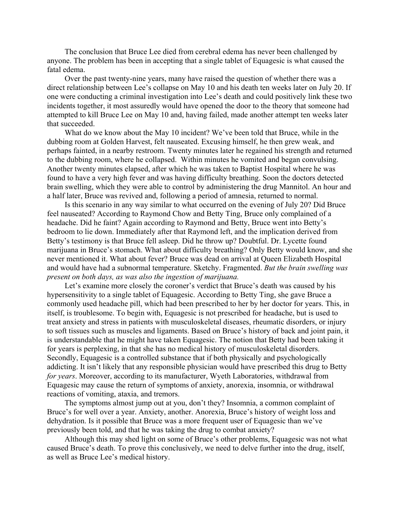The conclusion that Bruce Lee died from cerebral edema has never been challenged by anyone. The problem has been in accepting that a single tablet of Equagesic is what caused the fatal edema.

 Over the past twenty-nine years, many have raised the question of whether there was a direct relationship between Lee's collapse on May 10 and his death ten weeks later on July 20. If one were conducting a criminal investigation into Lee's death and could positively link these two incidents together, it most assuredly would have opened the door to the theory that someone had attempted to kill Bruce Lee on May 10 and, having failed, made another attempt ten weeks later that succeeded.

 What do we know about the May 10 incident? We've been told that Bruce, while in the dubbing room at Golden Harvest, felt nauseated. Excusing himself, he then grew weak, and perhaps fainted, in a nearby restroom. Twenty minutes later he regained his strength and returned to the dubbing room, where he collapsed. Within minutes he vomited and began convulsing. Another twenty minutes elapsed, after which he was taken to Baptist Hospital where he was found to have a very high fever and was having difficulty breathing. Soon the doctors detected brain swelling, which they were able to control by administering the drug Mannitol. An hour and a half later, Bruce was revived and, following a period of amnesia, returned to normal.

 Is this scenario in any way similar to what occurred on the evening of July 20? Did Bruce feel nauseated? According to Raymond Chow and Betty Ting, Bruce only complained of a headache. Did he faint? Again according to Raymond and Betty, Bruce went into Betty's bedroom to lie down. Immediately after that Raymond left, and the implication derived from Betty's testimony is that Bruce fell asleep. Did he throw up? Doubtful. Dr. Lycette found marijuana in Bruce's stomach. What about difficulty breathing? Only Betty would know, and she never mentioned it. What about fever? Bruce was dead on arrival at Queen Elizabeth Hospital and would have had a subnormal temperature. Sketchy. Fragmented. *But the brain swelling was present on both days, as was also the ingestion of marijuana.* 

 Let's examine more closely the coroner's verdict that Bruce's death was caused by his hypersensitivity to a single tablet of Equagesic. According to Betty Ting, she gave Bruce a commonly used headache pill, which had been prescribed to her by her doctor for years. This, in itself, is troublesome. To begin with, Equagesic is not prescribed for headache, but is used to treat anxiety and stress in patients with musculoskeletal diseases, rheumatic disorders, or injury to soft tissues such as muscles and ligaments. Based on Bruce's history of back and joint pain, it is understandable that he might have taken Equagesic. The notion that Betty had been taking it for years is perplexing, in that she has no medical history of musculoskeletal disorders. Secondly, Equagesic is a controlled substance that if both physically and psychologically addicting. It isn't likely that any responsible physician would have prescribed this drug to Betty *for years*. Moreover, according to its manufacturer, Wyeth Laboratories, withdrawal from Equagesic may cause the return of symptoms of anxiety, anorexia, insomnia, or withdrawal reactions of vomiting, ataxia, and tremors.

 The symptoms almost jump out at you, don't they? Insomnia, a common complaint of Bruce's for well over a year. Anxiety, another. Anorexia, Bruce's history of weight loss and dehydration. Is it possible that Bruce was a more frequent user of Equagesic than we've previously been told, and that he was taking the drug to combat anxiety?

 Although this may shed light on some of Bruce's other problems, Equagesic was not what caused Bruce's death. To prove this conclusively, we need to delve further into the drug, itself, as well as Bruce Lee's medical history.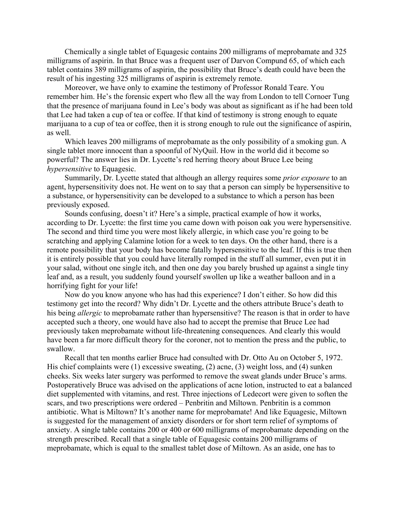Chemically a single tablet of Equagesic contains 200 milligrams of meprobamate and 325 milligrams of aspirin. In that Bruce was a frequent user of Darvon Compund 65, of which each tablet contains 389 milligrams of aspirin, the possibility that Bruce's death could have been the result of his ingesting 325 milligrams of aspirin is extremely remote.

 Moreover, we have only to examine the testimony of Professor Ronald Teare. You remember him. He's the forensic expert who flew all the way from London to tell Cornoer Tung that the presence of marijuana found in Lee's body was about as significant as if he had been told that Lee had taken a cup of tea or coffee. If that kind of testimony is strong enough to equate marijuana to a cup of tea or coffee, then it is strong enough to rule out the significance of aspirin, as well.

 Which leaves 200 milligrams of meprobamate as the only possibility of a smoking gun. A single tablet more innocent than a spoonful of NyQuil. How in the world did it become so powerful? The answer lies in Dr. Lycette's red herring theory about Bruce Lee being *hypersensitive* to Equagesic.

 Summarily, Dr. Lycette stated that although an allergy requires some *prior exposure* to an agent, hypersensitivity does not. He went on to say that a person can simply be hypersensitive to a substance, or hypersensitivity can be developed to a substance to which a person has been previously exposed.

 Sounds confusing, doesn't it? Here's a simple, practical example of how it works, according to Dr. Lycette: the first time you came down with poison oak you were hypersensitive. The second and third time you were most likely allergic, in which case you're going to be scratching and applying Calamine lotion for a week to ten days. On the other hand, there is a remote possibility that your body has become fatally hypersensitive to the leaf. If this is true then it is entirely possible that you could have literally romped in the stuff all summer, even put it in your salad, without one single itch, and then one day you barely brushed up against a single tiny leaf and, as a result, you suddenly found yourself swollen up like a weather balloon and in a horrifying fight for your life!

 Now do you know anyone who has had this experience? I don't either. So how did this testimony get into the record? Why didn't Dr. Lycette and the others attribute Bruce's death to his being *allergic* to meprobamate rather than hypersensitive? The reason is that in order to have accepted such a theory, one would have also had to accept the premise that Bruce Lee had previously taken meprobamate without life-threatening consequences. And clearly this would have been a far more difficult theory for the coroner, not to mention the press and the public, to swallow.

 Recall that ten months earlier Bruce had consulted with Dr. Otto Au on October 5, 1972. His chief complaints were (1) excessive sweating, (2) acne, (3) weight loss, and (4) sunken cheeks. Six weeks later surgery was performed to remove the sweat glands under Bruce's arms. Postoperatively Bruce was advised on the applications of acne lotion, instructed to eat a balanced diet supplemented with vitamins, and rest. Three injections of Ledecort were given to soften the scars, and two prescriptions were ordered – Penbritin and Miltown. Penbritin is a common antibiotic. What is Miltown? It's another name for meprobamate! And like Equagesic, Miltown is suggested for the management of anxiety disorders or for short term relief of symptoms of anxiety. A single table contains 200 or 400 or 600 milligrams of meprobamate depending on the strength prescribed. Recall that a single table of Equagesic contains 200 milligrams of meprobamate, which is equal to the smallest tablet dose of Miltown. As an aside, one has to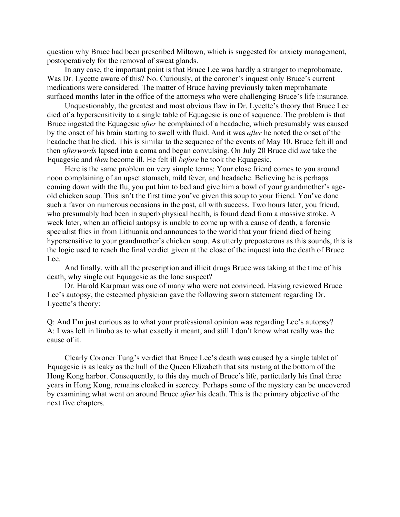question why Bruce had been prescribed Miltown, which is suggested for anxiety management, postoperatively for the removal of sweat glands.

 In any case, the important point is that Bruce Lee was hardly a stranger to meprobamate. Was Dr. Lycette aware of this? No. Curiously, at the coroner's inquest only Bruce's current medications were considered. The matter of Bruce having previously taken meprobamate surfaced months later in the office of the attorneys who were challenging Bruce's life insurance.

 Unquestionably, the greatest and most obvious flaw in Dr. Lycette's theory that Bruce Lee died of a hypersensitivity to a single table of Equagesic is one of sequence. The problem is that Bruce ingested the Equagesic *after* he complained of a headache, which presumably was caused by the onset of his brain starting to swell with fluid. And it was *after* he noted the onset of the headache that he died. This is similar to the sequence of the events of May 10. Bruce felt ill and then *afterwards* lapsed into a coma and began convulsing. On July 20 Bruce did *not* take the Equagesic and *then* become ill. He felt ill *before* he took the Equagesic.

 Here is the same problem on very simple terms: Your close friend comes to you around noon complaining of an upset stomach, mild fever, and headache. Believing he is perhaps coming down with the flu, you put him to bed and give him a bowl of your grandmother's ageold chicken soup. This isn't the first time you've given this soup to your friend. You've done such a favor on numerous occasions in the past, all with success. Two hours later, you friend, who presumably had been in superb physical health, is found dead from a massive stroke. A week later, when an official autopsy is unable to come up with a cause of death, a forensic specialist flies in from Lithuania and announces to the world that your friend died of being hypersensitive to your grandmother's chicken soup. As utterly preposterous as this sounds, this is the logic used to reach the final verdict given at the close of the inquest into the death of Bruce Lee.

 And finally, with all the prescription and illicit drugs Bruce was taking at the time of his death, why single out Equagesic as the lone suspect?

 Dr. Harold Karpman was one of many who were not convinced. Having reviewed Bruce Lee's autopsy, the esteemed physician gave the following sworn statement regarding Dr. Lycette's theory:

Q: And I'm just curious as to what your professional opinion was regarding Lee's autopsy? A: I was left in limbo as to what exactly it meant, and still I don't know what really was the cause of it.

Clearly Coroner Tung's verdict that Bruce Lee's death was caused by a single tablet of Equagesic is as leaky as the hull of the Queen Elizabeth that sits rusting at the bottom of the Hong Kong harbor. Consequently, to this day much of Bruce's life, particularly his final three years in Hong Kong, remains cloaked in secrecy. Perhaps some of the mystery can be uncovered by examining what went on around Bruce *after* his death. This is the primary objective of the next five chapters.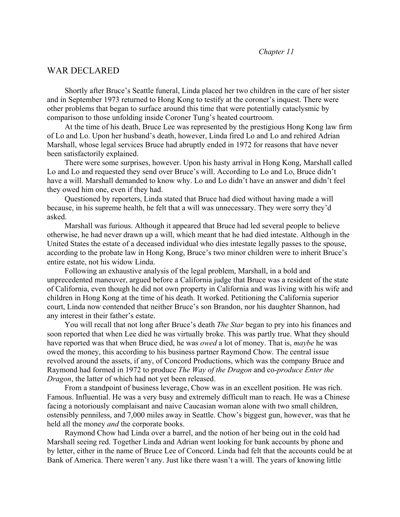# WAR DECLARED

Shortly after Bruce's Seattle funeral, Linda placed her two children in the care of her sister and in September 1973 returned to Hong Kong to testify at the coroner's inquest. There were other problems that began to surface around this time that were potentially cataclysmic by comparison to those unfolding inside Coroner Tung's heated courtroom.

 At the time of his death, Bruce Lee was represented by the prestigious Hong Kong law firm of Lo and Lo. Upon her husband's death, however, Linda fired Lo and Lo and rehired Adrian Marshall, whose legal services Bruce had abruptly ended in 1972 for reasons that have never been satisfactorily explained.

 There were some surprises, however. Upon his hasty arrival in Hong Kong, Marshall called Lo and Lo and requested they send over Bruce's will. According to Lo and Lo, Bruce didn't have a will. Marshall demanded to know why. Lo and Lo didn't have an answer and didn't feel they owed him one, even if they had.

 Questioned by reporters, Linda stated that Bruce had died without having made a will because, in his supreme health, he felt that a will was unnecessary. They were sorry they'd asked.

 Marshall was furious. Although it appeared that Bruce had led several people to believe otherwise, he had never drawn up a will, which meant that he had died intestate. Although in the United States the estate of a deceased individual who dies intestate legally passes to the spouse, according to the probate law in Hong Kong, Bruce's two minor children were to inherit Bruce's entire estate, not his widow Linda.

 Following an exhaustive analysis of the legal problem, Marshall, in a bold and unprecedented maneuver, argued before a California judge that Bruce was a resident of the state of California, even though he did not own property in California and was living with his wife and children in Hong Kong at the time of his death. It worked. Petitioning the California superior court, Linda now contended that neither Bruce's son Brandon, nor his daughter Shannon, had any interest in their father's estate.

 You will recall that not long after Bruce's death *The Star* began to pry into his finances and soon reported that when Lee died he was virtually broke. This was partly true. What they should have reported was that when Bruce died, he was *owed* a lot of money. That is, *maybe* he was owed the money, this according to his business partner Raymond Chow. The central issue revolved around the assets, if any, of Concord Productions, which was the company Bruce and Raymond had formed in 1972 to produce *The Way of the Dragon* and co-*produce Enter the Dragon*, the latter of which had not yet been released.

 From a standpoint of business leverage, Chow was in an excellent position. He was rich. Famous. Influential. He was a very busy and extremely difficult man to reach. He was a Chinese facing a notoriously complaisant and naive Caucasian woman alone with two small children, ostensibly penniless, and 7,000 miles away in Seattle. Chow's biggest gun, however, was that he held all the money *and* the corporate books.

 Raymond Chow had Linda over a barrel, and the notion of her being out in the cold had Marshall seeing red. Together Linda and Adrian went looking for bank accounts by phone and by letter, either in the name of Bruce Lee of Concord. Linda had felt that the accounts could be at Bank of America. There weren't any. Just like there wasn't a will. The years of knowing little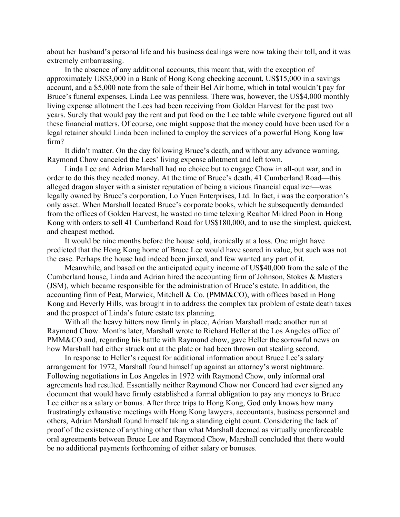about her husband's personal life and his business dealings were now taking their toll, and it was extremely embarrassing.

 In the absence of any additional accounts, this meant that, with the exception of approximately US\$3,000 in a Bank of Hong Kong checking account, US\$15,000 in a savings account, and a \$5,000 note from the sale of their Bel Air home, which in total wouldn't pay for Bruce's funeral expenses, Linda Lee was penniless. There was, however, the US\$4,000 monthly living expense allotment the Lees had been receiving from Golden Harvest for the past two years. Surely that would pay the rent and put food on the Lee table while everyone figured out all these financial matters. Of course, one might suppose that the money could have been used for a legal retainer should Linda been inclined to employ the services of a powerful Hong Kong law firm?

 It didn't matter. On the day following Bruce's death, and without any advance warning, Raymond Chow canceled the Lees' living expense allotment and left town.

 Linda Lee and Adrian Marshall had no choice but to engage Chow in all-out war, and in order to do this they needed money. At the time of Bruce's death, 41 Cumberland Road—this alleged dragon slayer with a sinister reputation of being a vicious financial equalizer—was legally owned by Bruce's corporation, Lo Yuen Enterprises, Ltd. In fact, i was the corporation's only asset. When Marshall located Bruce's corporate books, which he subsequently demanded from the offices of Golden Harvest, he wasted no time telexing Realtor Mildred Poon in Hong Kong with orders to sell 41 Cumberland Road for US\$180,000, and to use the simplest, quickest, and cheapest method.

 It would be nine months before the house sold, ironically at a loss. One might have predicted that the Hong Kong home of Bruce Lee would have soared in value, but such was not the case. Perhaps the house had indeed been jinxed, and few wanted any part of it.

 Meanwhile, and based on the anticipated equity income of US\$40,000 from the sale of the Cumberland house, Linda and Adrian hired the accounting firm of Johnson, Stokes & Masters (JSM), which became responsible for the administration of Bruce's estate. In addition, the accounting firm of Peat, Marwick, Mitchell & Co. (PMM&CO), with offices based in Hong Kong and Beverly Hills, was brought in to address the complex tax problem of estate death taxes and the prospect of Linda's future estate tax planning.

 With all the heavy hitters now firmly in place, Adrian Marshall made another run at Raymond Chow. Months later, Marshall wrote to Richard Heller at the Los Angeles office of PMM&CO and, regarding his battle with Raymond chow, gave Heller the sorrowful news on how Marshall had either struck out at the plate or had been thrown out stealing second.

 In response to Heller's request for additional information about Bruce Lee's salary arrangement for 1972, Marshall found himself up against an attorney's worst nightmare. Following negotiations in Los Angeles in 1972 with Raymond Chow, only informal oral agreements had resulted. Essentially neither Raymond Chow nor Concord had ever signed any document that would have firmly established a formal obligation to pay any moneys to Bruce Lee either as a salary or bonus. After three trips to Hong Kong, God only knows how many frustratingly exhaustive meetings with Hong Kong lawyers, accountants, business personnel and others, Adrian Marshall found himself taking a standing eight count. Considering the lack of proof of the existence of anything other than what Marshall deemed as virtually unenforceable oral agreements between Bruce Lee and Raymond Chow, Marshall concluded that there would be no additional payments forthcoming of either salary or bonuses.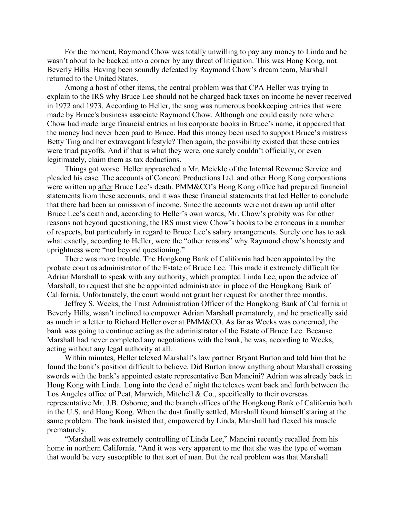For the moment, Raymond Chow was totally unwilling to pay any money to Linda and he wasn't about to be backed into a corner by any threat of litigation. This was Hong Kong, not Beverly Hills. Having been soundly defeated by Raymond Chow's dream team, Marshall returned to the United States.

 Among a host of other items, the central problem was that CPA Heller was trying to explain to the IRS why Bruce Lee should not be charged back taxes on income he never received in 1972 and 1973. According to Heller, the snag was numerous bookkeeping entries that were made by Bruce's business associate Raymond Chow. Although one could easily note where Chow had made large financial entries in his corporate books in Bruce's name, it appeared that the money had never been paid to Bruce. Had this money been used to support Bruce's mistress Betty Ting and her extravagant lifestyle? Then again, the possibility existed that these entries were triad payoffs. And if that is what they were, one surely couldn't officially, or even legitimately, claim them as tax deductions.

 Things got worse. Heller approached a Mr. Meickle of the Internal Revenue Service and pleaded his case. The accounts of Concord Productions Ltd. and other Hong Kong corporations were written up after Bruce Lee's death. PMM&CO's Hong Kong office had prepared financial statements from these accounts, and it was these financial statements that led Heller to conclude that there had been an omission of income. Since the accounts were not drawn up until after Bruce Lee's death and, according to Heller's own words, Mr. Chow's probity was for other reasons not beyond questioning, the IRS must view Chow's books to be erroneous in a number of respects, but particularly in regard to Bruce Lee's salary arrangements. Surely one has to ask what exactly, according to Heller, were the "other reasons" why Raymond chow's honesty and uprightness were "not beyond questioning."

 There was more trouble. The Hongkong Bank of California had been appointed by the probate court as administrator of the Estate of Bruce Lee. This made it extremely difficult for Adrian Marshall to speak with any authority, which prompted Linda Lee, upon the advice of Marshall, to request that she be appointed administrator in place of the Hongkong Bank of California. Unfortunately, the court would not grant her request for another three months.

 Jeffrey S. Weeks, the Trust Administration Officer of the Hongkong Bank of California in Beverly Hills, wasn't inclined to empower Adrian Marshall prematurely, and he practically said as much in a letter to Richard Heller over at PMM&CO. As far as Weeks was concerned, the bank was going to continue acting as the administrator of the Estate of Bruce Lee. Because Marshall had never completed any negotiations with the bank, he was, according to Weeks, acting without any legal authority at all.

 Within minutes, Heller telexed Marshall's law partner Bryant Burton and told him that he found the bank's position difficult to believe. Did Burton know anything about Marshall crossing swords with the bank's appointed estate representative Ben Mancini? Adrian was already back in Hong Kong with Linda. Long into the dead of night the telexes went back and forth between the Los Angeles office of Peat, Marwich, Mitchell & Co., specifically to their overseas representative Mr. J.B. Osborne, and the branch offices of the Hongkong Bank of California both in the U.S. and Hong Kong. When the dust finally settled, Marshall found himself staring at the same problem. The bank insisted that, empowered by Linda, Marshall had flexed his muscle prematurely.

 "Marshall was extremely controlling of Linda Lee," Mancini recently recalled from his home in northern California. "And it was very apparent to me that she was the type of woman that would be very susceptible to that sort of man. But the real problem was that Marshall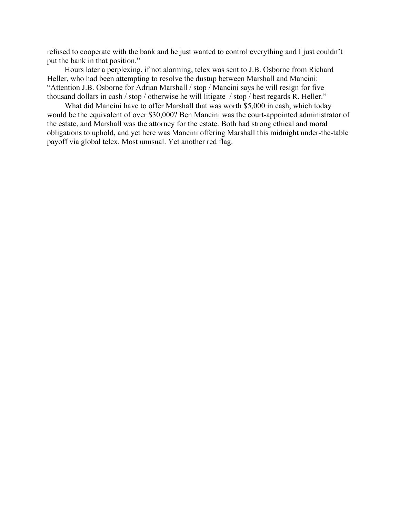refused to cooperate with the bank and he just wanted to control everything and I just couldn't put the bank in that position."

 Hours later a perplexing, if not alarming, telex was sent to J.B. Osborne from Richard Heller, who had been attempting to resolve the dustup between Marshall and Mancini: "Attention J.B. Osborne for Adrian Marshall / stop / Mancini says he will resign for five thousand dollars in cash / stop / otherwise he will litigate / stop / best regards R. Heller."

 What did Mancini have to offer Marshall that was worth \$5,000 in cash, which today would be the equivalent of over \$30,000? Ben Mancini was the court-appointed administrator of the estate, and Marshall was the attorney for the estate. Both had strong ethical and moral obligations to uphold, and yet here was Mancini offering Marshall this midnight under-the-table payoff via global telex. Most unusual. Yet another red flag.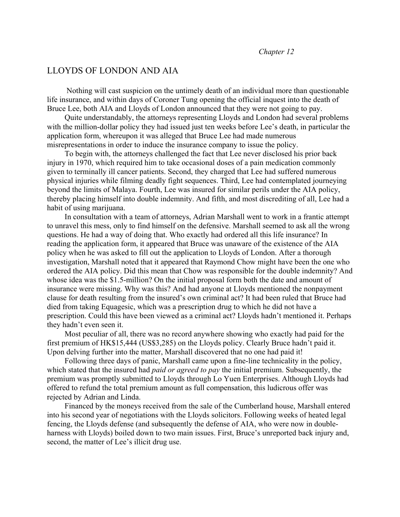# LLOYDS OF LONDON AND AIA

 Nothing will cast suspicion on the untimely death of an individual more than questionable life insurance, and within days of Coroner Tung opening the official inquest into the death of Bruce Lee, both AIA and Lloyds of London announced that they were not going to pay.

 Quite understandably, the attorneys representing Lloyds and London had several problems with the million-dollar policy they had issued just ten weeks before Lee's death, in particular the application form, whereupon it was alleged that Bruce Lee had made numerous misrepresentations in order to induce the insurance company to issue the policy.

 To begin with, the attorneys challenged the fact that Lee never disclosed his prior back injury in 1970, which required him to take occasional doses of a pain medication commonly given to terminally ill cancer patients. Second, they charged that Lee had suffered numerous physical injuries while filming deadly fight sequences. Third, Lee had contemplated journeying beyond the limits of Malaya. Fourth, Lee was insured for similar perils under the AIA policy, thereby placing himself into double indemnity. And fifth, and most discrediting of all, Lee had a habit of using marijuana.

 In consultation with a team of attorneys, Adrian Marshall went to work in a frantic attempt to unravel this mess, only to find himself on the defensive. Marshall seemed to ask all the wrong questions. He had a way of doing that. Who exactly had ordered all this life insurance? In reading the application form, it appeared that Bruce was unaware of the existence of the AIA policy when he was asked to fill out the application to Lloyds of London. After a thorough investigation, Marshall noted that it appeared that Raymond Chow might have been the one who ordered the AIA policy. Did this mean that Chow was responsible for the double indemnity? And whose idea was the \$1.5-million? On the initial proposal form both the date and amount of insurance were missing. Why was this? And had anyone at Lloyds mentioned the nonpayment clause for death resulting from the insured's own criminal act? It had been ruled that Bruce had died from taking Equagesic, which was a prescription drug to which he did not have a prescription. Could this have been viewed as a criminal act? Lloyds hadn't mentioned it. Perhaps they hadn't even seen it.

 Most peculiar of all, there was no record anywhere showing who exactly had paid for the first premium of HK\$15,444 (US\$3,285) on the Lloyds policy. Clearly Bruce hadn't paid it. Upon delving further into the matter, Marshall discovered that no one had paid it!

 Following three days of panic, Marshall came upon a fine-line technicality in the policy, which stated that the insured had *paid or agreed to pay* the initial premium. Subsequently, the premium was promptly submitted to Lloyds through Lo Yuen Enterprises. Although Lloyds had offered to refund the total premium amount as full compensation, this ludicrous offer was rejected by Adrian and Linda.

 Financed by the moneys received from the sale of the Cumberland house, Marshall entered into his second year of negotiations with the Lloyds solicitors. Following weeks of heated legal fencing, the Lloyds defense (and subsequently the defense of AIA, who were now in doubleharness with Lloyds) boiled down to two main issues. First, Bruce's unreported back injury and, second, the matter of Lee's illicit drug use.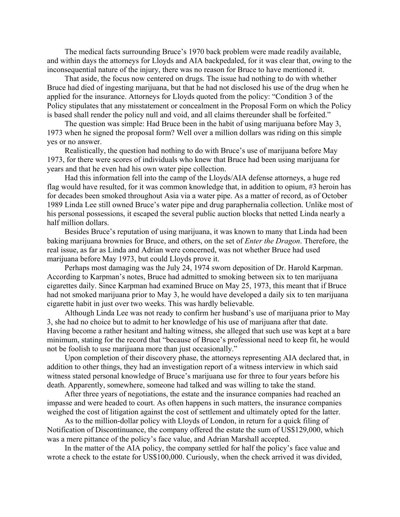The medical facts surrounding Bruce's 1970 back problem were made readily available, and within days the attorneys for Lloyds and AIA backpedaled, for it was clear that, owing to the inconsequential nature of the injury, there was no reason for Bruce to have mentioned it.

 That aside, the focus now centered on drugs. The issue had nothing to do with whether Bruce had died of ingesting marijuana, but that he had not disclosed his use of the drug when he applied for the insurance. Attorneys for Lloyds quoted from the policy: "Condition 3 of the Policy stipulates that any misstatement or concealment in the Proposal Form on which the Policy is based shall render the policy null and void, and all claims thereunder shall be forfeited."

 The question was simple: Had Bruce been in the habit of using marijuana before May 3, 1973 when he signed the proposal form? Well over a million dollars was riding on this simple yes or no answer.

 Realistically, the question had nothing to do with Bruce's use of marijuana before May 1973, for there were scores of individuals who knew that Bruce had been using marijuana for years and that he even had his own water pipe collection.

 Had this information fell into the camp of the Lloyds/AIA defense attorneys, a huge red flag would have resulted, for it was common knowledge that, in addition to opium, #3 heroin has for decades been smoked throughout Asia via a water pipe. As a matter of record, as of October 1989 Linda Lee still owned Bruce's water pipe and drug paraphernalia collection. Unlike most of his personal possessions, it escaped the several public auction blocks that netted Linda nearly a half million dollars.

 Besides Bruce's reputation of using marijuana, it was known to many that Linda had been baking marijuana brownies for Bruce, and others, on the set of *Enter the Dragon*. Therefore, the real issue, as far as Linda and Adrian were concerned, was not whether Bruce had used marijuana before May 1973, but could Lloyds prove it.

 Perhaps most damaging was the July 24, 1974 sworn deposition of Dr. Harold Karpman. According to Karpman's notes, Bruce had admitted to smoking between six to ten marijuana cigarettes daily. Since Karpman had examined Bruce on May 25, 1973, this meant that if Bruce had not smoked marijuana prior to May 3, he would have developed a daily six to ten marijuana cigarette habit in just over two weeks. This was hardly believable.

 Although Linda Lee was not ready to confirm her husband's use of marijuana prior to May 3, she had no choice but to admit to her knowledge of his use of marijuana after that date. Having become a rather hesitant and halting witness, she alleged that such use was kept at a bare minimum, stating for the record that "because of Bruce's professional need to keep fit, he would not be foolish to use marijuana more than just occasionally."

 Upon completion of their discovery phase, the attorneys representing AIA declared that, in addition to other things, they had an investigation report of a witness interview in which said witness stated personal knowledge of Bruce's marijuana use for three to four years before his death. Apparently, somewhere, someone had talked and was willing to take the stand.

 After three years of negotiations, the estate and the insurance companies had reached an impasse and were headed to court. As often happens in such matters, the insurance companies weighed the cost of litigation against the cost of settlement and ultimately opted for the latter.

 As to the million-dollar policy with Lloyds of London, in return for a quick filing of Notification of Discontinuance, the company offered the estate the sum of US\$129,000, which was a mere pittance of the policy's face value, and Adrian Marshall accepted.

 In the matter of the AIA policy, the company settled for half the policy's face value and wrote a check to the estate for US\$100,000. Curiously, when the check arrived it was divided,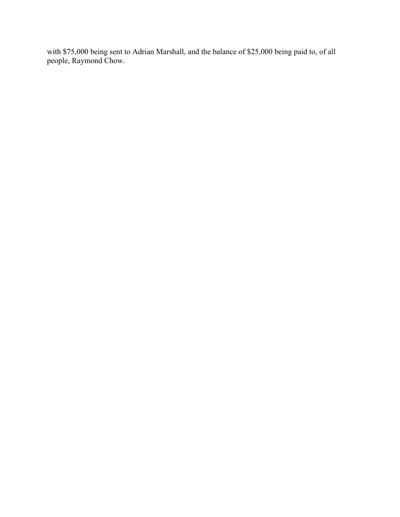with \$75,000 being sent to Adrian Marshall, and the balance of \$25,000 being paid to, of all people, Raymond Chow.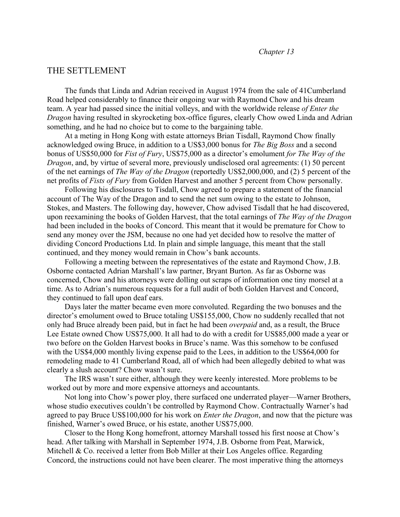# THE SETTLEMENT

The funds that Linda and Adrian received in August 1974 from the sale of 41Cumberland Road helped considerably to finance their ongoing war with Raymond Chow and his dream team. A year had passed since the initial volleys, and with the worldwide release *of Enter the Dragon* having resulted in skyrocketing box-office figures, clearly Chow owed Linda and Adrian something, and he had no choice but to come to the bargaining table.

 At a meting in Hong Kong with estate attorneys Brian Tisdall, Raymond Chow finally acknowledged owing Bruce, in addition to a US\$3,000 bonus for *The Big Boss* and a second bonus of US\$50,000 for *Fist of Fury*, US\$75,000 as a director's emolument *for The Way of the Dragon*, and, by virtue of several more, previously undisclosed oral agreements: (1) 50 percent of the net earnings of *The Way of the Dragon* (reportedly US\$2,000,000, and (2) 5 percent of the net profits of *Fists of Fury* from Golden Harvest and another 5 percent from Chow personally.

 Following his disclosures to Tisdall, Chow agreed to prepare a statement of the financial account of The Way of the Dragon and to send the net sum owing to the estate to Johnson, Stokes, and Masters. The following day, however, Chow advised Tisdall that he had discovered, upon reexamining the books of Golden Harvest, that the total earnings of *The Way of the Dragon*  had been included in the books of Concord. This meant that it would be premature for Chow to send any money over the JSM, because no one had yet decided how to resolve the matter of dividing Concord Productions Ltd. In plain and simple language, this meant that the stall continued, and they money would remain in Chow's bank accounts.

 Following a meeting between the representatives of the estate and Raymond Chow, J.B. Osborne contacted Adrian Marshall's law partner, Bryant Burton. As far as Osborne was concerned, Chow and his attorneys were dolling out scraps of information one tiny morsel at a time. As to Adrian's numerous requests for a full audit of both Golden Harvest and Concord, they continued to fall upon deaf ears.

 Days later the matter became even more convoluted. Regarding the two bonuses and the director's emolument owed to Bruce totaling US\$155,000, Chow no suddenly recalled that not only had Bruce already been paid, but in fact he had been *overpaid* and, as a result, the Bruce Lee Estate owned Chow US\$75,000. It all had to do with a credit for US\$85,000 made a year or two before on the Golden Harvest books in Bruce's name. Was this somehow to be confused with the US\$4,000 monthly living expense paid to the Lees, in addition to the US\$64,000 for remodeling made to 41 Cumberland Road, all of which had been allegedly debited to what was clearly a slush account? Chow wasn't sure.

 The IRS wasn't sure either, although they were keenly interested. More problems to be worked out by more and more expensive attorneys and accountants.

 Not long into Chow's power ploy, there surfaced one underrated player—Warner Brothers, whose studio executives couldn't be controlled by Raymond Chow. Contractually Warner's had agreed to pay Bruce US\$100,000 for his work on *Enter the Dragon*, and now that the picture was finished, Warner's owed Bruce, or his estate, another US\$75,000.

 Closer to the Hong Kong homefront, attorney Marshall tossed his first noose at Chow's head. After talking with Marshall in September 1974, J.B. Osborne from Peat, Marwick, Mitchell  $\&$  Co. received a letter from Bob Miller at their Los Angeles office. Regarding Concord, the instructions could not have been clearer. The most imperative thing the attorneys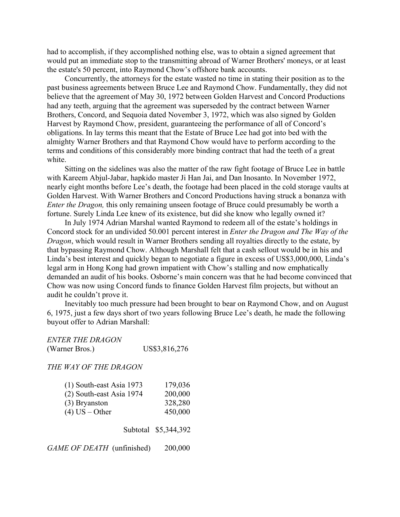had to accomplish, if they accomplished nothing else, was to obtain a signed agreement that would put an immediate stop to the transmitting abroad of Warner Brothers' moneys, or at least the estate's 50 percent, into Raymond Chow's offshore bank accounts.

 Concurrently, the attorneys for the estate wasted no time in stating their position as to the past business agreements between Bruce Lee and Raymond Chow. Fundamentally, they did not believe that the agreement of May 30, 1972 between Golden Harvest and Concord Productions had any teeth, arguing that the agreement was superseded by the contract between Warner Brothers, Concord, and Sequoia dated November 3, 1972, which was also signed by Golden Harvest by Raymond Chow, president, guaranteeing the performance of all of Concord's obligations. In lay terms this meant that the Estate of Bruce Lee had got into bed with the almighty Warner Brothers and that Raymond Chow would have to perform according to the terms and conditions of this considerably more binding contract that had the teeth of a great white.

 Sitting on the sidelines was also the matter of the raw fight footage of Bruce Lee in battle with Kareem Abjul-Jabar, hapkido master Ji Han Jai, and Dan Inosanto. In November 1972, nearly eight months before Lee's death, the footage had been placed in the cold storage vaults at Golden Harvest. With Warner Brothers and Concord Productions having struck a bonanza with *Enter the Dragon,* this only remaining unseen footage of Bruce could presumably be worth a fortune. Surely Linda Lee knew of its existence, but did she know who legally owned it?

 In July 1974 Adrian Marshal wanted Raymond to redeem all of the estate's holdings in Concord stock for an undivided 50.001 percent interest in *Enter the Dragon and The Way of the Dragon*, which would result in Warner Brothers sending all royalties directly to the estate, by that bypassing Raymond Chow. Although Marshall felt that a cash sellout would be in his and Linda's best interest and quickly began to negotiate a figure in excess of US\$3,000,000, Linda's legal arm in Hong Kong had grown impatient with Chow's stalling and now emphatically demanded an audit of his books. Osborne's main concern was that he had become convinced that Chow was now using Concord funds to finance Golden Harvest film projects, but without an audit he couldn't prove it.

 Inevitably too much pressure had been brought to bear on Raymond Chow, and on August 6, 1975, just a few days short of two years following Bruce Lee's death, he made the following buyout offer to Adrian Marshall:

| <b>ENTER THE DRAGON</b> |               |
|-------------------------|---------------|
| (Warner Bros.)          | US\$3,816,276 |

*THE WAY OF THE DRAGON* 

| $(1)$ South-east Asia 1973 | 179,036 |
|----------------------------|---------|
| (2) South-east Asia 1974   | 200,000 |
| (3) Bryanston              | 328,280 |
| $(4)$ US – Other           | 450,000 |

Subtotal \$5,344,392

*GAME OF DEATH* (unfinished) 200,000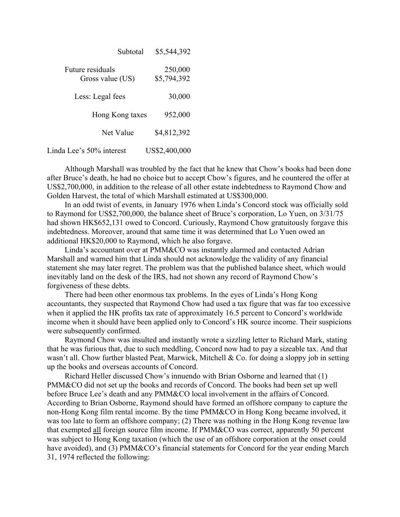| Subtotal                             | \$5,544,392            |
|--------------------------------------|------------------------|
| Future residuals<br>Gross value (US) | 250,000<br>\$5,794,392 |
| Less: Legal fees                     | 30,000                 |
| Hong Kong taxes                      | 952,000                |
| Net Value                            | \$4,812,392            |
| Linda Lee's 50% interest             | US\$2,400,000          |

Although Marshall was troubled by the fact that he knew that Chow's books had been done after Bruce's death, he had no choice but to accept Chow's figures, and he countered the offer at US\$2,700,000, in addition to the release of all other estate indebtedness to Raymond Chow and Golden Harvest, the total of which Marshall estimated at US\$300,000.

 In an odd twist of events, in January 1976 when Linda's Concord stock was officially sold to Raymond for US\$2,700,000, the balance sheet of Bruce's corporation, Lo Yuen, on 3/31/75 had shown HK\$652,131 owed to Concord. Curiously, Raymond Chow gratuitously forgave this indebtedness. Moreover, around that same time it was determined that Lo Yuen owed an additional HK\$20,000 to Raymond, which he also forgave.

 Linda's accountant over at PMM&CO was instantly alarmed and contacted Adrian Marshall and warned him that Linda should not acknowledge the validity of any financial statement she may later regret. The problem was that the published balance sheet, which would inevitably land on the desk of the IRS, had not shown any record of Raymond Chow's forgiveness of these debts.

 There had been other enormous tax problems. In the eyes of Linda's Hong Kong accountants, they suspected that Raymond Chow had used a tax figure that was far too excessive when it applied the HK profits tax rate of approximately 16.5 percent to Concord's worldwide income when it should have been applied only to Concord's HK source income. Their suspicions were subsequently confirmed.

 Raymond Chow was insulted and instantly wrote a sizzling letter to Richard Mark, stating that he was furious that, due to such meddling, Concord now had to pay a sizeable tax. And that wasn't all. Chow further blasted Peat, Marwick, Mitchell & Co. for doing a sloppy job in setting up the books and overseas accounts of Concord.

 Richard Heller discussed Chow's innuendo with Brian Osborne and learned that (1) PMM&CO did not set up the books and records of Concord. The books had been set up well before Bruce Lee's death and any PMM&CO local involvement in the affairs of Concord. According to Brian Osborne, Raymond should have formed an offshore company to capture the non-Hong Kong film rental income. By the time PMM&CO in Hong Kong became involved, it was too late to form an offshore company; (2) There was nothing in the Hong Kong revenue law that exempted all foreign source film income. If PMM&CO was correct, apparently 50 percent was subject to Hong Kong taxation (which the use of an offshore corporation at the onset could have avoided), and (3) PMM&CO's financial statements for Concord for the year ending March 31, 1974 reflected the following: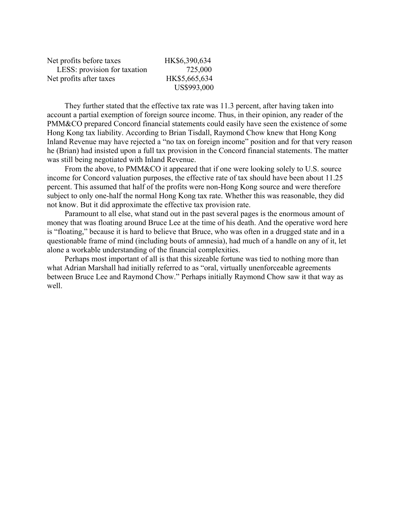| Net profits before taxes     | HK\$6,390,634 |
|------------------------------|---------------|
| LESS: provision for taxation | 725,000       |
| Net profits after taxes      | HK\$5,665,634 |
|                              | US\$993,000   |

They further stated that the effective tax rate was 11.3 percent, after having taken into account a partial exemption of foreign source income. Thus, in their opinion, any reader of the PMM&CO prepared Concord financial statements could easily have seen the existence of some Hong Kong tax liability. According to Brian Tisdall, Raymond Chow knew that Hong Kong Inland Revenue may have rejected a "no tax on foreign income" position and for that very reason he (Brian) had insisted upon a full tax provision in the Concord financial statements. The matter was still being negotiated with Inland Revenue.

 From the above, to PMM&CO it appeared that if one were looking solely to U.S. source income for Concord valuation purposes, the effective rate of tax should have been about 11.25 percent. This assumed that half of the profits were non-Hong Kong source and were therefore subject to only one-half the normal Hong Kong tax rate. Whether this was reasonable, they did not know. But it did approximate the effective tax provision rate.

 Paramount to all else, what stand out in the past several pages is the enormous amount of money that was floating around Bruce Lee at the time of his death. And the operative word here is "floating," because it is hard to believe that Bruce, who was often in a drugged state and in a questionable frame of mind (including bouts of amnesia), had much of a handle on any of it, let alone a workable understanding of the financial complexities.

 Perhaps most important of all is that this sizeable fortune was tied to nothing more than what Adrian Marshall had initially referred to as "oral, virtually unenforceable agreements between Bruce Lee and Raymond Chow." Perhaps initially Raymond Chow saw it that way as well.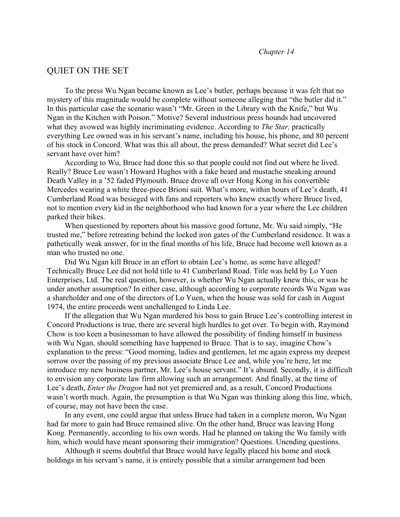### QUIET ON THE SET

To the press Wu Ngan became known as Lee's butler, perhaps because it was felt that no mystery of this magnitude would be complete without someone alleging that "the butler did it." In this particular case the scenario wasn't "Mr. Green in the Library with the Knife," but Wu Ngan in the Kitchen with Poison." Motive? Several industrious press hounds had uncovered what they avowed was highly incriminating evidence. According to *The Star,* practically everything Lee owned was in his servant's name, including his house, his phone, and 80 percent of his stock in Concord. What was this all about, the press demanded? What secret did Lee's servant have over him?

 According to Wu, Bruce had done this so that people could not find out where he lived. Really? Bruce Lee wasn't Howard Hughes with a fake beard and mustache sneaking around Death Valley in a '52 faded Plymouth. Bruce drove all over Hong Kong in his convertible Mercedes wearing a white three-piece Brioni suit. What's more, within hours of Lee's death, 41 Cumberland Road was besieged with fans and reporters who knew exactly where Bruce lived, not to mention every kid in the neighborhood who had known for a year where the Lee children parked their bikes.

 When questioned by reporters about his massive good fortune, Mr. Wu said simply, "He trusted me," before retreating behind the locked iron gates of the Cumberland residence. It was a pathetically weak answer, for in the final months of his life, Bruce had become well known as a man who trusted no one.

 Did Wu Ngan kill Bruce in an effort to obtain Lee's home, as some have alleged? Technically Bruce Lee did not hold title to 41 Cumberland Road. Title was held by Lo Yuen Enterprises, Ltd. The real question, however, is whether Wu Ngan actually knew this, or was he under another assumption? In either case, although according to corporate records Wu Ngan was a shareholder and one of the directors of Lo Yuen, when the house was sold for cash in August 1974, the entire proceeds went unchallenged to Linda Lee.

 If the allegation that Wu Ngan murdered his boss to gain Bruce Lee's controlling interest in Concord Productions is true, there are several high hurdles to get over. To begin with, Raymond Chow is too keen a businessman to have allowed the possibility of finding himself in business with Wu Ngan, should something have happened to Bruce. That is to say, imagine Chow's explanation to the press: "Good morning, ladies and gentlemen, let me again express my deepest sorrow over the passing of my previous associate Bruce Lee and, while you're here, let me introduce my new business partner, Mr. Lee's house servant." It's absurd. Secondly, it is difficult to envision any corporate law firm allowing such an arrangement. And finally, at the time of Lee's death, *Enter the Dragon* had not yet premiered and, as a result, Concord Productions wasn't worth much. Again, the presumption is that Wu Ngan was thinking along this line, which, of course, may not have been the case.

 In any event, one could argue that unless Bruce had taken in a complete moron, Wu Ngan had far more to gain had Bruce remained alive. On the other hand, Bruce was leaving Hong Kong. Permanently, according to his own words. Had he planned on taking the Wu family with him, which would have meant sponsoring their immigration? Questions. Unending questions.

 Although it seems doubtful that Bruce would have legally placed his home and stock holdings in his servant's name, it is entirely possible that a similar arrangement had been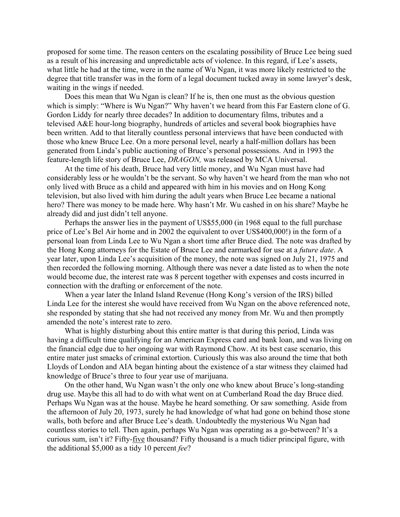proposed for some time. The reason centers on the escalating possibility of Bruce Lee being sued as a result of his increasing and unpredictable acts of violence. In this regard, if Lee's assets, what little he had at the time, were in the name of Wu Ngan, it was more likely restricted to the degree that title transfer was in the form of a legal document tucked away in some lawyer's desk, waiting in the wings if needed.

 Does this mean that Wu Ngan is clean? If he is, then one must as the obvious question which is simply: "Where is Wu Ngan?" Why haven't we heard from this Far Eastern clone of G. Gordon Liddy for nearly three decades? In addition to documentary films, tributes and a televised A&E hour-long biography, hundreds of articles and several book biographies have been written. Add to that literally countless personal interviews that have been conducted with those who knew Bruce Lee. On a more personal level, nearly a half-million dollars has been generated from Linda's public auctioning of Bruce's personal possessions. And in 1993 the feature-length life story of Bruce Lee, *DRAGON,* was released by MCA Universal.

 At the time of his death, Bruce had very little money, and Wu Ngan must have had considerably less or he wouldn't be the servant. So why haven't we heard from the man who not only lived with Bruce as a child and appeared with him in his movies and on Hong Kong television, but also lived with him during the adult years when Bruce Lee became a national hero? There was money to be made here. Why hasn't Mr. Wu cashed in on his share? Maybe he already did and just didn't tell anyone.

 Perhaps the answer lies in the payment of US\$55,000 (in 1968 equal to the full purchase price of Lee's Bel Air home and in 2002 the equivalent to over US\$400,000!) in the form of a personal loan from Linda Lee to Wu Ngan a short time after Bruce died. The note was drafted by the Hong Kong attorneys for the Estate of Bruce Lee and earmarked for use at a *future date*. A year later, upon Linda Lee's acquisition of the money, the note was signed on July 21, 1975 and then recorded the following morning. Although there was never a date listed as to when the note would become due, the interest rate was 8 percent together with expenses and costs incurred in connection with the drafting or enforcement of the note.

 When a year later the Inland Island Revenue (Hong Kong's version of the IRS) billed Linda Lee for the interest she would have received from Wu Ngan on the above referenced note, she responded by stating that she had not received any money from Mr. Wu and then promptly amended the note's interest rate to zero.

 What is highly disturbing about this entire matter is that during this period, Linda was having a difficult time qualifying for an American Express card and bank loan, and was living on the financial edge due to her ongoing war with Raymond Chow. At its best case scenario, this entire mater just smacks of criminal extortion. Curiously this was also around the time that both Lloyds of London and AIA began hinting about the existence of a star witness they claimed had knowledge of Bruce's three to four year use of marijuana.

 On the other hand, Wu Ngan wasn't the only one who knew about Bruce's long-standing drug use. Maybe this all had to do with what went on at Cumberland Road the day Bruce died. Perhaps Wu Ngan was at the house. Maybe he heard something. Or saw something. Aside from the afternoon of July 20, 1973, surely he had knowledge of what had gone on behind those stone walls, both before and after Bruce Lee's death. Undoubtedly the mysterious Wu Ngan had countless stories to tell. Then again, perhaps Wu Ngan was operating as a go-between? It's a curious sum, isn't it? Fifty-five thousand? Fifty thousand is a much tidier principal figure, with the additional \$5,000 as a tidy 10 percent *fee*?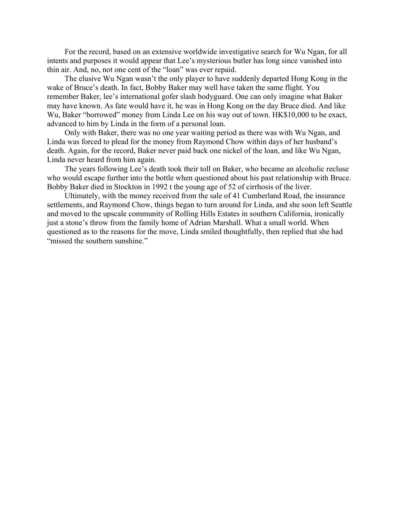For the record, based on an extensive worldwide investigative search for Wu Ngan, for all intents and purposes it would appear that Lee's mysterious butler has long since vanished into thin air. And, no, not one cent of the "loan" was ever repaid.

 The elusive Wu Ngan wasn't the only player to have suddenly departed Hong Kong in the wake of Bruce's death. In fact, Bobby Baker may well have taken the same flight. You remember Baker, lee's international gofer slash bodyguard. One can only imagine what Baker may have known. As fate would have it, he was in Hong Kong on the day Bruce died. And like Wu, Baker "borrowed" money from Linda Lee on his way out of town. HK\$10,000 to be exact, advanced to him by Linda in the form of a personal loan.

 Only with Baker, there was no one year waiting period as there was with Wu Ngan, and Linda was forced to plead for the money from Raymond Chow within days of her husband's death. Again, for the record, Baker never paid back one nickel of the loan, and like Wu Ngan, Linda never heard from him again.

 The years following Lee's death took their toll on Baker, who became an alcoholic recluse who would escape further into the bottle when questioned about his past relationship with Bruce. Bobby Baker died in Stockton in 1992 t the young age of 52 of cirrhosis of the liver.

 Ultimately, with the money received from the sale of 41 Cumberland Road, the insurance settlements, and Raymond Chow, things began to turn around for Linda, and she soon left Seattle and moved to the upscale community of Rolling Hills Estates in southern California, ironically just a stone's throw from the family home of Adrian Marshall. What a small world. When questioned as to the reasons for the move, Linda smiled thoughtfully, then replied that she had "missed the southern sunshine."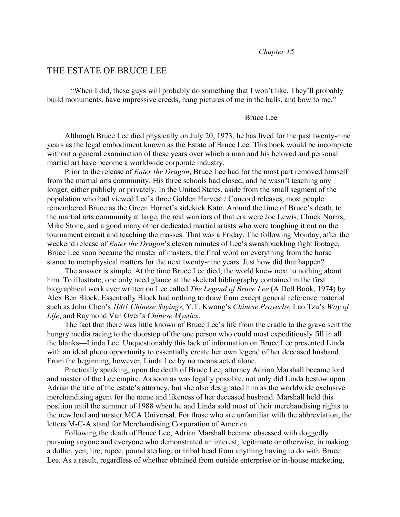# THE ESTATE OF BRUCE LEE

"When I did, these guys will probably do something that I won't like. They'll probably build monuments, have impressive creeds, hang pictures of me in the halls, and bow to me."

#### Bruce Lee

 Although Bruce Lee died physically on July 20, 1973, he has lived for the past twenty-nine years as the legal embodiment known as the Estate of Bruce Lee. This book would be incomplete without a general examination of these years over which a man and his beloved and personal martial art have become a worldwide corporate industry.

 Prior to the release of *Enter the Dragon*, Bruce Lee had for the most part removed himself from the martial arts community. His three schools had closed, and he wasn't teaching any longer, either publicly or privately. In the United States, aside from the small segment of the population who had viewed Lee's three Golden Harvest / Concord releases, most people remembered Bruce as the Green Hornet's sidekick Kato. Around the time of Bruce's death, to the martial arts community at large, the real warriors of that era were Joe Lewis, Chuck Norris, Mike Stone, and a good many other dedicated martial artists who were toughing it out on the tournament circuit and teaching the masses. That was a Friday. The following Monday, after the weekend release of *Enter the Dragon*'s eleven minutes of Lee's swashbuckling fight footage, Bruce Lee soon became the master of masters, the final word on everything from the horse stance to metaphysical matters for the next twenty-nine years. Just how did that happen?

 The answer is simple. At the time Bruce Lee died, the world knew next to nothing about him. To illustrate, one only need glance at the skeletal bibliography contained in the first biographical work ever written on Lee called *The Legend of Bruce Lee* (A Dell Book, 1974) by Alex Ben Block. Essentially Block had nothing to draw from except general reference material such as John Chen's *1001 Chinese Sayings*, Y.T. Kwong's *Chinese Proverbs*, Lao Tzu's *Way of Life*, and Raymond Van Over's *Chinese Mystics*.

 The fact that there was little known of Bruce Lee's life from the cradle to the grave sent the hungry media racing to the doorstep of the one person who could most expeditiously fill in all the blanks—Linda Lee. Unquestionably this lack of information on Bruce Lee presented Linda with an ideal photo opportunity to essentially create her own legend of her deceased husband. From the beginning, however, Linda Lee by no means acted alone.

 Practically speaking, upon the death of Bruce Lee, attorney Adrian Marshall became lord and master of the Lee empire. As soon as was legally possible, not only did Linda bestow upon Adrian the title of the estate's attorney, but she also designated him as the worldwide exclusive merchandising agent for the name and likeness of her deceased husband. Marshall held this position until the summer of 1988 when he and Linda sold most of their merchandising rights to the new lord and master MCA Universal. For those who are unfamiliar with the abbreviation, the letters M-C-A stand for Merchandising Corporation of America.

 Following the death of Bruce Lee, Adrian Marshall became obsessed with doggedly pursuing anyone and everyone who demonstrated an interest, legitimate or otherwise, in making a dollar, yen, lire, rupee, pound sterling, or tribal bead from anything having to do with Bruce Lee. As a result, regardless of whether obtained from outside enterprise or in-house marketing,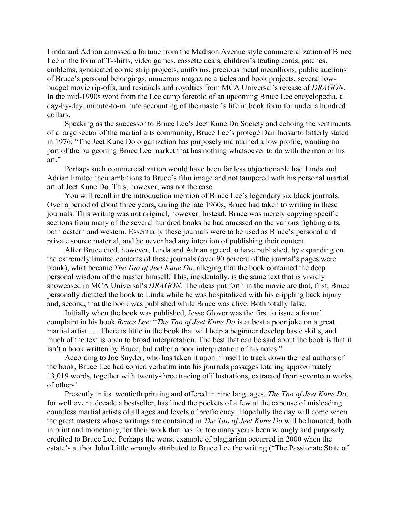Linda and Adrian amassed a fortune from the Madison Avenue style commercialization of Bruce Lee in the form of T-shirts, video games, cassette deals, children's trading cards, patches, emblems, syndicated comic strip projects, uniforms, precious metal medallions, public auctions of Bruce's personal belongings, numerous magazine articles and book projects, several lowbudget movie rip-offs, and residuals and royalties from MCA Universal's release of *DRAGON*. In the mid-1990s word from the Lee camp foretold of an upcoming Bruce Lee encyclopedia, a day-by-day, minute-to-minute accounting of the master's life in book form for under a hundred dollars.

 Speaking as the successor to Bruce Lee's Jeet Kune Do Society and echoing the sentiments of a large sector of the martial arts community, Bruce Lee's protégé Dan Inosanto bitterly stated in 1976: "The Jeet Kune Do organization has purposely maintained a low profile, wanting no part of the burgeoning Bruce Lee market that has nothing whatsoever to do with the man or his art."

 Perhaps such commercialization would have been far less objectionable had Linda and Adrian limited their ambitions to Bruce's film image and not tampered with his personal martial art of Jeet Kune Do. This, however, was not the case.

 You will recall in the introduction mention of Bruce Lee's legendary six black journals. Over a period of about three years, during the late 1960s, Bruce had taken to writing in these journals. This writing was not original, however. Instead, Bruce was merely copying specific sections from many of the several hundred books he had amassed on the various fighting arts, both eastern and western. Essentially these journals were to be used as Bruce's personal and private source material, and he never had any intention of publishing their content.

 After Bruce died, however, Linda and Adrian agreed to have published, by expanding on the extremely limited contents of these journals (over 90 percent of the journal's pages were blank), what became *The Tao of Jeet Kune Do*, alleging that the book contained the deep personal wisdom of the master himself. This, incidentally, is the same text that is vividly showcased in MCA Universal's *DRAGON.* The ideas put forth in the movie are that, first, Bruce personally dictated the book to Linda while he was hospitalized with his crippling back injury and, second, that the book was published while Bruce was alive. Both totally false.

 Initially when the book was published, Jesse Glover was the first to issue a formal complaint in his book *Bruce Lee*: "*The Tao of Jeet Kune Do* is at best a poor joke on a great martial artist . . . There is little in the book that will help a beginner develop basic skills, and much of the text is open to broad interpretation. The best that can be said about the book is that it isn't a book written by Bruce, but rather a poor interpretation of his notes."

 According to Joe Snyder, who has taken it upon himself to track down the real authors of the book, Bruce Lee had copied verbatim into his journals passages totaling approximately 13,019 words, together with twenty-three tracing of illustrations, extracted from seventeen works of others!

 Presently in its twentieth printing and offered in nine languages, *The Tao of Jeet Kune Do*, for well over a decade a bestseller, has lined the pockets of a few at the expense of misleading countless martial artists of all ages and levels of proficiency. Hopefully the day will come when the great masters whose writings are contained in *The Tao of Jeet Kune Do* will be honored, both in print and monetarily, for their work that has for too many years been wrongly and purposely credited to Bruce Lee. Perhaps the worst example of plagiarism occurred in 2000 when the estate's author John Little wrongly attributed to Bruce Lee the writing ("The Passionate State of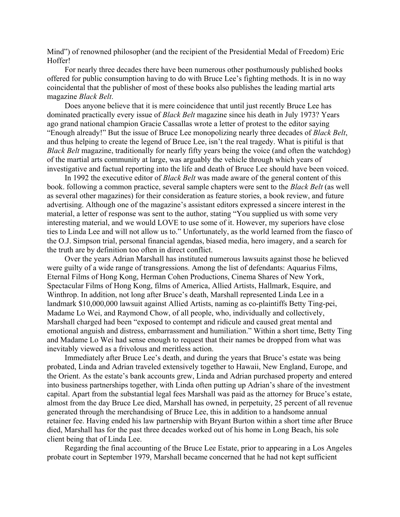Mind") of renowned philosopher (and the recipient of the Presidential Medal of Freedom) Eric Hoffer!

 For nearly three decades there have been numerous other posthumously published books offered for public consumption having to do with Bruce Lee's fighting methods. It is in no way coincidental that the publisher of most of these books also publishes the leading martial arts magazine *Black Belt*.

 Does anyone believe that it is mere coincidence that until just recently Bruce Lee has dominated practically every issue of *Black Belt* magazine since his death in July 1973? Years ago grand national champion Gracie Cassallas wrote a letter of protest to the editor saying "Enough already!" But the issue of Bruce Lee monopolizing nearly three decades of *Black Belt*, and thus helping to create the legend of Bruce Lee, isn't the real tragedy. What is pitiful is that *Black Belt* magazine, traditionally for nearly fifty years being the voice (and often the watchdog) of the martial arts community at large, was arguably the vehicle through which years of investigative and factual reporting into the life and death of Bruce Lee should have been voiced.

 In 1992 the executive editor of *Black Belt* was made aware of the general content of this book. following a common practice, several sample chapters were sent to the *Black Belt* (as well as several other magazines) for their consideration as feature stories, a book review, and future advertising. Although one of the magazine's assistant editors expressed a sincere interest in the material, a letter of response was sent to the author, stating "You supplied us with some very interesting material, and we would LOVE to use some of it. However, my superiors have close ties to Linda Lee and will not allow us to." Unfortunately, as the world learned from the fiasco of the O.J. Simpson trial, personal financial agendas, biased media, hero imagery, and a search for the truth are by definition too often in direct conflict.

 Over the years Adrian Marshall has instituted numerous lawsuits against those he believed were guilty of a wide range of transgressions. Among the list of defendants: Aquarius Films, Eternal Films of Hong Kong, Herman Cohen Productions, Cinema Shares of New York, Spectacular Films of Hong Kong, films of America, Allied Artists, Hallmark, Esquire, and Winthrop. In addition, not long after Bruce's death, Marshall represented Linda Lee in a landmark \$10,000,000 lawsuit against Allied Artists, naming as co-plaintiffs Betty Ting-pei, Madame Lo Wei, and Raymond Chow, of all people, who, individually and collectively, Marshall charged had been "exposed to contempt and ridicule and caused great mental and emotional anguish and distress, embarrassment and humiliation." Within a short time, Betty Ting and Madame Lo Wei had sense enough to request that their names be dropped from what was inevitably viewed as a frivolous and meritless action.

 Immediately after Bruce Lee's death, and during the years that Bruce's estate was being probated, Linda and Adrian traveled extensively together to Hawaii, New England, Europe, and the Orient. As the estate's bank accounts grew, Linda and Adrian purchased property and entered into business partnerships together, with Linda often putting up Adrian's share of the investment capital. Apart from the substantial legal fees Marshall was paid as the attorney for Bruce's estate, almost from the day Bruce Lee died, Marshall has owned, in perpetuity, 25 percent of all revenue generated through the merchandising of Bruce Lee, this in addition to a handsome annual retainer fee. Having ended his law partnership with Bryant Burton within a short time after Bruce died, Marshall has for the past three decades worked out of his home in Long Beach, his sole client being that of Linda Lee.

 Regarding the final accounting of the Bruce Lee Estate, prior to appearing in a Los Angeles probate court in September 1979, Marshall became concerned that he had not kept sufficient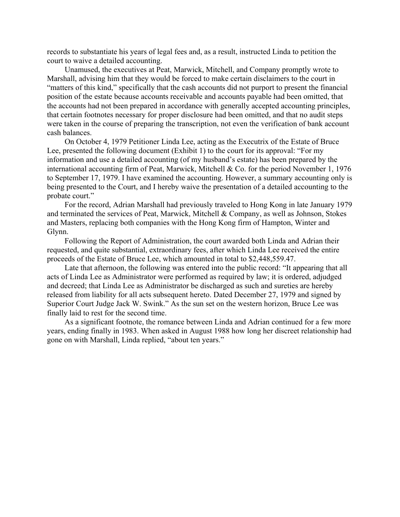records to substantiate his years of legal fees and, as a result, instructed Linda to petition the court to waive a detailed accounting.

 Unamused, the executives at Peat, Marwick, Mitchell, and Company promptly wrote to Marshall, advising him that they would be forced to make certain disclaimers to the court in "matters of this kind," specifically that the cash accounts did not purport to present the financial position of the estate because accounts receivable and accounts payable had been omitted, that the accounts had not been prepared in accordance with generally accepted accounting principles, that certain footnotes necessary for proper disclosure had been omitted, and that no audit steps were taken in the course of preparing the transcription, not even the verification of bank account cash balances.

 On October 4, 1979 Petitioner Linda Lee, acting as the Executrix of the Estate of Bruce Lee, presented the following document (Exhibit 1) to the court for its approval: "For my information and use a detailed accounting (of my husband's estate) has been prepared by the international accounting firm of Peat, Marwick, Mitchell & Co. for the period November 1, 1976 to September 17, 1979. I have examined the accounting. However, a summary accounting only is being presented to the Court, and I hereby waive the presentation of a detailed accounting to the probate court."

 For the record, Adrian Marshall had previously traveled to Hong Kong in late January 1979 and terminated the services of Peat, Marwick, Mitchell & Company, as well as Johnson, Stokes and Masters, replacing both companies with the Hong Kong firm of Hampton, Winter and Glynn.

 Following the Report of Administration, the court awarded both Linda and Adrian their requested, and quite substantial, extraordinary fees, after which Linda Lee received the entire proceeds of the Estate of Bruce Lee, which amounted in total to \$2,448,559.47.

 Late that afternoon, the following was entered into the public record: "It appearing that all acts of Linda Lee as Administrator were performed as required by law; it is ordered, adjudged and decreed; that Linda Lee as Administrator be discharged as such and sureties are hereby released from liability for all acts subsequent hereto. Dated December 27, 1979 and signed by Superior Court Judge Jack W. Swink." As the sun set on the western horizon, Bruce Lee was finally laid to rest for the second time.

 As a significant footnote, the romance between Linda and Adrian continued for a few more years, ending finally in 1983. When asked in August 1988 how long her discreet relationship had gone on with Marshall, Linda replied, "about ten years."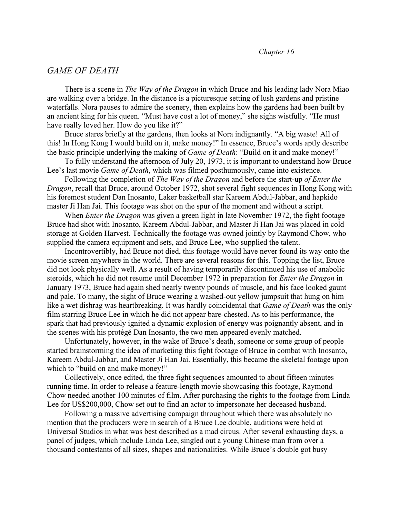# *GAME OF DEATH*

There is a scene in *The Way of the Dragon* in which Bruce and his leading lady Nora Miao are walking over a bridge. In the distance is a picturesque setting of lush gardens and pristine waterfalls. Nora pauses to admire the scenery, then explains how the gardens had been built by an ancient king for his queen. "Must have cost a lot of money," she sighs wistfully. "He must have really loved her. How do you like it?"

 Bruce stares briefly at the gardens, then looks at Nora indignantly. "A big waste! All of this! In Hong Kong I would build on it, make money!" In essence, Bruce's words aptly describe the basic principle underlying the making of *Game of Death*: "Build on it and make money!"

 To fully understand the afternoon of July 20, 1973, it is important to understand how Bruce Lee's last movie *Game of Death*, which was filmed posthumously, came into existence.

 Following the completion of *The Way of the Dragon* and before the start-up *of Enter the Dragon*, recall that Bruce, around October 1972, shot several fight sequences in Hong Kong with his foremost student Dan Inosanto, Laker basketball star Kareem Abdul-Jabbar, and hapkido master Ji Han Jai. This footage was shot on the spur of the moment and without a script.

 When *Enter the Dragon* was given a green light in late November 1972, the fight footage Bruce had shot with Inosanto, Kareem Abdul-Jabbar, and Master Ji Han Jai was placed in cold storage at Golden Harvest. Technically the footage was owned jointly by Raymond Chow, who supplied the camera equipment and sets, and Bruce Lee, who supplied the talent.

 Incontrovertibly, had Bruce not died, this footage would have never found its way onto the movie screen anywhere in the world. There are several reasons for this. Topping the list, Bruce did not look physically well. As a result of having temporarily discontinued his use of anabolic steroids, which he did not resume until December 1972 in preparation for *Enter the Dragon* in January 1973, Bruce had again shed nearly twenty pounds of muscle, and his face looked gaunt and pale. To many, the sight of Bruce wearing a washed-out yellow jumpsuit that hung on him like a wet dishrag was heartbreaking. It was hardly coincidental that *Game of Death* was the only film starring Bruce Lee in which he did not appear bare-chested. As to his performance, the spark that had previously ignited a dynamic explosion of energy was poignantly absent, and in the scenes with his protégé Dan Inosanto, the two men appeared evenly matched.

 Unfortunately, however, in the wake of Bruce's death, someone or some group of people started brainstorming the idea of marketing this fight footage of Bruce in combat with Inosanto, Kareem Abdul-Jabbar, and Master Ji Han Jai. Essentially, this became the skeletal footage upon which to "build on and make money!"

 Collectively, once edited, the three fight sequences amounted to about fifteen minutes running time. In order to release a feature-length movie showcasing this footage, Raymond Chow needed another 100 minutes of film. After purchasing the rights to the footage from Linda Lee for US\$200,000, Chow set out to find an actor to impersonate her deceased husband.

 Following a massive advertising campaign throughout which there was absolutely no mention that the producers were in search of a Bruce Lee double, auditions were held at Universal Studios in what was best described as a mad circus. After several exhausting days, a panel of judges, which include Linda Lee, singled out a young Chinese man from over a thousand contestants of all sizes, shapes and nationalities. While Bruce's double got busy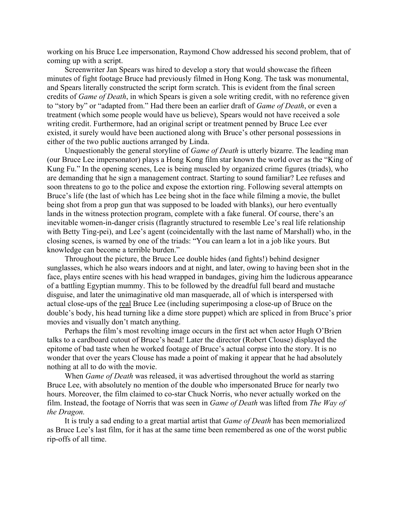working on his Bruce Lee impersonation, Raymond Chow addressed his second problem, that of coming up with a script.

 Screenwriter Jan Spears was hired to develop a story that would showcase the fifteen minutes of fight footage Bruce had previously filmed in Hong Kong. The task was monumental, and Spears literally constructed the script form scratch. This is evident from the final screen credits of *Game of Death*, in which Spears is given a sole writing credit, with no reference given to "story by" or "adapted from." Had there been an earlier draft of *Game of Death*, or even a treatment (which some people would have us believe), Spears would not have received a sole writing credit. Furthermore, had an original script or treatment penned by Bruce Lee ever existed, it surely would have been auctioned along with Bruce's other personal possessions in either of the two public auctions arranged by Linda.

 Unquestionably the general storyline of *Game of Death* is utterly bizarre. The leading man (our Bruce Lee impersonator) plays a Hong Kong film star known the world over as the "King of Kung Fu." In the opening scenes, Lee is being muscled by organized crime figures (triads), who are demanding that he sign a management contract. Starting to sound familiar? Lee refuses and soon threatens to go to the police and expose the extortion ring. Following several attempts on Bruce's life (the last of which has Lee being shot in the face while filming a movie, the bullet being shot from a prop gun that was supposed to be loaded with blanks), our hero eventually lands in the witness protection program, complete with a fake funeral. Of course, there's an inevitable women-in-danger crisis (flagrantly structured to resemble Lee's real life relationship with Betty Ting-pei), and Lee's agent (coincidentally with the last name of Marshall) who, in the closing scenes, is warned by one of the triads: "You can learn a lot in a job like yours. But knowledge can become a terrible burden."

 Throughout the picture, the Bruce Lee double hides (and fights!) behind designer sunglasses, which he also wears indoors and at night, and later, owing to having been shot in the face, plays entire scenes with his head wrapped in bandages, giving him the ludicrous appearance of a battling Egyptian mummy. This to be followed by the dreadful full beard and mustache disguise, and later the unimaginative old man masquerade, all of which is interspersed with actual close-ups of the real Bruce Lee (including superimposing a close-up of Bruce on the double's body, his head turning like a dime store puppet) which are spliced in from Bruce's prior movies and visually don't match anything.

 Perhaps the film's most revolting image occurs in the first act when actor Hugh O'Brien talks to a cardboard cutout of Bruce's head! Later the director (Robert Clouse) displayed the epitome of bad taste when he worked footage of Bruce's actual corpse into the story. It is no wonder that over the years Clouse has made a point of making it appear that he had absolutely nothing at all to do with the movie.

 When *Game of Death* was released, it was advertised throughout the world as starring Bruce Lee, with absolutely no mention of the double who impersonated Bruce for nearly two hours. Moreover, the film claimed to co-star Chuck Norris, who never actually worked on the film. Instead, the footage of Norris that was seen in *Game of Death* was lifted from *The Way of the Dragon.* 

It is truly a sad ending to a great martial artist that *Game of Death* has been memorialized as Bruce Lee's last film, for it has at the same time been remembered as one of the worst public rip-offs of all time.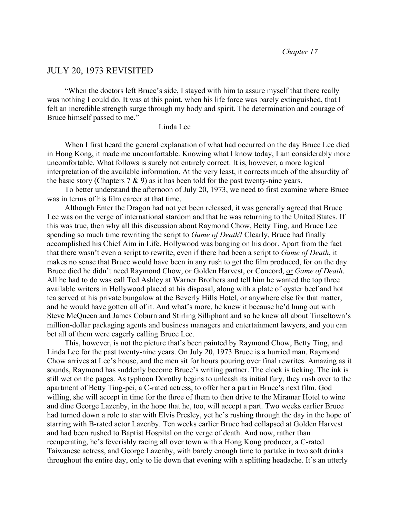### JULY 20, 1973 REVISITED

"When the doctors left Bruce's side, I stayed with him to assure myself that there really was nothing I could do. It was at this point, when his life force was barely extinguished, that I felt an incredible strength surge through my body and spirit. The determination and courage of Bruce himself passed to me."

#### Linda Lee

When I first heard the general explanation of what had occurred on the day Bruce Lee died in Hong Kong, it made me uncomfortable. Knowing what I know today, I am considerably more uncomfortable. What follows is surely not entirely correct. It is, however, a more logical interpretation of the available information. At the very least, it corrects much of the absurdity of the basic story (Chapters  $7 \& 9$ ) as it has been told for the past twenty-nine years.

 To better understand the afternoon of July 20, 1973, we need to first examine where Bruce was in terms of his film career at that time.

 Although Enter the Dragon had not yet been released, it was generally agreed that Bruce Lee was on the verge of international stardom and that he was returning to the United States. If this was true, then why all this discussion about Raymond Chow, Betty Ting, and Bruce Lee spending so much time rewriting the script to *Game of Death*? Clearly, Bruce had finally accomplished his Chief Aim in Life. Hollywood was banging on his door. Apart from the fact that there wasn't even a script to rewrite, even if there had been a script to *Game of Death*, it makes no sense that Bruce would have been in any rush to get the film produced, for on the day Bruce died he didn't need Raymond Chow, or Golden Harvest, or Concord, or *Game of Death*. All he had to do was call Ted Ashley at Warner Brothers and tell him he wanted the top three available writers in Hollywood placed at his disposal, along with a plate of oyster beef and hot tea served at his private bungalow at the Beverly Hills Hotel, or anywhere else for that matter, and he would have gotten all of it. And what's more, he knew it because he'd hung out with Steve McQueen and James Coburn and Stirling Silliphant and so he knew all about Tinseltown's million-dollar packaging agents and business managers and entertainment lawyers, and you can bet all of them were eagerly calling Bruce Lee.

 This, however, is not the picture that's been painted by Raymond Chow, Betty Ting, and Linda Lee for the past twenty-nine years. On July 20, 1973 Bruce is a hurried man. Raymond Chow arrives at Lee's house, and the men sit for hours pouring over final rewrites. Amazing as it sounds, Raymond has suddenly become Bruce's writing partner. The clock is ticking. The ink is still wet on the pages. As typhoon Dorothy begins to unleash its initial fury, they rush over to the apartment of Betty Ting-pei, a C-rated actress, to offer her a part in Bruce's next film. God willing, she will accept in time for the three of them to then drive to the Miramar Hotel to wine and dine George Lazenby, in the hope that he, too, will accept a part. Two weeks earlier Bruce had turned down a role to star with Elvis Presley, yet he's rushing through the day in the hope of starring with B-rated actor Lazenby. Ten weeks earlier Bruce had collapsed at Golden Harvest and had been rushed to Baptist Hospital on the verge of death. And now, rather than recuperating, he's feverishly racing all over town with a Hong Kong producer, a C-rated Taiwanese actress, and George Lazenby, with barely enough time to partake in two soft drinks throughout the entire day, only to lie down that evening with a splitting headache. It's an utterly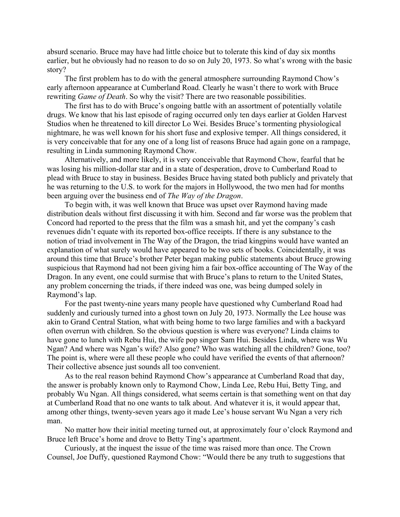absurd scenario. Bruce may have had little choice but to tolerate this kind of day six months earlier, but he obviously had no reason to do so on July 20, 1973. So what's wrong with the basic story?

 The first problem has to do with the general atmosphere surrounding Raymond Chow's early afternoon appearance at Cumberland Road. Clearly he wasn't there to work with Bruce rewriting *Game of Death*. So why the visit? There are two reasonable possibilities.

 The first has to do with Bruce's ongoing battle with an assortment of potentially volatile drugs. We know that his last episode of raging occurred only ten days earlier at Golden Harvest Studios when he threatened to kill director Lo Wei. Besides Bruce's tormenting physiological nightmare, he was well known for his short fuse and explosive temper. All things considered, it is very conceivable that for any one of a long list of reasons Bruce had again gone on a rampage, resulting in Linda summoning Raymond Chow.

 Alternatively, and more likely, it is very conceivable that Raymond Chow, fearful that he was losing his million-dollar star and in a state of desperation, drove to Cumberland Road to plead with Bruce to stay in business. Besides Bruce having stated both publicly and privately that he was returning to the U.S. to work for the majors in Hollywood, the two men had for months been arguing over the business end of *The Way of the Dragon*.

 To begin with, it was well known that Bruce was upset over Raymond having made distribution deals without first discussing it with him. Second and far worse was the problem that Concord had reported to the press that the film was a smash hit, and yet the company's cash revenues didn't equate with its reported box-office receipts. If there is any substance to the notion of triad involvement in The Way of the Dragon, the triad kingpins would have wanted an explanation of what surely would have appeared to be two sets of books. Coincidentally, it was around this time that Bruce's brother Peter began making public statements about Bruce growing suspicious that Raymond had not been giving him a fair box-office accounting of The Way of the Dragon. In any event, one could surmise that with Bruce's plans to return to the United States, any problem concerning the triads, if there indeed was one, was being dumped solely in Raymond's lap.

 For the past twenty-nine years many people have questioned why Cumberland Road had suddenly and curiously turned into a ghost town on July 20, 1973. Normally the Lee house was akin to Grand Central Station, what with being home to two large families and with a backyard often overrun with children. So the obvious question is where was everyone? Linda claims to have gone to lunch with Rebu Hui, the wife pop singer Sam Hui. Besides Linda, where was Wu Ngan? And where was Ngan's wife? Also gone? Who was watching all the children? Gone, too? The point is, where were all these people who could have verified the events of that afternoon? Their collective absence just sounds all too convenient.

 As to the real reason behind Raymond Chow's appearance at Cumberland Road that day, the answer is probably known only to Raymond Chow, Linda Lee, Rebu Hui, Betty Ting, and probably Wu Ngan. All things considered, what seems certain is that something went on that day at Cumberland Road that no one wants to talk about. And whatever it is, it would appear that, among other things, twenty-seven years ago it made Lee's house servant Wu Ngan a very rich man.

 No matter how their initial meeting turned out, at approximately four o'clock Raymond and Bruce left Bruce's home and drove to Betty Ting's apartment.

 Curiously, at the inquest the issue of the time was raised more than once. The Crown Counsel, Joe Duffy, questioned Raymond Chow: "Would there be any truth to suggestions that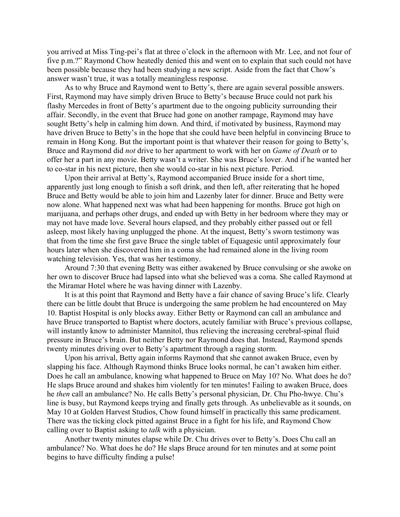you arrived at Miss Ting-pei's flat at three o'clock in the afternoon with Mr. Lee, and not four of five p.m.?" Raymond Chow heatedly denied this and went on to explain that such could not have been possible because they had been studying a new script. Aside from the fact that Chow's answer wasn't true, it was a totally meaningless response.

 As to why Bruce and Raymond went to Betty's, there are again several possible answers. First, Raymond may have simply driven Bruce to Betty's because Bruce could not park his flashy Mercedes in front of Betty's apartment due to the ongoing publicity surrounding their affair. Secondly, in the event that Bruce had gone on another rampage, Raymond may have sought Betty's help in calming him down. And third, if motivated by business, Raymond may have driven Bruce to Betty's in the hope that she could have been helpful in convincing Bruce to remain in Hong Kong. But the important point is that whatever their reason for going to Betty's, Bruce and Raymond did *not* drive to her apartment to work with her on *Game of Death* or to offer her a part in any movie. Betty wasn't a writer. She was Bruce's lover. And if he wanted her to co-star in his next picture, then she would co-star in his next picture. Period.

 Upon their arrival at Betty's, Raymond accompanied Bruce inside for a short time, apparently just long enough to finish a soft drink, and then left, after reiterating that he hoped Bruce and Betty would be able to join him and Lazenby later for dinner. Bruce and Betty were now alone. What happened next was what had been happening for months. Bruce got high on marijuana, and perhaps other drugs, and ended up with Betty in her bedroom where they may or may not have made love. Several hours elapsed, and they probably either passed out or fell asleep, most likely having unplugged the phone. At the inquest, Betty's sworn testimony was that from the time she first gave Bruce the single tablet of Equagesic until approximately four hours later when she discovered him in a coma she had remained alone in the living room watching television. Yes, that was her testimony.

 Around 7:30 that evening Betty was either awakened by Bruce convulsing or she awoke on her own to discover Bruce had lapsed into what she believed was a coma. She called Raymond at the Miramar Hotel where he was having dinner with Lazenby.

 It is at this point that Raymond and Betty have a fair chance of saving Bruce's life. Clearly there can be little doubt that Bruce is undergoing the same problem he had encountered on May 10. Baptist Hospital is only blocks away. Either Betty or Raymond can call an ambulance and have Bruce transported to Baptist where doctors, acutely familiar with Bruce's previous collapse, will instantly know to administer Mannitol, thus relieving the increasing cerebral-spinal fluid pressure in Bruce's brain. But neither Betty nor Raymond does that. Instead, Raymond spends twenty minutes driving over to Betty's apartment through a raging storm.

 Upon his arrival, Betty again informs Raymond that she cannot awaken Bruce, even by slapping his face. Although Raymond thinks Bruce looks normal, he can't awaken him either. Does he call an ambulance, knowing what happened to Bruce on May 10? No. What does he do? He slaps Bruce around and shakes him violently for ten minutes! Failing to awaken Bruce, does he *then* call an ambulance? No. He calls Betty's personal physician, Dr. Chu Pho-hwye. Chu's line is busy, but Raymond keeps trying and finally gets through. As unbelievable as it sounds, on May 10 at Golden Harvest Studios, Chow found himself in practically this same predicament. There was the ticking clock pitted against Bruce in a fight for his life, and Raymond Chow calling over to Baptist asking to *talk* with a physician.

 Another twenty minutes elapse while Dr. Chu drives over to Betty's. Does Chu call an ambulance? No. What does he do? He slaps Bruce around for ten minutes and at some point begins to have difficulty finding a pulse!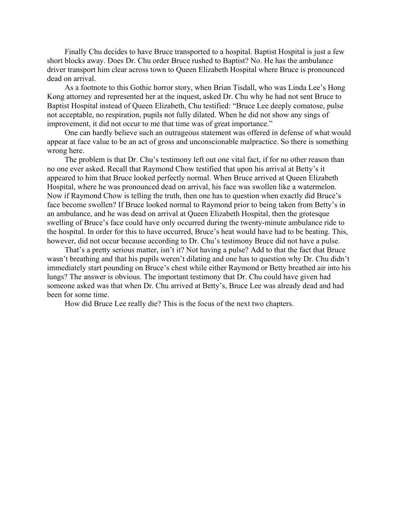Finally Chu decides to have Bruce transported to a hospital. Baptist Hospital is just a few short blocks away. Does Dr. Chu order Bruce rushed to Baptist? No. He has the ambulance driver transport him clear across town to Queen Elizabeth Hospital where Bruce is pronounced dead on arrival.

 As a footnote to this Gothic horror story, when Brian Tisdall, who was Linda Lee's Hong Kong attorney and represented her at the inquest, asked Dr. Chu why he had not sent Bruce to Baptist Hospital instead of Queen Elizabeth, Chu testified: "Bruce Lee deeply comatose, pulse not acceptable, no respiration, pupils not fully dilated. When he did not show any sings of improvement, it did not occur to me that time was of great importance."

 One can hardly believe such an outrageous statement was offered in defense of what would appear at face value to be an act of gross and unconscionable malpractice. So there is something wrong here.

 The problem is that Dr. Chu's testimony left out one vital fact, if for no other reason than no one ever asked. Recall that Raymond Chow testified that upon his arrival at Betty's it appeared to him that Bruce looked perfectly normal. When Bruce arrived at Queen Elizabeth Hospital, where he was pronounced dead on arrival, his face was swollen like a watermelon. Now if Raymond Chow is telling the truth, then one has to question when exactly did Bruce's face become swollen? If Bruce looked normal to Raymond prior to being taken from Betty's in an ambulance, and he was dead on arrival at Queen Elizabeth Hospital, then the grotesque swelling of Bruce's face could have only occurred during the twenty-minute ambulance ride to the hospital. In order for this to have occurred, Bruce's heat would have had to be beating. This, however, did not occur because according to Dr. Chu's testimony Bruce did not have a pulse.

 That's a pretty serious matter, isn't it? Not having a pulse? Add to that the fact that Bruce wasn't breathing and that his pupils weren't dilating and one has to question why Dr. Chu didn't immediately start pounding on Bruce's chest while either Raymond or Betty breathed air into his lungs? The answer is obvious. The important testimony that Dr. Chu could have given had someone asked was that when Dr. Chu arrived at Betty's, Bruce Lee was already dead and had been for some time.

How did Bruce Lee really die? This is the focus of the next two chapters.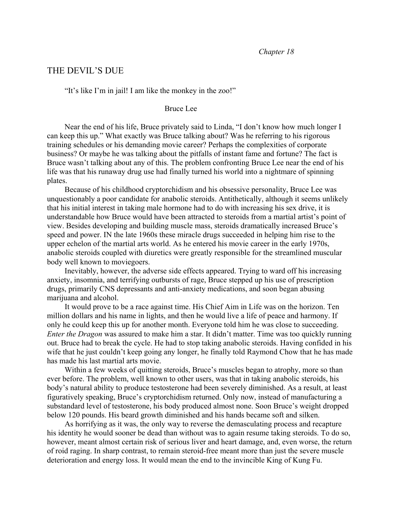### THE DEVIL'S DUE

"It's like I'm in jail! I am like the monkey in the zoo!"

#### Bruce Lee

Near the end of his life, Bruce privately said to Linda, "I don't know how much longer I can keep this up." What exactly was Bruce talking about? Was he referring to his rigorous training schedules or his demanding movie career? Perhaps the complexities of corporate business? Or maybe he was talking about the pitfalls of instant fame and fortune? The fact is Bruce wasn't talking about any of this. The problem confronting Bruce Lee near the end of his life was that his runaway drug use had finally turned his world into a nightmare of spinning plates.

 Because of his childhood cryptorchidism and his obsessive personality, Bruce Lee was unquestionably a poor candidate for anabolic steroids. Antithetically, although it seems unlikely that his initial interest in taking male hormone had to do with increasing his sex drive, it is understandable how Bruce would have been attracted to steroids from a martial artist's point of view. Besides developing and building muscle mass, steroids dramatically increased Bruce's speed and power. IN the late 1960s these miracle drugs succeeded in helping him rise to the upper echelon of the martial arts world. As he entered his movie career in the early 1970s, anabolic steroids coupled with diuretics were greatly responsible for the streamlined muscular body well known to moviegoers.

 Inevitably, however, the adverse side effects appeared. Trying to ward off his increasing anxiety, insomnia, and terrifying outbursts of rage, Bruce stepped up his use of prescription drugs, primarily CNS depressants and anti-anxiety medications, and soon began abusing marijuana and alcohol.

 It would prove to be a race against time. His Chief Aim in Life was on the horizon. Ten million dollars and his name in lights, and then he would live a life of peace and harmony. If only he could keep this up for another month. Everyone told him he was close to succeeding. *Enter the Dragon* was assured to make him a star. It didn't matter. Time was too quickly running out. Bruce had to break the cycle. He had to stop taking anabolic steroids. Having confided in his wife that he just couldn't keep going any longer, he finally told Raymond Chow that he has made has made his last martial arts movie.

 Within a few weeks of quitting steroids, Bruce's muscles began to atrophy, more so than ever before. The problem, well known to other users, was that in taking anabolic steroids, his body's natural ability to produce testosterone had been severely diminished. As a result, at least figuratively speaking, Bruce's cryptorchidism returned. Only now, instead of manufacturing a substandard level of testosterone, his body produced almost none. Soon Bruce's weight dropped below 120 pounds. His beard growth diminished and his hands became soft and silken.

 As horrifying as it was, the only way to reverse the demasculating process and recapture his identity he would sooner be dead than without was to again resume taking steroids. To do so, however, meant almost certain risk of serious liver and heart damage, and, even worse, the return of roid raging. In sharp contrast, to remain steroid-free meant more than just the severe muscle deterioration and energy loss. It would mean the end to the invincible King of Kung Fu.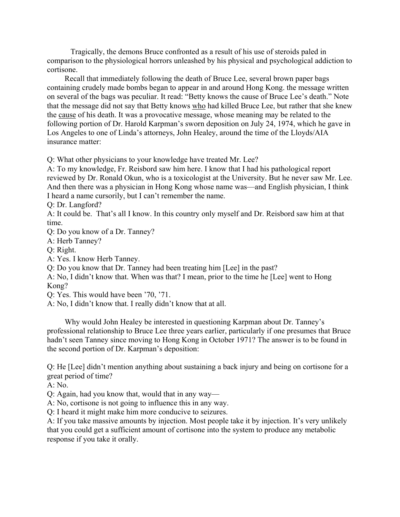Tragically, the demons Bruce confronted as a result of his use of steroids paled in comparison to the physiological horrors unleashed by his physical and psychological addiction to cortisone.

 Recall that immediately following the death of Bruce Lee, several brown paper bags containing crudely made bombs began to appear in and around Hong Kong. the message written on several of the bags was peculiar. It read: "Betty knows the cause of Bruce Lee's death." Note that the message did not say that Betty knows who had killed Bruce Lee, but rather that she knew the cause of his death. It was a provocative message, whose meaning may be related to the following portion of Dr. Harold Karpman's sworn deposition on July 24, 1974, which he gave in Los Angeles to one of Linda's attorneys, John Healey, around the time of the Lloyds/AIA insurance matter:

Q: What other physicians to your knowledge have treated Mr. Lee?

A: To my knowledge, Fr. Reisbord saw him here. I know that I had his pathological report reviewed by Dr. Ronald Okun, who is a toxicologist at the University. But he never saw Mr. Lee. And then there was a physician in Hong Kong whose name was—and English physician, I think I heard a name cursorily, but I can't remember the name.

Q: Dr. Langford?

A: It could be. That's all I know. In this country only myself and Dr. Reisbord saw him at that time.

Q: Do you know of a Dr. Tanney?

A: Herb Tanney?

Q: Right.

A: Yes. I know Herb Tanney.

Q: Do you know that Dr. Tanney had been treating him [Lee] in the past?

A: No, I didn't know that. When was that? I mean, prior to the time he [Lee] went to Hong Kong?

Q: Yes. This would have been '70, '71.

A: No, I didn't know that. I really didn't know that at all.

 Why would John Healey be interested in questioning Karpman about Dr. Tanney's professional relationship to Bruce Lee three years earlier, particularly if one presumes that Bruce hadn't seen Tanney since moving to Hong Kong in October 1971? The answer is to be found in the second portion of Dr. Karpman's deposition:

Q: He [Lee] didn't mention anything about sustaining a back injury and being on cortisone for a great period of time?

 $A: No.$ 

Q: Again, had you know that, would that in any way—

A: No, cortisone is not going to influence this in any way.

Q: I heard it might make him more conducive to seizures.

A: If you take massive amounts by injection. Most people take it by injection. It's very unlikely that you could get a sufficient amount of cortisone into the system to produce any metabolic response if you take it orally.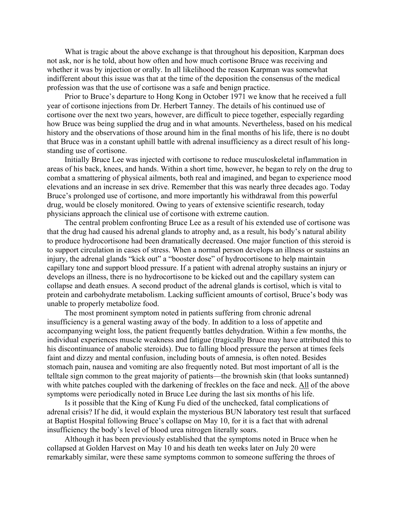What is tragic about the above exchange is that throughout his deposition, Karpman does not ask, nor is he told, about how often and how much cortisone Bruce was receiving and whether it was by injection or orally. In all likelihood the reason Karpman was somewhat indifferent about this issue was that at the time of the deposition the consensus of the medical profession was that the use of cortisone was a safe and benign practice.

 Prior to Bruce's departure to Hong Kong in October 1971 we know that he received a full year of cortisone injections from Dr. Herbert Tanney. The details of his continued use of cortisone over the next two years, however, are difficult to piece together, especially regarding how Bruce was being supplied the drug and in what amounts. Nevertheless, based on his medical history and the observations of those around him in the final months of his life, there is no doubt that Bruce was in a constant uphill battle with adrenal insufficiency as a direct result of his longstanding use of cortisone.

 Initially Bruce Lee was injected with cortisone to reduce musculoskeletal inflammation in areas of his back, knees, and hands. Within a short time, however, he began to rely on the drug to combat a smattering of physical ailments, both real and imagined, and began to experience mood elevations and an increase in sex drive. Remember that this was nearly three decades ago. Today Bruce's prolonged use of cortisone, and more importantly his withdrawal from this powerful drug, would be closely monitored. Owing to years of extensive scientific research, today physicians approach the clinical use of cortisone with extreme caution.

 The central problem confronting Bruce Lee as a result of his extended use of cortisone was that the drug had caused his adrenal glands to atrophy and, as a result, his body's natural ability to produce hydrocortisone had been dramatically decreased. One major function of this steroid is to support circulation in cases of stress. When a normal person develops an illness or sustains an injury, the adrenal glands "kick out" a "booster dose" of hydrocortisone to help maintain capillary tone and support blood pressure. If a patient with adrenal atrophy sustains an injury or develops an illness, there is no hydrocortisone to be kicked out and the capillary system can collapse and death ensues. A second product of the adrenal glands is cortisol, which is vital to protein and carbohydrate metabolism. Lacking sufficient amounts of cortisol, Bruce's body was unable to properly metabolize food.

 The most prominent symptom noted in patients suffering from chronic adrenal insufficiency is a general wasting away of the body. In addition to a loss of appetite and accompanying weight loss, the patient frequently battles dehydration. Within a few months, the individual experiences muscle weakness and fatigue (tragically Bruce may have attributed this to his discontinuance of anabolic steroids). Due to falling blood pressure the person at times feels faint and dizzy and mental confusion, including bouts of amnesia, is often noted. Besides stomach pain, nausea and vomiting are also frequently noted. But most important of all is the telltale sign common to the great majority of patients—the brownish skin (that looks suntanned) with white patches coupled with the darkening of freckles on the face and neck. All of the above symptoms were periodically noted in Bruce Lee during the last six months of his life.

 Is it possible that the King of Kung Fu died of the unchecked, fatal complications of adrenal crisis? If he did, it would explain the mysterious BUN laboratory test result that surfaced at Baptist Hospital following Bruce's collapse on May 10, for it is a fact that with adrenal insufficiency the body's level of blood urea nitrogen literally soars.

 Although it has been previously established that the symptoms noted in Bruce when he collapsed at Golden Harvest on May 10 and his death ten weeks later on July 20 were remarkably similar, were these same symptoms common to someone suffering the throes of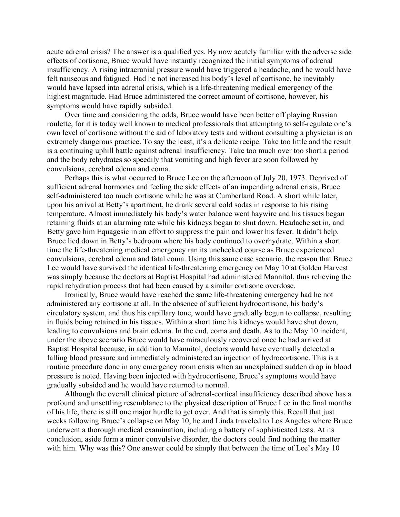acute adrenal crisis? The answer is a qualified yes. By now acutely familiar with the adverse side effects of cortisone, Bruce would have instantly recognized the initial symptoms of adrenal insufficiency. A rising intracranial pressure would have triggered a headache, and he would have felt nauseous and fatigued. Had he not increased his body's level of cortisone, he inevitably would have lapsed into adrenal crisis, which is a life-threatening medical emergency of the highest magnitude. Had Bruce administered the correct amount of cortisone, however, his symptoms would have rapidly subsided.

 Over time and considering the odds, Bruce would have been better off playing Russian roulette, for it is today well known to medical professionals that attempting to self-regulate one's own level of cortisone without the aid of laboratory tests and without consulting a physician is an extremely dangerous practice. To say the least, it's a delicate recipe. Take too little and the result is a continuing uphill battle against adrenal insufficiency. Take too much over too short a period and the body rehydrates so speedily that vomiting and high fever are soon followed by convulsions, cerebral edema and coma.

 Perhaps this is what occurred to Bruce Lee on the afternoon of July 20, 1973. Deprived of sufficient adrenal hormones and feeling the side effects of an impending adrenal crisis, Bruce self-administered too much cortisone while he was at Cumberland Road. A short while later, upon his arrival at Betty's apartment, he drank several cold sodas in response to his rising temperature. Almost immediately his body's water balance went haywire and his tissues began retaining fluids at an alarming rate while his kidneys began to shut down. Headache set in, and Betty gave him Equagesic in an effort to suppress the pain and lower his fever. It didn't help. Bruce lied down in Betty's bedroom where his body continued to overhydrate. Within a short time the life-threatening medical emergency ran its unchecked course as Bruce experienced convulsions, cerebral edema and fatal coma. Using this same case scenario, the reason that Bruce Lee would have survived the identical life-threatening emergency on May 10 at Golden Harvest was simply because the doctors at Baptist Hospital had administered Mannitol, thus relieving the rapid rehydration process that had been caused by a similar cortisone overdose.

 Ironically, Bruce would have reached the same life-threatening emergency had he not administered any cortisone at all. In the absence of sufficient hydrocortisone, his body's circulatory system, and thus his capillary tone, would have gradually begun to collapse, resulting in fluids being retained in his tissues. Within a short time his kidneys would have shut down, leading to convulsions and brain edema. In the end, coma and death. As to the May 10 incident, under the above scenario Bruce would have miraculously recovered once he had arrived at Baptist Hospital because, in addition to Mannitol, doctors would have eventually detected a falling blood pressure and immediately administered an injection of hydrocortisone. This is a routine procedure done in any emergency room crisis when an unexplained sudden drop in blood pressure is noted. Having been injected with hydrocortisone, Bruce's symptoms would have gradually subsided and he would have returned to normal.

 Although the overall clinical picture of adrenal-cortical insufficiency described above has a profound and unsettling resemblance to the physical description of Bruce Lee in the final months of his life, there is still one major hurdle to get over. And that is simply this. Recall that just weeks following Bruce's collapse on May 10, he and Linda traveled to Los Angeles where Bruce underwent a thorough medical examination, including a battery of sophisticated tests. At its conclusion, aside form a minor convulsive disorder, the doctors could find nothing the matter with him. Why was this? One answer could be simply that between the time of Lee's May 10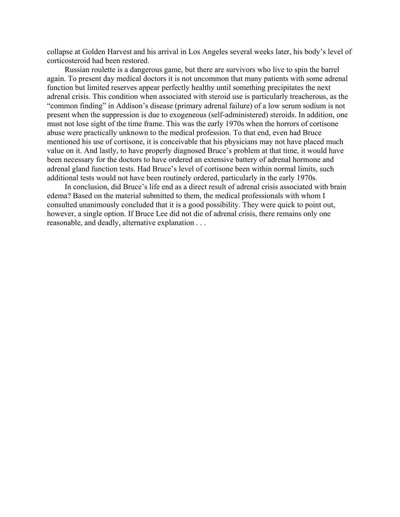collapse at Golden Harvest and his arrival in Los Angeles several weeks later, his body's level of corticosteroid had been restored.

 Russian roulette is a dangerous game, but there are survivors who live to spin the barrel again. To present day medical doctors it is not uncommon that many patients with some adrenal function but limited reserves appear perfectly healthy until something precipitates the next adrenal crisis. This condition when associated with steroid use is particularly treacherous, as the "common finding" in Addison's disease (primary adrenal failure) of a low serum sodium is not present when the suppression is due to exogeneous (self-administered) steroids. In addition, one must not lose sight of the time frame. This was the early 1970s when the horrors of cortisone abuse were practically unknown to the medical profession. To that end, even had Bruce mentioned his use of cortisone, it is conceivable that his physicians may not have placed much value on it. And lastly, to have properly diagnosed Bruce's problem at that time, it would have been necessary for the doctors to have ordered an extensive battery of adrenal hormone and adrenal gland function tests. Had Bruce's level of cortisone been within normal limits, such additional tests would not have been routinely ordered, particularly in the early 1970s.

 In conclusion, did Bruce's life end as a direct result of adrenal crisis associated with brain edema? Based on the material submitted to them, the medical professionals with whom I consulted unanimously concluded that it is a good possibility. They were quick to point out, however, a single option. If Bruce Lee did not die of adrenal crisis, there remains only one reasonable, and deadly, alternative explanation . . .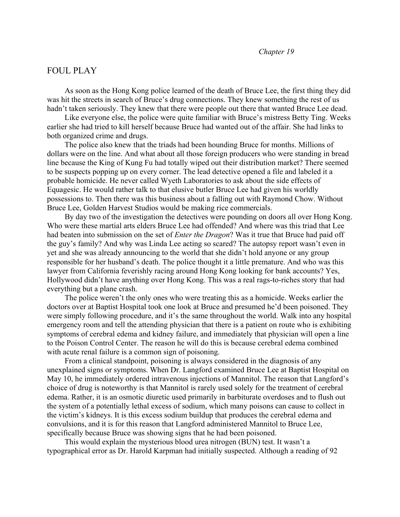# FOUL PLAY

As soon as the Hong Kong police learned of the death of Bruce Lee, the first thing they did was hit the streets in search of Bruce's drug connections. They knew something the rest of us hadn't taken seriously. They knew that there were people out there that wanted Bruce Lee dead.

 Like everyone else, the police were quite familiar with Bruce's mistress Betty Ting. Weeks earlier she had tried to kill herself because Bruce had wanted out of the affair. She had links to both organized crime and drugs.

 The police also knew that the triads had been hounding Bruce for months. Millions of dollars were on the line. And what about all those foreign producers who were standing in bread line because the King of Kung Fu had totally wiped out their distribution market? There seemed to be suspects popping up on every corner. The lead detective opened a file and labeled it a probable homicide. He never called Wyeth Laboratories to ask about the side effects of Equagesic. He would rather talk to that elusive butler Bruce Lee had given his worldly possessions to. Then there was this business about a falling out with Raymond Chow. Without Bruce Lee, Golden Harvest Studios would be making rice commercials.

 By day two of the investigation the detectives were pounding on doors all over Hong Kong. Who were these martial arts elders Bruce Lee had offended? And where was this triad that Lee had beaten into submission on the set of *Enter the Dragon*? Was it true that Bruce had paid off the guy's family? And why was Linda Lee acting so scared? The autopsy report wasn't even in yet and she was already announcing to the world that she didn't hold anyone or any group responsible for her husband's death. The police thought it a little premature. And who was this lawyer from California feverishly racing around Hong Kong looking for bank accounts? Yes, Hollywood didn't have anything over Hong Kong. This was a real rags-to-riches story that had everything but a plane crash.

 The police weren't the only ones who were treating this as a homicide. Weeks earlier the doctors over at Baptist Hospital took one look at Bruce and presumed he'd been poisoned. They were simply following procedure, and it's the same throughout the world. Walk into any hospital emergency room and tell the attending physician that there is a patient on route who is exhibiting symptoms of cerebral edema and kidney failure, and immediately that physician will open a line to the Poison Control Center. The reason he will do this is because cerebral edema combined with acute renal failure is a common sign of poisoning.

 From a clinical standpoint, poisoning is always considered in the diagnosis of any unexplained signs or symptoms. When Dr. Langford examined Bruce Lee at Baptist Hospital on May 10, he immediately ordered intravenous injections of Mannitol. The reason that Langford's choice of drug is noteworthy is that Mannitol is rarely used solely for the treatment of cerebral edema. Rather, it is an osmotic diuretic used primarily in barbiturate overdoses and to flush out the system of a potentially lethal excess of sodium, which many poisons can cause to collect in the victim's kidneys. It is this excess sodium buildup that produces the cerebral edema and convulsions, and it is for this reason that Langford administered Mannitol to Bruce Lee, specifically because Bruce was showing signs that he had been poisoned.

 This would explain the mysterious blood urea nitrogen (BUN) test. It wasn't a typographical error as Dr. Harold Karpman had initially suspected. Although a reading of 92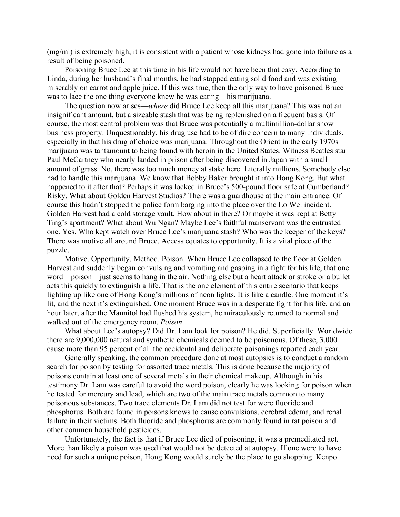(mg/ml) is extremely high, it is consistent with a patient whose kidneys had gone into failure as a result of being poisoned.

 Poisoning Bruce Lee at this time in his life would not have been that easy. According to Linda, during her husband's final months, he had stopped eating solid food and was existing miserably on carrot and apple juice. If this was true, then the only way to have poisoned Bruce was to lace the one thing everyone knew he was eating—his marijuana.

 The question now arises—*where* did Bruce Lee keep all this marijuana? This was not an insignificant amount, but a sizeable stash that was being replenished on a frequent basis. Of course, the most central problem was that Bruce was potentially a multimillion-dollar show business property. Unquestionably, his drug use had to be of dire concern to many individuals, especially in that his drug of choice was marijuana. Throughout the Orient in the early 1970s marijuana was tantamount to being found with heroin in the United States. Witness Beatles star Paul McCartney who nearly landed in prison after being discovered in Japan with a small amount of grass. No, there was too much money at stake here. Literally millions. Somebody else had to handle this marijuana. We know that Bobby Baker brought it into Hong Kong. But what happened to it after that? Perhaps it was locked in Bruce's 500-pound floor safe at Cumberland? Risky. What about Golden Harvest Studios? There was a guardhouse at the main entrance. Of course this hadn't stopped the police form barging into the place over the Lo Wei incident. Golden Harvest had a cold storage vault. How about in there? Or maybe it was kept at Betty Ting's apartment? What about Wu Ngan? Maybe Lee's faithful manservant was the entrusted one. Yes. Who kept watch over Bruce Lee's marijuana stash? Who was the keeper of the keys? There was motive all around Bruce. Access equates to opportunity. It is a vital piece of the puzzle.

 Motive. Opportunity. Method. Poison. When Bruce Lee collapsed to the floor at Golden Harvest and suddenly began convulsing and vomiting and gasping in a fight for his life, that one word—poison—just seems to hang in the air. Nothing else but a heart attack or stroke or a bullet acts this quickly to extinguish a life. That is the one element of this entire scenario that keeps lighting up like one of Hong Kong's millions of neon lights. It is like a candle. One moment it's lit, and the next it's extinguished. One moment Bruce was in a desperate fight for his life, and an hour later, after the Mannitol had flushed his system, he miraculously returned to normal and walked out of the emergency room. *Poison*.

 What about Lee's autopsy? Did Dr. Lam look for poison? He did. Superficially. Worldwide there are 9,000,000 natural and synthetic chemicals deemed to be poisonous. Of these, 3,000 cause more than 95 percent of all the accidental and deliberate poisonings reported each year.

 Generally speaking, the common procedure done at most autopsies is to conduct a random search for poison by testing for assorted trace metals. This is done because the majority of poisons contain at least one of several metals in their chemical makeup. Although in his testimony Dr. Lam was careful to avoid the word poison, clearly he was looking for poison when he tested for mercury and lead, which are two of the main trace metals common to many poisonous substances. Two trace elements Dr. Lam did not test for were fluoride and phosphorus. Both are found in poisons knows to cause convulsions, cerebral edema, and renal failure in their victims. Both fluoride and phosphorus are commonly found in rat poison and other common household pesticides.

 Unfortunately, the fact is that if Bruce Lee died of poisoning, it was a premeditated act. More than likely a poison was used that would not be detected at autopsy. If one were to have need for such a unique poison, Hong Kong would surely be the place to go shopping. Kenpo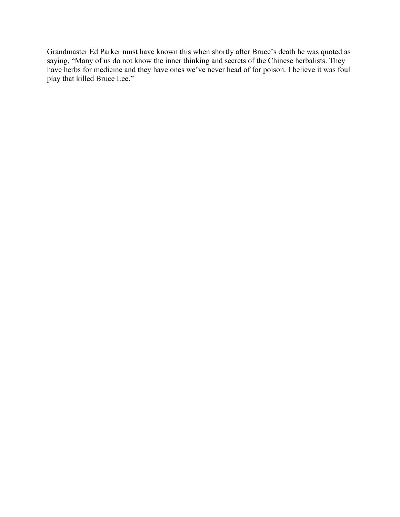Grandmaster Ed Parker must have known this when shortly after Bruce's death he was quoted as saying, "Many of us do not know the inner thinking and secrets of the Chinese herbalists. They have herbs for medicine and they have ones we've never head of for poison. I believe it was foul play that killed Bruce Lee."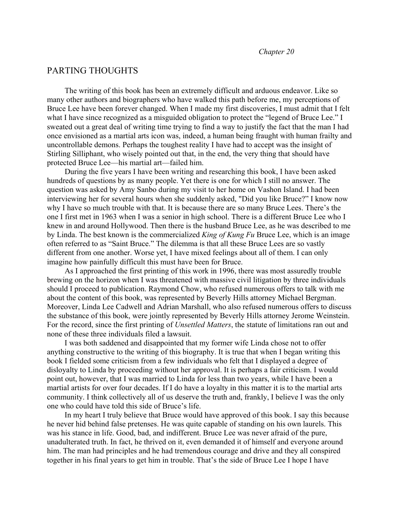# PARTING THOUGHTS

The writing of this book has been an extremely difficult and arduous endeavor. Like so many other authors and biographers who have walked this path before me, my perceptions of Bruce Lee have been forever changed. When I made my first discoveries, I must admit that I felt what I have since recognized as a misguided obligation to protect the "legend of Bruce Lee." I sweated out a great deal of writing time trying to find a way to justify the fact that the man I had once envisioned as a martial arts icon was, indeed, a human being fraught with human frailty and uncontrollable demons. Perhaps the toughest reality I have had to accept was the insight of Stirling Silliphant, who wisely pointed out that, in the end, the very thing that should have protected Bruce Lee—his martial art—failed him.

 During the five years I have been writing and researching this book, I have been asked hundreds of questions by as many people. Yet there is one for which I still no answer. The question was asked by Amy Sanbo during my visit to her home on Vashon Island. I had been interviewing her for several hours when she suddenly asked, "Did you like Bruce?" I know now why I have so much trouble with that. It is because there are so many Bruce Lees. There's the one I first met in 1963 when I was a senior in high school. There is a different Bruce Lee who I knew in and around Hollywood. Then there is the husband Bruce Lee, as he was described to me by Linda. The best known is the commercialized *King of Kung Fu* Bruce Lee, which is an image often referred to as "Saint Bruce." The dilemma is that all these Bruce Lees are so vastly different from one another. Worse yet, I have mixed feelings about all of them. I can only imagine how painfully difficult this must have been for Bruce.

 As I approached the first printing of this work in 1996, there was most assuredly trouble brewing on the horizon when I was threatened with massive civil litigation by three individuals should I proceed to publication. Raymond Chow, who refused numerous offers to talk with me about the content of this book, was represented by Beverly Hills attorney Michael Bergman. Moreover, Linda Lee Cadwell and Adrian Marshall, who also refused numerous offers to discuss the substance of this book, were jointly represented by Beverly Hills attorney Jerome Weinstein. For the record, since the first printing of *Unsettled Matters*, the statute of limitations ran out and none of these three individuals filed a lawsuit.

 I was both saddened and disappointed that my former wife Linda chose not to offer anything constructive to the writing of this biography. It is true that when I began writing this book I fielded some criticism from a few individuals who felt that I displayed a degree of disloyalty to Linda by proceeding without her approval. It is perhaps a fair criticism. I would point out, however, that I was married to Linda for less than two years, while I have been a martial artists for over four decades. If I do have a loyalty in this matter it is to the martial arts community. I think collectively all of us deserve the truth and, frankly, I believe I was the only one who could have told this side of Bruce's life.

 In my heart I truly believe that Bruce would have approved of this book. I say this because he never hid behind false pretenses. He was quite capable of standing on his own laurels. This was his stance in life. Good, bad, and indifferent. Bruce Lee was never afraid of the pure, unadulterated truth. In fact, he thrived on it, even demanded it of himself and everyone around him. The man had principles and he had tremendous courage and drive and they all conspired together in his final years to get him in trouble. That's the side of Bruce Lee I hope I have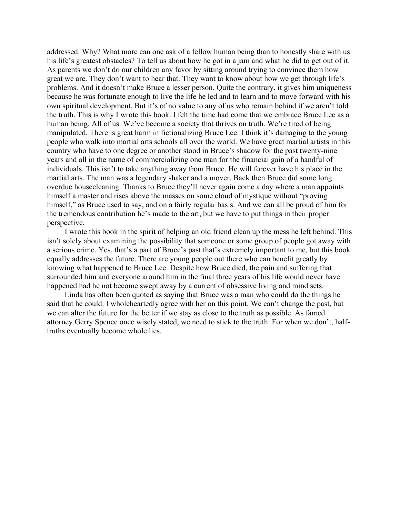addressed. Why? What more can one ask of a fellow human being than to honestly share with us his life's greatest obstacles? To tell us about how he got in a jam and what he did to get out of it. As parents we don't do our children any favor by sitting around trying to convince them how great we are. They don't want to hear that. They want to know about how we get through life's problems. And it doesn't make Bruce a lesser person. Quite the contrary, it gives him uniqueness because he was fortunate enough to live the life he led and to learn and to move forward with his own spiritual development. But it's of no value to any of us who remain behind if we aren't told the truth. This is why I wrote this book. I felt the time had come that we embrace Bruce Lee as a human being. All of us. We've become a society that thrives on truth. We're tired of being manipulated. There is great harm in fictionalizing Bruce Lee. I think it's damaging to the young people who walk into martial arts schools all over the world. We have great martial artists in this country who have to one degree or another stood in Bruce's shadow for the past twenty-nine years and all in the name of commercializing one man for the financial gain of a handful of individuals. This isn't to take anything away from Bruce. He will forever have his place in the martial arts. The man was a legendary shaker and a mover. Back then Bruce did some long overdue housecleaning. Thanks to Bruce they'll never again come a day where a man appoints himself a master and rises above the masses on some cloud of mystique without "proving himself," as Bruce used to say, and on a fairly regular basis. And we can all be proud of him for the tremendous contribution he's made to the art, but we have to put things in their proper perspective.

 I wrote this book in the spirit of helping an old friend clean up the mess he left behind. This isn't solely about examining the possibility that someone or some group of people got away with a serious crime. Yes, that's a part of Bruce's past that's extremely important to me, but this book equally addresses the future. There are young people out there who can benefit greatly by knowing what happened to Bruce Lee. Despite how Bruce died, the pain and suffering that surrounded him and everyone around him in the final three years of his life would never have happened had he not become swept away by a current of obsessive living and mind sets.

 Linda has often been quoted as saying that Bruce was a man who could do the things he said that he could. I wholeheartedly agree with her on this point. We can't change the past, but we can alter the future for the better if we stay as close to the truth as possible. As famed attorney Gerry Spence once wisely stated, we need to stick to the truth. For when we don't, halftruths eventually become whole lies.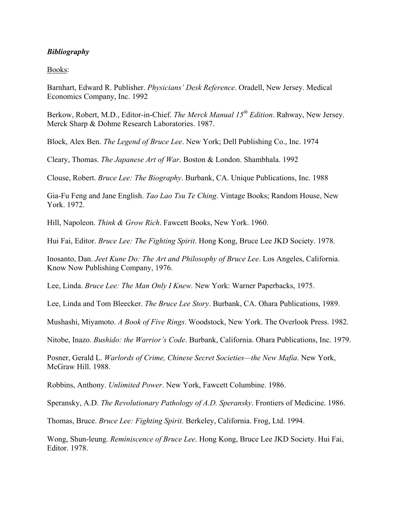### *Bibliography*

Books:

Barnhart, Edward R. Publisher. *Physicians' Desk Reference*. Oradell, New Jersey. Medical Economics Company, Inc. 1992

Berkow, Robert, M.D., Editor-in-Chief. *The Merck Manual 15th Edition*. Rahway, New Jersey. Merck Sharp & Dohme Research Laboratories. 1987.

Block, Alex Ben. *The Legend of Bruce Lee*. New York; Dell Publishing Co., Inc. 1974

Cleary, Thomas. *The Japanese Art of War*. Boston & London. Shambhala. 1992

Clouse, Robert. *Bruce Lee: The Biography*. Burbank, CA. Unique Publications, Inc. 1988

Gia-Fu Feng and Jane English. *Tao Lao Tsu Te Ching*. Vintage Books; Random House, New York. 1972.

Hill, Napoleon. *Think & Grow Rich*. Fawcett Books, New York. 1960.

Hui Fai, Editor. *Bruce Lee: The Fighting Spirit*. Hong Kong, Bruce Lee JKD Society. 1978.

Inosanto, Dan. *Jeet Kune Do: The Art and Philosophy of Bruce Lee*. Los Angeles, California. Know Now Publishing Company, 1976.

Lee, Linda. *Bruce Lee: The Man Only I Knew.* New York: Warner Paperbacks, 1975.

Lee, Linda and Tom Bleecker. *The Bruce Lee Story*. Burbank, CA. Ohara Publications, 1989.

Mushashi, Miyamoto. *A Book of Five Rings*. Woodstock, New York. The Overlook Press. 1982.

Nitobe, Inazo. *Bushido: the Warrior's Code*. Burbank, California. Ohara Publications, Inc. 1979.

Posner, Gerald L. *Warlords of Crime, Chinese Secret Societies—the New Mafia*. New York, McGraw Hill. 1988.

Robbins, Anthony. *Unlimited Power*. New York, Fawcett Columbine. 1986.

Speransky, A.D. *The Revolutionary Pathology of A.D. Speransky*. Frontiers of Medicine. 1986.

Thomas, Bruce. *Bruce Lee: Fighting Spirit*. Berkeley, California. Frog, Ltd. 1994.

Wong, Shun-leung. *Reminiscence of Bruce Lee*. Hong Kong, Bruce Lee JKD Society. Hui Fai, Editor. 1978.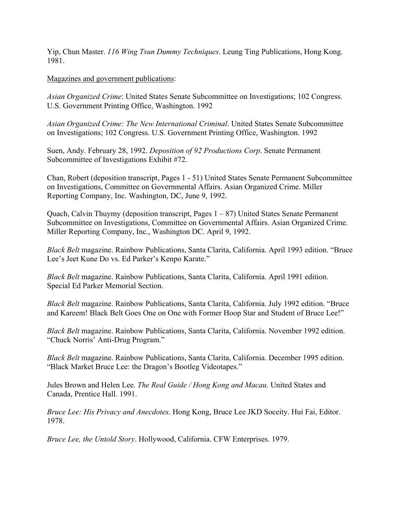Yip, Chun Master. *116 Wing Tsun Dummy Techniques*. Leung Ting Publications, Hong Kong. 1981.

### Magazines and government publications:

*Asian Organized Crime*: United States Senate Subcommittee on Investigations; 102 Congress. U.S. Government Printing Office, Washington. 1992

*Asian Organized Crime: The New International Criminal*. United States Senate Subcommittee on Investigations; 102 Congress. U.S. Government Printing Office, Washington. 1992

Suen, Andy. February 28, 1992. *Deposition of 92 Productions Corp*. Senate Permanent Subcommittee of Investigations Exhibit #72.

Chan, Robert (deposition transcript, Pages 1 - 51) United States Senate Permanent Subcommittee on Investigations, Committee on Governmental Affairs. Asian Organized Crime. Miller Reporting Company, Inc. Washington, DC, June 9, 1992.

Quach, Calvin Thuymy (deposition transcript, Pages  $1 - 87$ ) United States Senate Permanent Subcommittee on Investigations, Committee on Governmental Affairs. Asian Organized Crime. Miller Reporting Company, Inc., Washington DC. April 9, 1992.

*Black Belt* magazine. Rainbow Publications, Santa Clarita, California. April 1993 edition. "Bruce Lee's Jeet Kune Do vs. Ed Parker's Kenpo Karate."

*Black Belt* magazine. Rainbow Publications, Santa Clarita, California. April 1991 edition. Special Ed Parker Memorial Section.

*Black Belt* magazine. Rainbow Publications, Santa Clarita, California. July 1992 edition. "Bruce and Kareem! Black Belt Goes One on One with Former Hoop Star and Student of Bruce Lee!"

*Black Belt* magazine. Rainbow Publications, Santa Clarita, California. November 1992 edition. "Chuck Norris' Anti-Drug Program."

*Black Belt* magazine. Rainbow Publications, Santa Clarita, California. December 1995 edition. "Black Market Bruce Lee: the Dragon's Bootleg Videotapes."

Jules Brown and Helen Lee. *The Real Guide / Hong Kong and Macau*. United States and Canada, Prentice Hall. 1991.

*Bruce Lee: His Privacy and Anecdotes*. Hong Kong, Bruce Lee JKD Soceity. Hui Fai, Editor. 1978.

*Bruce Lee, the Untold Story*. Hollywood, California. CFW Enterprises. 1979.